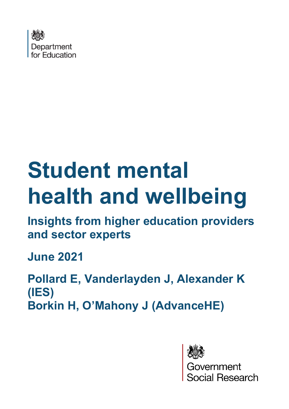

# **Student mental health and wellbeing**

**Insights from higher education providers and sector experts**

**June 2021**

**Pollard E, Vanderlayden J, Alexander K (IES) Borkin H, O'Mahony J (AdvanceHE)**



overnment<br>ocial Research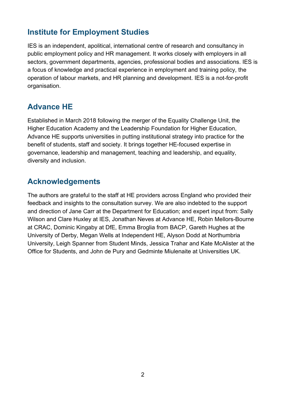## **Institute for Employment Studies**

IES is an independent, apolitical, international centre of research and consultancy in public employment policy and HR management. It works closely with employers in all sectors, government departments, agencies, professional bodies and associations. IES is a focus of knowledge and practical experience in employment and training policy, the operation of labour markets, and HR planning and development. IES is a not-for-profit organisation.

## **Advance HE**

Established in March 2018 following the merger of the Equality Challenge Unit, the Higher Education Academy and the Leadership Foundation for Higher Education, Advance HE supports universities in putting institutional strategy into practice for the benefit of students, staff and society. It brings together HE-focused expertise in governance, leadership and management, teaching and leadership, and equality, diversity and inclusion.

## **Acknowledgements**

The authors are grateful to the staff at HE providers across England who provided their feedback and insights to the consultation survey. We are also indebted to the support and direction of Jane Carr at the Department for Education; and expert input from: Sally Wilson and Clare Huxley at IES, Jonathan Neves at Advance HE, Robin Mellors-Bourne at CRAC, Dominic Kingaby at DfE, Emma Broglia from BACP, Gareth Hughes at the University of Derby, Megan Wells at Independent HE, Alyson Dodd at Northumbria University, Leigh Spanner from Student Minds, Jessica Trahar and Kate McAlister at the Office for Students, and John de Pury and Gedminte Miulenaite at Universities UK.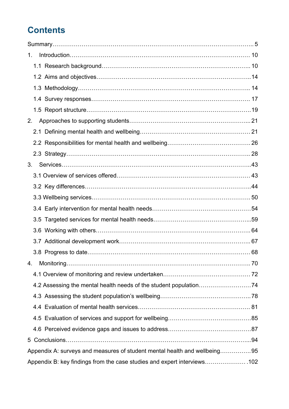# **Contents**

| 1 <sub>1</sub>                                                            |  |
|---------------------------------------------------------------------------|--|
|                                                                           |  |
|                                                                           |  |
|                                                                           |  |
|                                                                           |  |
|                                                                           |  |
| 2.                                                                        |  |
|                                                                           |  |
|                                                                           |  |
|                                                                           |  |
| 3.                                                                        |  |
|                                                                           |  |
|                                                                           |  |
|                                                                           |  |
|                                                                           |  |
|                                                                           |  |
|                                                                           |  |
|                                                                           |  |
|                                                                           |  |
| 4.                                                                        |  |
|                                                                           |  |
|                                                                           |  |
|                                                                           |  |
|                                                                           |  |
|                                                                           |  |
|                                                                           |  |
|                                                                           |  |
| Appendix A: surveys and measures of student mental health and wellbeing95 |  |
| Appendix B: key findings from the case studies and expert interviews102   |  |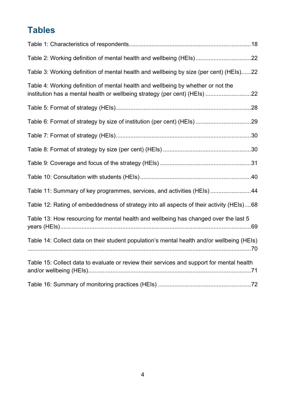# **Tables**

| Table 2: Working definition of mental health and wellbeing (HEIs)22                                                                                            |  |
|----------------------------------------------------------------------------------------------------------------------------------------------------------------|--|
| Table 3: Working definition of mental health and wellbeing by size (per cent) (HEIs)22                                                                         |  |
| Table 4: Working definition of mental health and wellbeing by whether or not the<br>institution has a mental health or wellbeing strategy (per cent) (HEIs) 22 |  |
|                                                                                                                                                                |  |
|                                                                                                                                                                |  |
|                                                                                                                                                                |  |
|                                                                                                                                                                |  |
|                                                                                                                                                                |  |
|                                                                                                                                                                |  |
| Table 11: Summary of key programmes, services, and activities (HEIs) 44                                                                                        |  |
| Table 12: Rating of embeddedness of strategy into all aspects of their activity (HEIs)68                                                                       |  |
| Table 13: How resourcing for mental health and wellbeing has changed over the last 5                                                                           |  |
| Table 14: Collect data on their student population's mental health and/or wellbeing (HEIs)                                                                     |  |
| Table 15: Collect data to evaluate or review their services and support for mental health                                                                      |  |
|                                                                                                                                                                |  |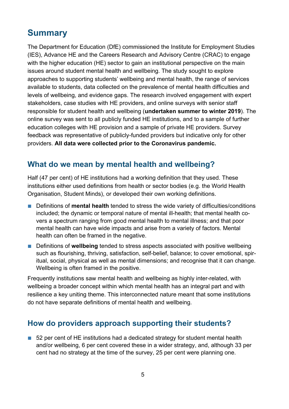# <span id="page-4-0"></span>**Summary**

The Department for Education (DfE) commissioned the Institute for Employment Studies (IES), Advance HE and the Careers Research and Advisory Centre (CRAC) to engage with the higher education (HE) sector to gain an institutional perspective on the main issues around student mental health and wellbeing. The study sought to explore approaches to supporting students' wellbeing and mental health, the range of services available to students, data collected on the prevalence of mental health difficulties and levels of wellbeing, and evidence gaps. The research involved engagement with expert stakeholders, case studies with HE providers, and online surveys with senior staff responsible for student health and wellbeing (**undertaken summer to winter 2019**). The online survey was sent to all publicly funded HE institutions, and to a sample of further education colleges with HE provision and a sample of private HE providers. Survey feedback was representative of publicly-funded providers but indicative only for other providers. **All data were collected prior to the Coronavirus pandemic.** 

## **What do we mean by mental health and wellbeing?**

Half (47 per cent) of HE institutions had a working definition that they used. These institutions either used definitions from health or sector bodies (e.g. the World Health Organisation, Student Minds), or developed their own working definitions.

- Definitions of **mental health** tended to stress the wide variety of difficulties/conditions included; the dynamic or temporal nature of mental ill-health; that mental health covers a spectrum ranging from good mental health to mental illness; and that poor mental health can have wide impacts and arise from a variety of factors. Mental health can often be framed in the negative.
- Definitions of wellbeing tended to stress aspects associated with positive wellbeing such as flourishing, thriving, satisfaction, self-belief, balance; to cover emotional, spiritual, social, physical as well as mental dimensions; and recognise that it can change. Wellbeing is often framed in the positive.

Frequently institutions saw mental health and wellbeing as highly inter-related, with wellbeing a broader concept within which mental health has an integral part and with resilience a key uniting theme. This interconnected nature meant that some institutions do not have separate definitions of mental health and wellbeing.

## **How do providers approach supporting their students?**

■ 52 per cent of HE institutions had a dedicated strategy for student mental health and/or wellbeing, 6 per cent covered these in a wider strategy, and, although 33 per cent had no strategy at the time of the survey, 25 per cent were planning one.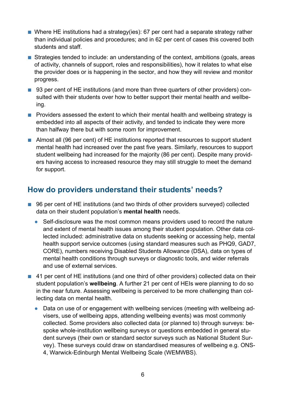- Where HE institutions had a strategy(ies): 67 per cent had a separate strategy rather than individual policies and procedures; and in 62 per cent of cases this covered both students and staff.
- Strategies tended to include: an understanding of the context, ambitions (goals, areas of activity, channels of support, roles and responsibilities), how it relates to what else the provider does or is happening in the sector, and how they will review and monitor progress.
- 93 per cent of HE institutions (and more than three quarters of other providers) consulted with their students over how to better support their mental health and wellbeing.
- Providers assessed the extent to which their mental health and wellbeing strategy is embedded into all aspects of their activity, and tended to indicate they were more than halfway there but with some room for improvement.
- Almost all (96 per cent) of HE institutions reported that resources to support student mental health had increased over the past five years. Similarly, resources to support student wellbeing had increased for the majority (86 per cent). Despite many providers having access to increased resource they may still struggle to meet the demand for support.

## **How do providers understand their students' needs?**

- 96 per cent of HE institutions (and two thirds of other providers surveyed) collected data on their student population's **mental health** needs.
	- **●** Self-disclosure was the most common means providers used to record the nature and extent of mental health issues among their student population. Other data collected included: administrative data on students seeking or accessing help, mental health support service outcomes (using standard measures such as PHQ9, GAD7, CORE), numbers receiving Disabled Students Allowance (DSA), data on types of mental health conditions through surveys or diagnostic tools, and wider referrals and use of external services.
- 41 per cent of HE institutions (and one third of other providers) collected data on their student population's **wellbeing**. A further 21 per cent of HEIs were planning to do so in the near future. Assessing wellbeing is perceived to be more challenging than collecting data on mental health.
	- **●** Data on use of or engagement with wellbeing services (meeting with wellbeing advisers, use of wellbeing apps, attending wellbeing events) was most commonly collected. Some providers also collected data (or planned to) through surveys: bespoke whole-institution wellbeing surveys or questions embedded in general student surveys (their own or standard sector surveys such as National Student Survey). These surveys could draw on standardised measures of wellbeing e.g. ONS-4, Warwick-Edinburgh Mental Wellbeing Scale (WEMWBS).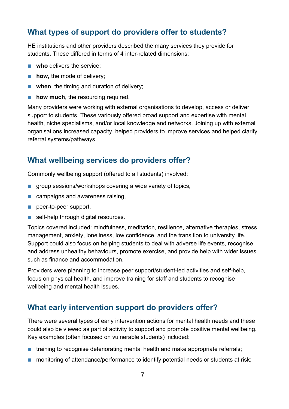## **What types of support do providers offer to students?**

HE institutions and other providers described the many services they provide for students. These differed in terms of 4 inter-related dimensions:

- **who** delivers the service:
- **how, the mode of delivery;**
- **when**, the timing and duration of delivery;
- **how much**, the resourcing required.

Many providers were working with external organisations to develop, access or deliver support to students. These variously offered broad support and expertise with mental health, niche specialisms, and/or local knowledge and networks. Joining up with external organisations increased capacity, helped providers to improve services and helped clarify referral systems/pathways.

## **What wellbeing services do providers offer?**

Commonly wellbeing support (offered to all students) involved:

- group sessions/workshops covering a wide variety of topics,
- campaigns and awareness raising,
- peer-to-peer support,
- self-help through digital resources.

Topics covered included: mindfulness, meditation, resilience, alternative therapies, stress management, anxiety, loneliness, low confidence, and the transition to university life. Support could also focus on helping students to deal with adverse life events, recognise and address unhealthy behaviours, promote exercise, and provide help with wider issues such as finance and accommodation.

Providers were planning to increase peer support/student-led activities and self-help, focus on physical health, and improve training for staff and students to recognise wellbeing and mental health issues.

### **What early intervention support do providers offer?**

There were several types of early intervention actions for mental health needs and these could also be viewed as part of activity to support and promote positive mental wellbeing. Key examples (often focused on vulnerable students) included:

- training to recognise deteriorating mental health and make appropriate referrals;
- monitoring of attendance/performance to identify potential needs or students at risk;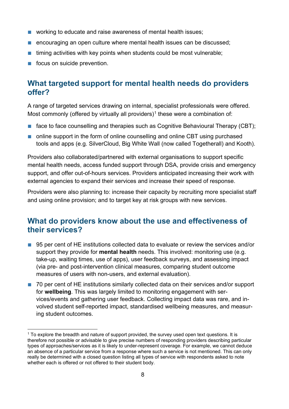- working to educate and raise awareness of mental health issues;
- encouraging an open culture where mental health issues can be discussed;
- timing activities with key points when students could be most vulnerable;
- focus on suicide prevention.

## **What targeted support for mental health needs do providers offer?**

A range of targeted services drawing on internal, specialist professionals were offered. Most commonly (offered by virtually all providers)<sup>[1](#page-7-0)</sup> these were a combination of:

- face to face counselling and therapies such as Cognitive Behavioural Therapy (CBT):
- online support in the form of online counselling and online CBT using purchased tools and apps (e.g. SilverCloud, Big White Wall (now called Togetherall) and Kooth).

Providers also collaborated/partnered with external organisations to support specific mental health needs, access funded support through DSA, provide crisis and emergency support, and offer out-of-hours services. Providers anticipated increasing their work with external agencies to expand their services and increase their speed of response.

Providers were also planning to: increase their capacity by recruiting more specialist staff and using online provision; and to target key at risk groups with new services.

## **What do providers know about the use and effectiveness of their services?**

- 95 per cent of HE institutions collected data to evaluate or review the services and/or support they provide for **mental health** needs. This involved: monitoring use (e.g. take-up, waiting times, use of apps), user feedback surveys, and assessing impact (via pre- and post-intervention clinical measures, comparing student outcome measures of users with non-users, and external evaluation).
- 70 per cent of HE institutions similarly collected data on their services and/or support for **wellbeing**. This was largely limited to monitoring engagement with services/events and gathering user feedback. Collecting impact data was rare, and involved student self-reported impact, standardised wellbeing measures, and measuring student outcomes.

<span id="page-7-0"></span> $1$  To explore the breadth and nature of support provided, the survey used open text questions. It is therefore not possible or advisable to give precise numbers of responding providers describing particular types of approaches/services as it is likely to under-represent coverage. For example, we cannot deduce an absence of a particular service from a response where such a service is not mentioned. This can only really be determined with a closed question listing all types of service with respondents asked to note whether each is offered or not offered to their student body.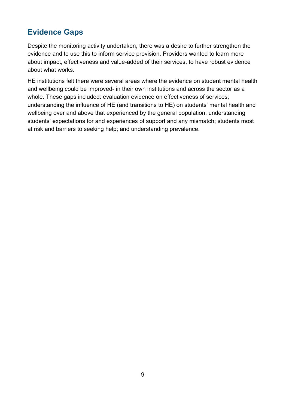# **Evidence Gaps**

Despite the monitoring activity undertaken, there was a desire to further strengthen the evidence and to use this to inform service provision. Providers wanted to learn more about impact, effectiveness and value-added of their services, to have robust evidence about what works.

HE institutions felt there were several areas where the evidence on student mental health and wellbeing could be improved- in their own institutions and across the sector as a whole. These gaps included: evaluation evidence on effectiveness of services; understanding the influence of HE (and transitions to HE) on students' mental health and wellbeing over and above that experienced by the general population; understanding students' expectations for and experiences of support and any mismatch; students most at risk and barriers to seeking help; and understanding prevalence.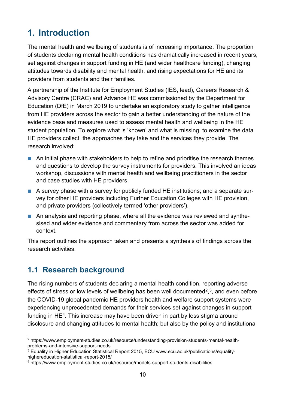# <span id="page-9-0"></span>**1. Introduction**

The mental health and wellbeing of students is of increasing importance. The proportion of students declaring mental health conditions has dramatically increased in recent years, set against changes in support funding in HE (and wider healthcare funding), changing attitudes towards disability and mental health, and rising expectations for HE and its providers from students and their families.

A partnership of the Institute for Employment Studies (IES, lead), Careers Research & Advisory Centre (CRAC) and Advance HE was commissioned by the Department for Education (DfE) in March 2019 to undertake an exploratory study to gather intelligence from HE providers across the sector to gain a better understanding of the nature of the evidence base and measures used to assess mental health and wellbeing in the HE student population. To explore what is 'known' and what is missing, to examine the data HE providers collect, the approaches they take and the services they provide. The research involved:

- An initial phase with stakeholders to help to refine and prioritise the research themes and questions to develop the survey instruments for providers. This involved an ideas workshop, discussions with mental health and wellbeing practitioners in the sector and case studies with HE providers.
- A survey phase with a survey for publicly funded HE institutions; and a separate survey for other HE providers including Further Education Colleges with HE provision, and private providers (collectively termed 'other providers').
- An analysis and reporting phase, where all the evidence was reviewed and synthesised and wider evidence and commentary from across the sector was added for context.

This report outlines the approach taken and presents a synthesis of findings across the research activities.

## <span id="page-9-1"></span>**1.1 Research background**

The rising numbers of students declaring a mental health condition, reporting adverse effects of stress or low levels of wellbeing has been well documented<sup>2</sup>,<sup>[3](#page-9-3)</sup>, and even before the COVID-19 global pandemic HE providers health and welfare support systems were experiencing unprecedented demands for their services set against changes in support funding in  $HE<sup>4</sup>$ . This increase may have been driven in part by less stigma around disclosure and changing attitudes to mental health; but also by the policy and institutional

<span id="page-9-2"></span><sup>2</sup> https://www.employment-studies.co.uk/resource/understanding-provision-students-mental-healthproblems-and-intensive-support-needs

<span id="page-9-3"></span><sup>&</sup>lt;sup>3</sup> Equality in Higher Education Statistical Report 2015, ECU www.ecu.ac.uk/publications/equalityhighereducation-statistical-report-2015/

<span id="page-9-4"></span><sup>4</sup> https://www.employment-studies.co.uk/resource/models-support-students-disabilities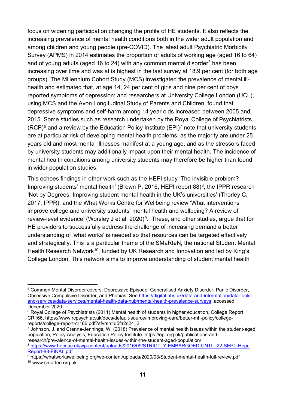focus on widening participation changing the profile of HE students. It also reflects the increasing prevalence of mental health conditions both in the wider adult population and among children and young people (pre-COVID). The latest adult Psychiatric Morbidity Survey (APMS) in 2014 estimates the proportion of adults of working age (aged 16 to 64) and of young adults (aged 16 to 24) with any common mental disorder<sup>[5](#page-10-0)</sup> has been increasing over time and was at is highest in the last survey at 18.9 per cent (for both age groups). The Millennium Cohort Study (MCS) investigated the prevalence of mental illhealth and estimated that, at age 14, 24 per cent of girls and nine per cent of boys reported symptoms of depression; and researchers at University College London (UCL), using MCS and the Avon Longitudinal Study of Parents and Children, found that depressive symptoms and self-harm among 14 year olds increased between 2005 and 2015. Some studies such as research undertaken by the Royal College of Psychiatrists  $(RCP)^6$  $(RCP)^6$  and a review by the Education Policy Institute  $(EPI)^7$  $(EPI)^7$  note that university students are at particular risk of developing mental health problems, as the majority are under 25 years old and most mental illnesses manifest at a young age, and as the stressors faced by university students may additionally impact upon their mental health. The incidence of mental health conditions among university students may therefore be higher than found in wider population studies.

This echoes findings in other work such as the HEPI study 'The invisible problem? Improving students' mental health' (Brown P, 2016, HEPI report  $88$ )<sup>8</sup>; the IPPR research 'Not by Degrees: Improving student mental health in the UK's universities' (Thorley C, 2017, IPPR), and the What Works Centre for Wellbeing review 'What interventions improve college and university students' mental health and wellbeing? A review of review-level evidence' (Worsley J et al, 2020)<sup>[9](#page-10-4)</sup>. These, and other studies, argue that for HE providers to successfully address the challenge of increasing demand a better understanding of 'what works' is needed so that resources can be targeted effectively and strategically. This is a particular theme of the SMaRteN, the national Student Mental Health Research Network<sup>10</sup>, funded by UK Research and Innovation and led by King's College London. This network aims to improve understanding of student mental health

<span id="page-10-0"></span><sup>5</sup> Common Mental Disorder covers: Depressive Episode, Generalised Anxiety Disorder, Panic Disorder, Obsessive Compulsive Disorder, and Phobias. See [https://digital.nhs.uk/data-and-information/data-tools](https://digital.nhs.uk/data-and-information/data-tools-and-services/data-services/mental-health-data-hub/mental-health-prevalence-surveys)[and-services/data-services/mental-health-data-hub/mental-health-prevalence-surveys;](https://digital.nhs.uk/data-and-information/data-tools-and-services/data-services/mental-health-data-hub/mental-health-prevalence-surveys) accessed December 2020.

<span id="page-10-1"></span><sup>&</sup>lt;sup>6</sup> Royal College of Psychiatrists (2011) Mental health of students in higher education, College Report CR166, https://www.rcpsych.ac.uk/docs/default-source/improving-care/better-mh-policy/collegereports/college-report-cr166.pdf?sfvrsn=d5fa2c24\_2

<span id="page-10-2"></span> $^7$  Johnson, J. and Crenna-Jennings, W. (2018) Prevalence of mental health issues within the student-aged population, Policy Analysis, Education Policy Institute. https://epi.org.uk/publications-andresearch/prevalence-of-mental-health-issues-within-the-student-aged-population/

<span id="page-10-3"></span><sup>8</sup> [https://www.hepi.ac.uk/wp-content/uploads/2016/09/STRICTLY-EMBARGOED-UNTIL-22-SEPT-Hepi-](https://www.hepi.ac.uk/wp-content/uploads/2016/09/STRICTLY-EMBARGOED-UNTIL-22-SEPT-Hepi-Report-88-FINAL.pdf)[Report-88-FINAL.pdf](https://www.hepi.ac.uk/wp-content/uploads/2016/09/STRICTLY-EMBARGOED-UNTIL-22-SEPT-Hepi-Report-88-FINAL.pdf)

<span id="page-10-5"></span><span id="page-10-4"></span><sup>9</sup> https://whatworkswellbeing.org/wp-content/uploads/2020/03/Student-mental-health-full-review.pdf <sup>10</sup> www.smarten.org.uk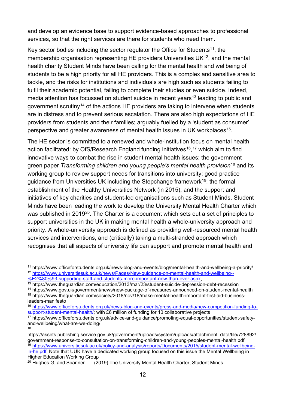and develop an evidence base to support evidence-based approaches to professional services, so that the right services are there for students who need them.

Key sector bodies including the sector regulator the Office for Students<sup>11</sup>, the membership organisation representing HE providers Universities  $UK^{12}$ , and the mental health charity Student Minds have been calling for the mental health and wellbeing of students to be a high priority for all HE providers. This is a complex and sensitive area to tackle, and the risks for institutions and individuals are high such as students failing to fulfil their academic potential, failing to complete their studies or even suicide. Indeed, media attention has focussed on student suicide in recent years<sup>[13](#page-11-2)</sup> leading to public and government scrutiny[14](#page-11-3) of the actions HE providers are taking to intervene when students are in distress and to prevent serious escalation. There are also high expectations of HE providers from students and their families; arguably fuelled by a 'student as consumer' perspective and greater awareness of mental health issues in UK workplaces<sup>15</sup>.

The HE sector is committed to a renewed and whole-institution focus on mental health action facilitated: by OfS/Research England funding initiatives<sup>16</sup>,<sup>[17](#page-11-6)</sup> which aim to find innovative ways to combat the rise in student mental health issues; the government green paper *Transforming children and young people's mental health provision*[18](#page-11-7) and its working group to review support needs for transitions into university; good practice guidance from Universities UK including the Stepchange framework<sup>19</sup>; the formal establishment of the Healthy Universities Network (in 2015); and the support and initiatives of key charities and student-led organisations such as Student Minds. Student Minds have been leading the work to develop the University Mental Health Charter which was published in 2019<sup>20</sup>. The Charter is a document which sets out a set of principles to support universities in the UK in making mental health a whole-university approach and priority. A whole-university approach is defined as providing well-resourced mental health services and interventions, and (critically) taking a multi-stranded approach which recognises that all aspects of university life can support and promote mental health and

<span id="page-11-0"></span><sup>11</sup> https://www.officeforstudents.org.uk/news-blog-and-events/blog/mental-health-and-wellbeing-a-priority/ <sup>12</sup> [https://www.universitiesuk.ac.uk/news/Pages/New-guidance-on-mental-health-and-wellbeing--](https://www.universitiesuk.ac.uk/news/Pages/New-guidance-on-mental-health-and-wellbeing--%E2%80%93-supporting-staff-and-students-more-important-now-than-ever.aspx)<br>%E2%80%93-supporting-staff-and-students-more-important-now-than-ever.aspx,

<span id="page-11-1"></span>

<span id="page-11-2"></span> $\frac{13}{13}$  https://www.theguardian.com/education/2013/mar/23/student-suicide-depression-debt-recession

<span id="page-11-3"></span><sup>14</sup> https://www.gov.uk/government/news/new-package-of-measures-announced-on-student-mental-health <sup>15</sup> https://www.theguardian.com/society/2018/nov/18/make-mental-health-important-first-aid-business-

<span id="page-11-4"></span>leaders-manifesto

<span id="page-11-5"></span><sup>16</sup> [https://www.officeforstudents.org.uk/news-blog-and-events/press-and-media/new-competition-funding-to](https://www.officeforstudents.org.uk/news-blog-and-events/press-and-media/new-competition-funding-to-support-student-mental-health/)[support-student-mental-health/;](https://www.officeforstudents.org.uk/news-blog-and-events/press-and-media/new-competition-funding-to-support-student-mental-health/) with £6 million of funding for 10 collaborative projects

<span id="page-11-6"></span><sup>17</sup> https://www.officeforstudents.org.uk/advice-and-guidance/promoting-equal-opportunities/student-safetyand-wellbeing/what-are-we-doing/ 18

<span id="page-11-7"></span>https://assets.publishing.service.gov.uk/government/uploads/system/uploads/attachment\_data/file/728892/ government-response-to-consultation-on-transforming-children-and-young-peoples-mental-health.pdf <sup>19</sup> [https://www.universitiesuk.ac.uk/policy-and-analysis/reports/Documents/2015/student-mental-wellbeing-](https://www.universitiesuk.ac.uk/policy-and-analysis/reports/Documents/2015/student-mental-wellbeing-in-he.pdf)

<span id="page-11-8"></span>[in-he.pdf.](https://www.universitiesuk.ac.uk/policy-and-analysis/reports/Documents/2015/student-mental-wellbeing-in-he.pdf) Note that UUK have a dedicated working group focused on this issue the Mental Wellbeing in Higher Education Working Group

<span id="page-11-9"></span> $20$  Hughes G, and Spanner, L., (2019) The University Mental Health Charter, Student Minds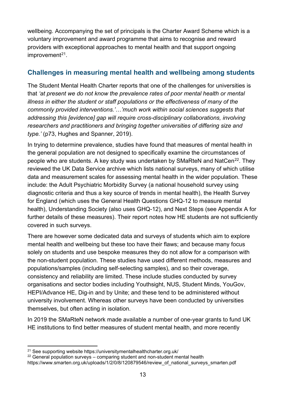wellbeing. Accompanying the set of principals is the Charter Award Scheme which is a voluntary improvement and award programme that aims to recognise and reward providers with exceptional approaches to mental health and that support ongoing  $improvement<sup>21</sup>$  $improvement<sup>21</sup>$  $improvement<sup>21</sup>$ .

#### **Challenges in measuring mental health and wellbeing among students**

The Student Mental Health Charter reports that one of the challenges for universities is that *'at present we do not know the prevalence rates of poor mental health or mental illness in either the student or staff populations or the effectiveness of many of the commonly provided interventions.'…'much work within social sciences suggests that addressing this [evidence] gap will require cross-disciplinary collaborations, involving researchers and practitioners and bringing together universities of differing size and type.'* (p73, Hughes and Spanner, 2019).

In trying to determine prevalence, studies have found that measures of mental health in the general population are not designed to specifically examine the circumstances of people who are students. A key study was undertaken by SMaRteN and NatCen<sup>[22](#page-12-1)</sup>. They reviewed the UK Data Service archive which lists national surveys, many of which utilise data and measurement scales for assessing mental health in the wider population. These include: the Adult Psychiatric Morbidity Survey (a national household survey using diagnostic criteria and thus a key source of trends in mental health), the Health Survey for England (which uses the General Health Questions GHQ-12 to measure mental health), Understanding Society (also uses GHQ-12), and Next Steps (see Appendix A for further details of these measures). Their report notes how HE students are not sufficiently covered in such surveys.

There are however some dedicated data and surveys of students which aim to explore mental health and wellbeing but these too have their flaws; and because many focus solely on students and use bespoke measures they do not allow for a comparison with the non-student population. These studies have used different methods, measures and populations/samples (including self-selecting samples), and so their coverage, consistency and reliability are limited. These include studies conducted by survey organisations and sector bodies including Youthsight, NUS, Student Minds, YouGov, HEPI/Advance HE, Dig-in and by Unite; and these tend to be administered without university involvement. Whereas other surveys have been conducted by universities themselves, but often acting in isolation.

In 2019 the SMaRteN network made available a number of one-year grants to fund UK HE institutions to find better measures of student mental health, and more recently

<span id="page-12-0"></span><sup>21</sup> See supporting website https://universitymentalhealthcharter.org.uk/

<span id="page-12-1"></span><sup>&</sup>lt;sup>22</sup> General population surveys – comparing student and non-student mental health

https://www.smarten.org.uk/uploads/1/2/0/8/120879546/review\_of\_national\_surveys\_smarten.pdf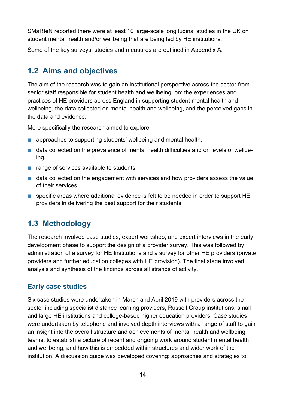SMaRteN reported there were at least 10 large-scale longitudinal studies in the UK on student mental health and/or wellbeing that are being led by HE institutions.

Some of the key surveys, studies and measures are outlined in Appendix A.

## <span id="page-13-0"></span>**1.2 Aims and objectives**

The aim of the research was to gain an institutional perspective across the sector from senior staff responsible for student health and wellbeing, on; the experiences and practices of HE providers across England in supporting student mental health and wellbeing, the data collected on mental health and wellbeing, and the perceived gaps in the data and evidence.

More specifically the research aimed to explore:

- approaches to supporting students' wellbeing and mental health,
- data collected on the prevalence of mental health difficulties and on levels of wellbeing,
- range of services available to students,
- data collected on the engagement with services and how providers assess the value of their services,
- specific areas where additional evidence is felt to be needed in order to support HE providers in delivering the best support for their students

## <span id="page-13-1"></span>**1.3 Methodology**

The research involved case studies, expert workshop, and expert interviews in the early development phase to support the design of a provider survey. This was followed by administration of a survey for HE Institutions and a survey for other HE providers (private providers and further education colleges with HE provision). The final stage involved analysis and synthesis of the findings across all strands of activity.

#### **Early case studies**

Six case studies were undertaken in March and April 2019 with providers across the sector including specialist distance learning providers, Russell Group institutions, small and large HE institutions and college-based higher education providers. Case studies were undertaken by telephone and involved depth interviews with a range of staff to gain an insight into the overall structure and achievements of mental health and wellbeing teams, to establish a picture of recent and ongoing work around student mental health and wellbeing, and how this is embedded within structures and wider work of the institution. A discussion guide was developed covering: approaches and strategies to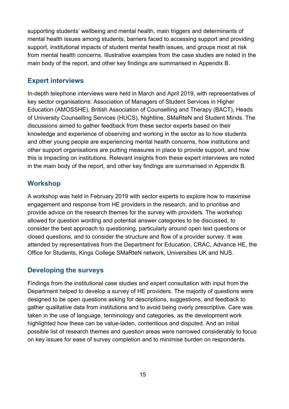supporting students' wellbeing and mental health, main triggers and determinants of mental health issues among students, barriers faced to accessing support and providing support, institutional impacts of student mental health issues, and groups most at risk from mental health concerns. Illustrative examples from the case studies are noted in the main body of the report, and other key findings are summarised in Appendix B.

#### **Expert interviews**

In-depth telephone interviews were held in March and April 2019, with representatives of key sector organisations: Association of Managers of Student Services in Higher Education (AMOSSHE), British Association of Counselling and Therapy (BACT), Heads of University Counselling Services (HUCS), Nightline, SMaRteN and Student Minds. The discussions aimed to gather feedback from these sector experts based on their knowledge and experience of observing and working in the sector as to how students and other young people are experiencing mental health concerns, how institutions and other support organisations are putting measures in place to provide support, and how this is impacting on institutions. Relevant insights from these expert interviews are noted in the main body of the report, and other key findings are summarised in Appendix B.

#### **Workshop**

A workshop was held in February 2019 with sector experts to explore how to maximise engagement and response from HE providers in the research, and to prioritise and provide advice on the research themes for the survey with providers. The workshop allowed for question wording and potential answer categories to be discussed, to consider the best approach to questioning, particularly around open text questions or closed questions, and to consider the structure and flow of a provider survey. It was attended by representatives from the Department for Education, CRAC, Advance HE, the Office for Students, Kings College SMaRteN network, Universities UK and NUS.

#### **Developing the surveys**

Findings from the institutional case studies and expert consultation with input from the Department helped to develop a survey of HE providers. The majority of questions were designed to be open questions asking for descriptions, suggestions, and feedback to gather qualitative data from institutions and to avoid being overly prescriptive. Care was taken in the use of language, terminology and categories, as the development work highlighted how these can be value-laden, contentious and disputed. And an initial possible list of research themes and question areas were narrowed considerably to focus on key issues for ease of survey completion and to minimise burden on respondents.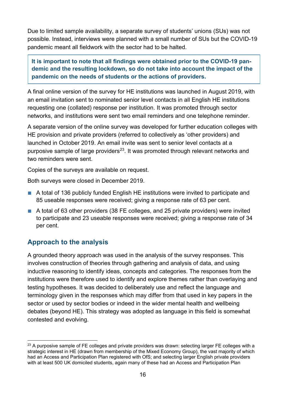Due to limited sample availability, a separate survey of students' unions (SUs) was not possible. Instead, interviews were planned with a small number of SUs but the COVID-19 pandemic meant all fieldwork with the sector had to be halted.

**It is important to note that all findings were obtained prior to the COVID-19 pandemic and the resulting lockdown, so do not take into account the impact of the pandemic on the needs of students or the actions of providers.** 

A final online version of the survey for HE institutions was launched in August 2019, with an email invitation sent to nominated senior level contacts in all English HE institutions requesting one (collated) response per institution. It was promoted through sector networks, and institutions were sent two email reminders and one telephone reminder.

A separate version of the online survey was developed for further education colleges with HE provision and private providers (referred to collectively as 'other providers) and launched in October 2019. An email invite was sent to senior level contacts at a purposive sample of large providers<sup>[23](#page-15-0)</sup>. It was promoted through relevant networks and two reminders were sent.

Copies of the surveys are available on request.

Both surveys were closed in December 2019.

- A total of 136 publicly funded English HE institutions were invited to participate and 85 useable responses were received; giving a response rate of 63 per cent.
- A total of 63 other providers (38 FE colleges, and 25 private providers) were invited to participate and 23 useable responses were received; giving a response rate of 34 per cent.

#### **Approach to the analysis**

A grounded theory approach was used in the analysis of the survey responses. This involves construction of theories through gathering and analysis of data, and using inductive reasoning to identify ideas, concepts and categories. The responses from the institutions were therefore used to identify and explore themes rather than overlaying and testing hypotheses. It was decided to deliberately use and reflect the language and terminology given in the responses which may differ from that used in key papers in the sector or used by sector bodies or indeed in the wider mental health and wellbeing debates (beyond HE). This strategy was adopted as language in this field is somewhat contested and evolving.

<span id="page-15-0"></span> $23$  A purposive sample of FE colleges and private providers was drawn: selecting larger FE colleges with a strategic interest in HE (drawn from membership of the Mixed Economy Group), the vast majority of which had an Access and Participation Plan registered with OfS; and selecting larger English private providers with at least 500 UK domiciled students, again many of these had an Access and Participation Plan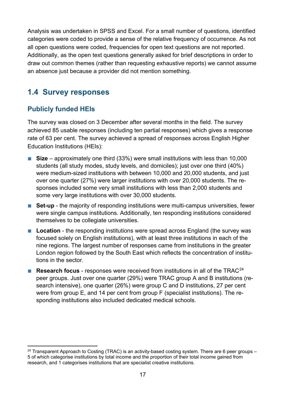Analysis was undertaken in SPSS and Excel. For a small number of questions, identified categories were coded to provide a sense of the relative frequency of occurrence. As not all open questions were coded, frequencies for open text questions are not reported. Additionally, as the open text questions generally asked for brief descriptions in order to draw out common themes (rather than requesting exhaustive reports) we cannot assume an absence just because a provider did not mention something.

## <span id="page-16-0"></span>**1.4 Survey responses**

#### **Publicly funded HEIs**

The survey was closed on 3 December after several months in the field. The survey achieved 85 usable responses (including ten partial responses) which gives a response rate of 63 per cent. The survey achieved a spread of responses across English Higher Education Institutions (HEIs):

- **Size** approximately one third (33%) were small institutions with less than 10,000 students (all study modes, study levels, and domiciles); just over one third (40%) were medium-sized institutions with between 10,000 and 20,000 students, and just over one quarter (27%) were larger institutions with over 20,000 students. The responses included some very small institutions with less than 2,000 students and some very large institutions with over 30,000 students.
- **Set-up** the majority of responding institutions were multi-campus universities, fewer were single campus institutions. Additionally, ten responding institutions considered themselves to be collegiate universities.
- Location the responding institutions were spread across England (the survey was focused solely on English institutions), with at least three institutions in each of the nine regions. The largest number of responses came from institutions in the greater London region followed by the South East which reflects the concentration of institutions in the sector.
- **Research focus** responses were received from institutions in all of the TRAC<sup>[24](#page-16-1)</sup> peer groups. Just over one quarter (29%) were TRAC group A and B institutions (research intensive), one quarter (26%) were group C and D institutions, 27 per cent were from group E, and 14 per cent from group F (specialist institutions). The responding institutions also included dedicated medical schools.

<span id="page-16-1"></span><sup>&</sup>lt;sup>24</sup> Transparent Approach to Costing (TRAC) is an activity-based costing system. There are 6 peer groups – 5 of which categorise institutions by total income and the proportion of their total income gained from research, and 1 categorises institutions that are specialist creative institutions.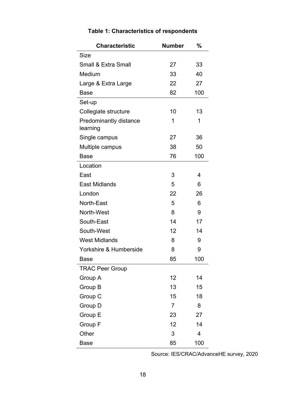<span id="page-17-0"></span>

| <b>Characteristic</b>                     | <b>Number</b>  | ℅   |
|-------------------------------------------|----------------|-----|
| Size                                      |                |     |
| <b>Small &amp; Extra Small</b>            | 27             | 33  |
| Medium                                    | 33             | 40  |
| Large & Extra Large                       | 22             | 27  |
| Base                                      | 82             | 100 |
| Set-up                                    |                |     |
| Collegiate structure                      | 10             | 13  |
| <b>Predominantly distance</b><br>learning | 1              | 1   |
| Single campus                             | 27             | 36  |
| Multiple campus                           | 38             | 50  |
| <b>Base</b>                               | 76             | 100 |
| Location                                  |                |     |
| East                                      | 3              | 4   |
| <b>East Midlands</b>                      | 5              | 6   |
| London                                    | 22             | 26  |
| North-East                                | 5              | 6   |
| North-West                                | 8              | 9   |
| South-East                                | 14             | 17  |
| South-West                                | 12             | 14  |
| <b>West Midlands</b>                      | 8              | 9   |
| Yorkshire & Humberside                    | 8              | 9   |
| Base                                      | 85             | 100 |
| <b>TRAC Peer Group</b>                    |                |     |
| Group A                                   | 12             | 14  |
| Group B                                   | 13             | 15  |
| Group C                                   | 15             | 18  |
| Group D                                   | $\overline{7}$ | 8   |
| Group E                                   | 23             | 27  |
| Group F                                   | 12             | 14  |
| Other                                     | 3              | 4   |
| <b>Base</b>                               | 85             | 100 |

## **Table 1: Characteristics of respondents**

Source: IES/CRAC/AdvanceHE survey, 2020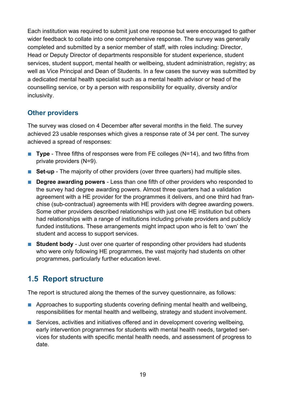Each institution was required to submit just one response but were encouraged to gather wider feedback to collate into one comprehensive response. The survey was generally completed and submitted by a senior member of staff, with roles including: Director, Head or Deputy Director of departments responsible for student experience, student services, student support, mental health or wellbeing, student administration, registry; as well as Vice Principal and Dean of Students. In a few cases the survey was submitted by a dedicated mental health specialist such as a mental health advisor or head of the counselling service, or by a person with responsibility for equality, diversity and/or inclusivity.

#### **Other providers**

The survey was closed on 4 December after several months in the field. The survey achieved 23 usable responses which gives a response rate of 34 per cent. The survey achieved a spread of responses:

- **Type** Three fifths of responses were from FE colleges (N=14), and two fifths from private providers (N=9).
- **Set-up** The majority of other providers (over three quarters) had multiple sites.
- **Degree awarding powers** Less than one fifth of other providers who responded to the survey had degree awarding powers. Almost three quarters had a validation agreement with a HE provider for the programmes it delivers, and one third had franchise (sub-contractual) agreements with HE providers with degree awarding powers. Some other providers described relationships with just one HE institution but others had relationships with a range of institutions including private providers and publicly funded institutions. These arrangements might impact upon who is felt to 'own' the student and access to support services.
- **Student body** Just over one quarter of responding other providers had students who were only following HE programmes, the vast majority had students on other programmes, particularly further education level.

## <span id="page-18-0"></span>**1.5 Report structure**

The report is structured along the themes of the survey questionnaire, as follows:

- Approaches to supporting students covering defining mental health and wellbeing, responsibilities for mental health and wellbeing, strategy and student involvement.
- Services, activities and initiatives offered and in development covering wellbeing, early intervention programmes for students with mental health needs, targeted services for students with specific mental health needs, and assessment of progress to date.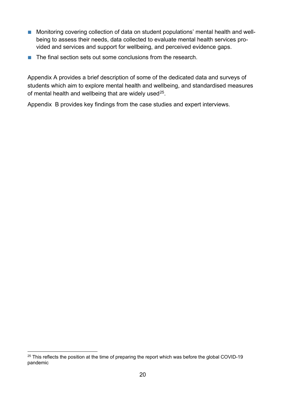- Monitoring covering collection of data on student populations' mental health and wellbeing to assess their needs, data collected to evaluate mental health services provided and services and support for wellbeing, and perceived evidence gaps.
- The final section sets out some conclusions from the research.

Appendix A provides a brief description of some of the dedicated data and surveys of students which aim to explore mental health and wellbeing, and standardised measures of mental health and wellbeing that are widely used<sup>[25](#page-19-0)</sup>.

Appendix B provides key findings from the case studies and expert interviews.

<span id="page-19-0"></span> $25$  This reflects the position at the time of preparing the report which was before the global COVID-19 pandemic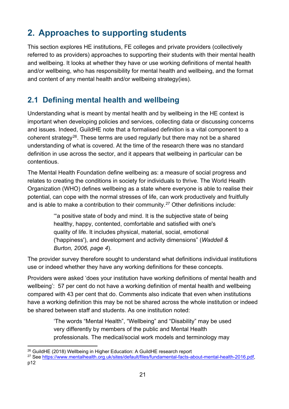# <span id="page-20-0"></span>**2. Approaches to supporting students**

This section explores HE institutions, FE colleges and private providers (collectively referred to as providers) approaches to supporting their students with their mental health and wellbeing. It looks at whether they have or use working definitions of mental health and/or wellbeing, who has responsibility for mental health and wellbeing, and the format and content of any mental health and/or wellbeing strategy(ies).

## <span id="page-20-1"></span>**2.1 Defining mental health and wellbeing**

Understanding what is meant by mental health and by wellbeing in the HE context is important when developing policies and services, collecting data or discussing concerns and issues. Indeed, GuildHE note that a formalised definition is a vital component to a coherent strategy<sup>26</sup>. These terms are used regularly but there may not be a shared understanding of what is covered. At the time of the research there was no standard definition in use across the sector, and it appears that wellbeing in particular can be contentious.

The Mental Health Foundation define wellbeing as: a measure of social progress and relates to creating the conditions in society for individuals to thrive. The World Health Organization (WHO) defines wellbeing as a state where everyone is able to realise their potential, can cope with the normal stresses of life, can work productively and fruitfully and is able to make a contribution to their community.[27](#page-20-3) Other definitions include:

> '"a positive state of body and mind. It is the subjective state of being healthy, happy, contented, comfortable and satisfied with one's quality of life. It includes physical, material, social, emotional ('happiness'), and development and activity dimensions" (*Waddell & Burton, 2006, page 4*).

The provider survey therefore sought to understand what definitions individual institutions use or indeed whether they have any working definitions for these concepts.

Providers were asked 'does your institution have working definitions of mental health and wellbeing': 57 per cent do not have a working definition of mental health and wellbeing compared with 43 per cent that do. Comments also indicate that even when institutions have a working definition this may be not be shared across the whole institution or indeed be shared between staff and students. As one institution noted:

> 'The words "Mental Health", "Wellbeing" and "Disability" may be used very differently by members of the public and Mental Health professionals. The medical/social work models and terminology may

<span id="page-20-2"></span><sup>&</sup>lt;sup>26</sup> GuildHE (2018) Wellbeing in Higher Education: A GuildHE research report

<span id="page-20-3"></span><sup>27</sup> See [https://www.mentalhealth.org.uk/sites/default/files/fundamental-facts-about-mental-health-2016.pdf,](https://www.mentalhealth.org.uk/sites/default/files/fundamental-facts-about-mental-health-2016.pdf) p12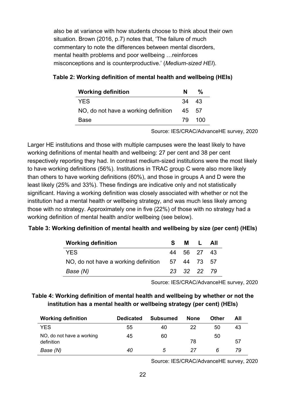also be at variance with how students choose to think about their own situation. Brown (2016, p.7) notes that, 'The failure of much commentary to note the differences between mental disorders, mental health problems and poor wellbeing …reinforces misconceptions and is counterproductive.' (*Medium-sized HEI*).

| <b>Working definition</b>            | N     | %      |
|--------------------------------------|-------|--------|
| <b>YES</b>                           | 34 43 |        |
| NO, do not have a working definition | 45 57 |        |
| Base                                 |       | 79 100 |

#### <span id="page-21-0"></span>**Table 2: Working definition of mental health and wellbeing (HEIs)**

Source: IES/CRAC/AdvanceHE survey, 2020

Larger HE institutions and those with multiple campuses were the least likely to have working definitions of mental health and wellbeing: 27 per cent and 38 per cent respectively reporting they had. In contrast medium-sized institutions were the most likely to have working definitions (56%). Institutions in TRAC group C were also more likely than others to have working definitions (60%), and those in groups A and D were the least likely (25% and 33%). These findings are indicative only and not statistically significant. Having a working definition was closely associated with whether or not the institution had a mental health or wellbeing strategy, and was much less likely among those with no strategy. Approximately one in five (22%) of those with no strategy had a working definition of mental health and/or wellbeing (see below).

#### <span id="page-21-1"></span>**Table 3: Working definition of mental health and wellbeing by size (per cent) (HEIs)**

| <b>Working definition</b>                        | S. | M L All     |  |
|--------------------------------------------------|----|-------------|--|
| <b>YES</b>                                       |    | 44 56 27 43 |  |
| NO, do not have a working definition 57 44 73 57 |    |             |  |
| Base (N)                                         |    | 23 32 22 79 |  |

Source: IES/CRAC/AdvanceHE survey, 2020

#### <span id="page-21-2"></span>**Table 4: Working definition of mental health and wellbeing by whether or not the institution has a mental health or wellbeing strategy (per cent) (HEIs)**

| <b>Working definition</b>               | <b>Dedicated</b> | <b>Subsumed</b> | <b>None</b> | Other | All |
|-----------------------------------------|------------------|-----------------|-------------|-------|-----|
| YES                                     | 55               | 40              | 22          | 50    | 43  |
| NO, do not have a working<br>definition | 45               | 60              | 78          | 50    | 57  |
| Base (N)                                | 40               | 5               | 27          | 6     | 79  |

Source: IES/CRAC/AdvanceHE survey, 2020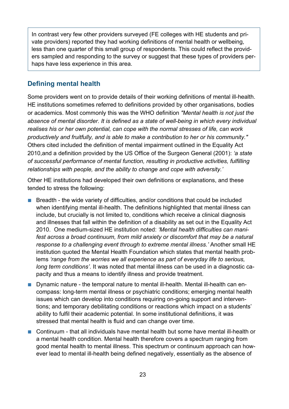In contrast very few other providers surveyed (FE colleges with HE students and private providers) reported they had working definitions of mental health or wellbeing, less than one quarter of this small group of respondents. This could reflect the providers sampled and responding to the survey or suggest that these types of providers perhaps have less experience in this area.

#### **Defining mental health**

Some providers went on to provide details of their working definitions of mental ill-health. HE institutions sometimes referred to definitions provided by other organisations, bodies or academics. Most commonly this was the WHO definition *"Mental health is not just the absence of mental disorder. It is defined as a state of well-being in which every individual realises his or her own potential, can cope with the normal stresses of life, can work productively and fruitfully, and is able to make a contribution to her or his community."* Others cited included the definition of mental impairment outlined in the Equality Act 2010,and a definition provided by the US Office of the Surgeon General (2001): *'a state of successful performance of mental function, resulting in productive activities, fulfilling relationships with people, and the ability to change and cope with adversity.'*

Other HE institutions had developed their own definitions or explanations, and these tended to stress the following:

- Breadth the wide variety of difficulties, and/or conditions that could be included when identifying mental ill-health. The definitions highlighted that mental illness can include, but crucially is not limited to, conditions which receive a clinical diagnosis and illnesses that fall within the definition of a disability as set out in the Equality Act 2010. One medium-sized HE institution noted: *'Mental health difficulties can manifest across a broad continuum, from mild anxiety or discomfort that may be a natural response to a challenging event through to extreme mental illness.'* Another small HE institution quoted the Mental Health Foundation which states that mental health problems *'range from the worries we all experience as part of everyday life to serious, long term conditions'*. It was noted that mental illness can be used in a diagnostic capacity and thus a means to identify illness and provide treatment.
- Dynamic nature the temporal nature to mental ill-health. Mental ill-health can encompass: long-term mental illness or psychiatric conditions; emerging mental health issues which can develop into conditions requiring on-going support and interventions; and temporary debilitating conditions or reactions which impact on a students' ability to fulfil their academic potential. In some institutional definitions, it was stressed that mental health is fluid and can change over time.
- Continuum that all individuals have mental health but some have mental ill-health or a mental health condition. Mental health therefore covers a spectrum ranging from good mental health to mental illness. This spectrum or continuum approach can however lead to mental ill-health being defined negatively, essentially as the absence of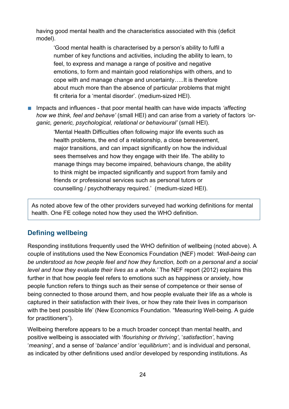having good mental health and the characteristics associated with this (deficit model).

'Good mental health is characterised by a person's ability to fulfil a number of key functions and activities, including the ability to learn, to feel, to express and manage a range of positive and negative emotions, to form and maintain good relationships with others, and to cope with and manage change and uncertainty…..It is therefore about much more than the absence of particular problems that might fit criteria for a 'mental disorder'. (medium-sized HEI).

■ Impacts and influences - that poor mental health can have wide impacts *'affecting how we think, feel and behave'* (small HEI) and can arise from a variety of factors *'organic, generic, psychological, relational or behavioural'* (small HEI).

> 'Mental Health Difficulties often following major life events such as health problems, the end of a relationship, a close bereavement, major transitions, and can impact significantly on how the individual sees themselves and how they engage with their life. The ability to manage things may become impaired, behaviours change, the ability to think might be impacted significantly and support from family and friends or professional services such as personal tutors or counselling / psychotherapy required.' (medium-sized HEI).

As noted above few of the other providers surveyed had working definitions for mental health. One FE college noted how they used the WHO definition.

#### **Defining wellbeing**

Responding institutions frequently used the WHO definition of wellbeing (noted above). A couple of institutions used the New Economics Foundation (NEF) model: *'Well-being can be understood as how people feel and how they function, both on a personal and a social level and how they evaluate their lives as a whole.'* The NEF report (2012) explains this further in that how people feel refers to emotions such as happiness or anxiety, how people function refers to things such as their sense of competence or their sense of being connected to those around them, and how people evaluate their life as a whole is captured in their satisfaction with their lives, or how they rate their lives in comparison with the best possible life' (New Economics Foundation. "Measuring Well-being. A guide for practitioners").

Wellbeing therefore appears to be a much broader concept than mental health, and positive wellbeing is associated with '*flourishing or thriving'*, '*satisfaction'*, having '*meaning'*, and a sense of '*balance'* and/or '*equilibrium'*; and is individual and personal, as indicated by other definitions used and/or developed by responding institutions. As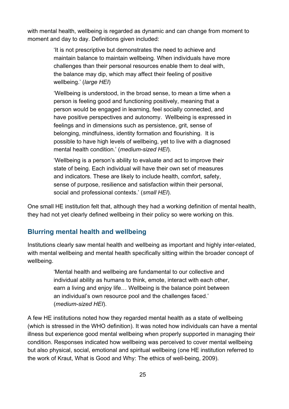with mental health, wellbeing is regarded as dynamic and can change from moment to moment and day to day. Definitions given included:

> 'It is not prescriptive but demonstrates the need to achieve and maintain balance to maintain wellbeing. When individuals have more challenges than their personal resources enable them to deal with, the balance may dip, which may affect their feeling of positive wellbeing.' (*large HEI*)

> 'Wellbeing is understood, in the broad sense, to mean a time when a person is feeling good and functioning positively, meaning that a person would be engaged in learning, feel socially connected, and have positive perspectives and autonomy. Wellbeing is expressed in feelings and in dimensions such as persistence, grit, sense of belonging, mindfulness, identity formation and flourishing. It is possible to have high levels of wellbeing, yet to live with a diagnosed mental health condition.' (*medium-sized HEI*).

'Wellbeing is a person's ability to evaluate and act to improve their state of being. Each individual will have their own set of measures and indicators. These are likely to include health, comfort, safety, sense of purpose, resilience and satisfaction within their personal, social and professional contexts.' (*small HEI*).

One small HE institution felt that, although they had a working definition of mental health, they had not yet clearly defined wellbeing in their policy so were working on this.

#### **Blurring mental health and wellbeing**

Institutions clearly saw mental health and wellbeing as important and highly inter-related, with mental wellbeing and mental health specifically sitting within the broader concept of wellbeing.

> 'Mental health and wellbeing are fundamental to our collective and individual ability as humans to think, emote, interact with each other, earn a living and enjoy life… Wellbeing is the balance point between an individual's own resource pool and the challenges faced.' (*medium-sized HEI*).

A few HE institutions noted how they regarded mental health as a state of wellbeing (which is stressed in the WHO definition). It was noted how individuals can have a mental illness but experience good mental wellbeing when properly supported in managing their condition. Responses indicated how wellbeing was perceived to cover mental wellbeing but also physical, social, emotional and spiritual wellbeing (one HE institution referred to the work of Kraut, What is Good and Why: The ethics of well-being, 2009).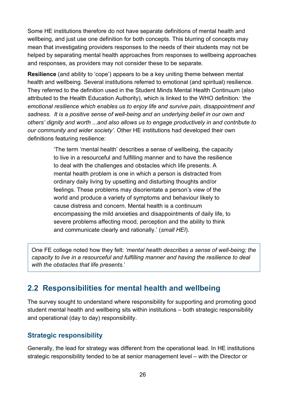Some HE institutions therefore do not have separate definitions of mental health and wellbeing, and just use one definition for both concepts. This blurring of concepts may mean that investigating providers responses to the needs of their students may not be helped by separating mental health approaches from responses to wellbeing approaches and responses, as providers may not consider these to be separate.

**Resilience** (and ability to 'cope') appears to be a key uniting theme between mental health and wellbeing. Several institutions referred to emotional (and spiritual) resilience. They referred to the definition used in the Student Minds Mental Health Continuum (also attributed to the Health Education Authority), which is linked to the WHO definition*: 'the emotional resilience which enables us to enjoy life and survive pain, disappointment and sadness. It is a positive sense of well-being and an underlying belief in our own and others' dignity and worth* ...*and also allows us to engage productively in and contribute to our community and wider society'*. Other HE institutions had developed their own definitions featuring resilience:

> 'The term 'mental health' describes a sense of wellbeing, the capacity to live in a resourceful and fulfilling manner and to have the resilience to deal with the challenges and obstacles which life presents. A mental health problem is one in which a person is distracted from ordinary daily living by upsetting and disturbing thoughts and/or feelings. These problems may disorientate a person's view of the world and produce a variety of symptoms and behaviour likely to cause distress and concern. Mental health is a continuum encompassing the mild anxieties and disappointments of daily life, to severe problems affecting mood, perception and the ability to think and communicate clearly and rationally.' (*small HEI*).

One FE college noted how they felt: *'mental health describes a sense of well-being; the capacity to live in a resourceful and fulfilling manner and having the resilience to deal with the obstacles that life presents*.'

## <span id="page-25-0"></span>**2.2 Responsibilities for mental health and wellbeing**

The survey sought to understand where responsibility for supporting and promoting good student mental health and wellbeing sits within institutions – both strategic responsibility and operational (day to day) responsibility.

#### **Strategic responsibility**

Generally, the lead for strategy was different from the operational lead. In HE institutions strategic responsibility tended to be at senior management level – with the Director or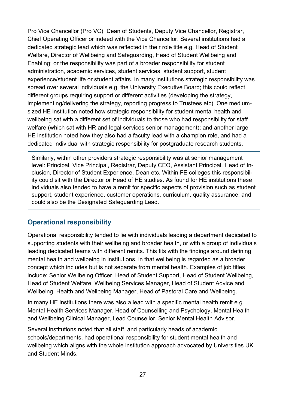Pro Vice Chancellor (Pro VC), Dean of Students, Deputy Vice Chancellor, Registrar, Chief Operating Officer or indeed with the Vice Chancellor. Several institutions had a dedicated strategic lead which was reflected in their role title e.g. Head of Student Welfare, Director of Wellbeing and Safeguarding, Head of Student Wellbeing and Enabling; or the responsibility was part of a broader responsibility for student administration, academic services, student services, student support, student experience/student life or student affairs. In many institutions strategic responsibility was spread over several individuals e.g. the University Executive Board; this could reflect different groups requiring support or different activities (developing the strategy, implementing/delivering the strategy, reporting progress to Trustees etc). One mediumsized HE institution noted how strategic responsibility for student mental health and wellbeing sat with a different set of individuals to those who had responsibility for staff welfare (which sat with HR and legal services senior management); and another large HE institution noted how they also had a faculty lead with a champion role, and had a dedicated individual with strategic responsibility for postgraduate research students.

Similarly, within other providers strategic responsibility was at senior management level: Principal, Vice Principal, Registrar, Deputy CEO, Assistant Principal, Head of Inclusion, Director of Student Experience, Dean etc. Within FE colleges this responsibility could sit with the Director or Head of HE studies. As found for HE institutions these individuals also tended to have a remit for specific aspects of provision such as student support, student experience, customer operations, curriculum, quality assurance; and could also be the Designated Safeguarding Lead.

#### **Operational responsibility**

Operational responsibility tended to lie with individuals leading a department dedicated to supporting students with their wellbeing and broader health, or with a group of individuals leading dedicated teams with different remits. This fits with the findings around defining mental health and wellbeing in institutions, in that wellbeing is regarded as a broader concept which includes but is not separate from mental health. Examples of job titles include: Senior Wellbeing Officer, Head of Student Support, Head of Student Wellbeing, Head of Student Welfare, Wellbeing Services Manager, Head of Student Advice and Wellbeing, Health and Wellbeing Manager, Head of Pastoral Care and Wellbeing.

In many HE institutions there was also a lead with a specific mental health remit e.g. Mental Health Services Manager, Head of Counselling and Psychology, Mental Health and Wellbeing Clinical Manager, Lead Counsellor, Senior Mental Health Advisor.

Several institutions noted that all staff, and particularly heads of academic schools/departments, had operational responsibility for student mental health and wellbeing which aligns with the whole institution approach advocated by Universities UK and Student Minds.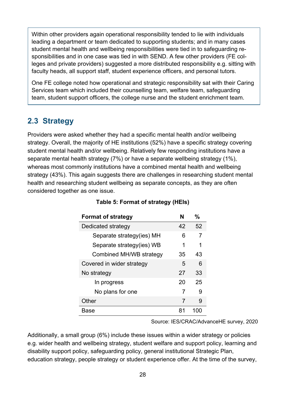Within other providers again operational responsibility tended to lie with individuals leading a department or team dedicated to supporting students; and in many cases student mental health and wellbeing responsibilities were tied in to safeguarding responsibilities and in one case was tied in with SEND. A few other providers (FE colleges and private providers) suggested a more distributed responsibility e.g. sitting with faculty heads, all support staff, student experience officers, and personal tutors.

One FE college noted how operational and strategic responsibility sat with their Caring Services team which included their counselling team, welfare team, safeguarding team, student support officers, the college nurse and the student enrichment team.

## <span id="page-27-0"></span>**2.3 Strategy**

Providers were asked whether they had a specific mental health and/or wellbeing strategy. Overall, the majority of HE institutions (52%) have a specific strategy covering student mental health and/or wellbeing. Relatively few responding institutions have a separate mental health strategy (7%) or have a separate wellbeing strategy (1%), whereas most commonly institutions have a combined mental health and wellbeing strategy (43%). This again suggests there are challenges in researching student mental health and researching student wellbeing as separate concepts, as they are often considered together as one issue.

<span id="page-27-1"></span>

| <b>Format of strategy</b> | N  | %  |
|---------------------------|----|----|
| Dedicated strategy        | 42 | 52 |
| Separate strategy(ies) MH | 6  |    |
| Separate strategy(ies) WB | 1  | 1  |
| Combined MH/WB strategy   | 35 | 43 |
| Covered in wider strategy | 5  | 6  |
| No strategy               | 27 | 33 |
| In progress               | 20 | 25 |
| No plans for one          | 7  |    |
| Other                     | 7  | 9  |
| Base                      |    |    |

#### **Table 5: Format of strategy (HEIs)**

Source: IES/CRAC/AdvanceHE survey, 2020

Additionally, a small group (6%) include these issues within a wider strategy or policies e.g. wider health and wellbeing strategy, student welfare and support policy, learning and disability support policy, safeguarding policy, general institutional Strategic Plan, education strategy, people strategy or student experience offer. At the time of the survey,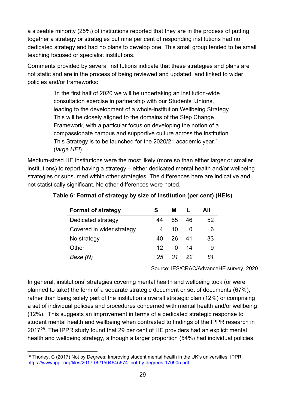a sizeable minority (25%) of institutions reported that they are in the process of putting together a strategy or strategies but nine per cent of responding institutions had no dedicated strategy and had no plans to develop one. This small group tended to be small teaching focused or specialist institutions.

Comments provided by several institutions indicate that these strategies and plans are not static and are in the process of being reviewed and updated, and linked to wider policies and/or frameworks:

> 'In the first half of 2020 we will be undertaking an institution-wide consultation exercise in partnership with our Students' Unions, leading to the development of a whole-institution Wellbeing Strategy. This will be closely aligned to the domains of the Step Change Framework, with a particular focus on developing the notion of a compassionate campus and supportive culture across the institution. This Strategy is to be launched for the 2020/21 academic year.' (*large HEI*).

Medium-sized HE institutions were the most likely (more so than either larger or smaller institutions) to report having a strategy – either dedicated mental health and/or wellbeing strategies or subsumed within other strategies. The differences here are indicative and not statistically significant. No other differences were noted.

| <b>Format of strategy</b> | S   | м    |              | AII |
|---------------------------|-----|------|--------------|-----|
| Dedicated strategy        | 44  | 65.  | 46           | 52  |
| Covered in wider strategy | 4   | 10   | $\mathbf{I}$ | 6   |
| No strategy               | 40  | -26. | -41          | 33  |
| Other                     | 12. | 0    | 14           | 9   |
| Base (N)                  | 25  | -31  | 22           | 81  |

#### <span id="page-28-0"></span>**Table 6: Format of strategy by size of institution (per cent) (HEIs)**

Source: IES/CRAC/AdvanceHE survey, 2020

In general, institutions' strategies covering mental health and wellbeing took (or were planned to take) the form of a separate strategic document or set of documents (67%), rather than being solely part of the institution's overall strategic plan (12%) or comprising a set of individual policies and procedures concerned with mental health and/or wellbeing (12%). This suggests an improvement in terms of a dedicated strategic response to student mental health and wellbeing when contrasted to findings of the IPPR research in 2017[28.](#page-28-1) The IPPR study found that 29 per cent of HE providers had an explicit mental health and wellbeing strategy, although a larger proportion (54%) had individual policies

<span id="page-28-1"></span><sup>&</sup>lt;sup>28</sup> Thorley, C (2017) Not by Degrees: Improving student mental health in the UK's universities, IPPR. [https://www.ippr.org/files/2017-09/1504645674\\_not-by-degrees-170905.pdf](https://www.ippr.org/files/2017-09/1504645674_not-by-degrees-170905.pdf)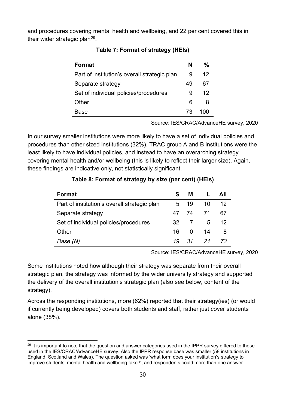<span id="page-29-0"></span>and procedures covering mental health and wellbeing, and 22 per cent covered this in their wider strategic plan<sup>[29](#page-29-2)</sup>.

| Format                                       | N  | %   |
|----------------------------------------------|----|-----|
| Part of institution's overall strategic plan | 9  | 12  |
| Separate strategy                            | 49 | 67  |
| Set of individual policies/procedures        | 9  | 12  |
| Other                                        | 6  | 8   |
| Base                                         | 73 | 100 |

#### **Table 7: Format of strategy (HEIs)**

Source: IES/CRAC/AdvanceHE survey, 2020

In our survey smaller institutions were more likely to have a set of individual policies and procedures than other sized institutions (32%). TRAC group A and B institutions were the least likely to have individual policies, and instead to have an overarching strategy covering mental health and/or wellbeing (this is likely to reflect their larger size). Again, these findings are indicative only, not statistically significant.

<span id="page-29-1"></span>

| <b>Format</b>                                | S.  | M                       | Ι. | All |
|----------------------------------------------|-----|-------------------------|----|-----|
| Part of institution's overall strategic plan | 5   | 19                      | 10 | 12  |
| Separate strategy                            |     | 47 74 71                |    | 67  |
| Set of individual policies/procedures        |     | 32 7                    | 5  | 12. |
| Other                                        | 16. | $\overline{\mathbf{0}}$ | 14 | 8   |
| Base (N)                                     | 19  | 31                      | 21 | 73  |

#### **Table 8: Format of strategy by size (per cent) (HEIs)**

Source: IES/CRAC/AdvanceHE survey, 2020

Some institutions noted how although their strategy was separate from their overall strategic plan, the strategy was informed by the wider university strategy and supported the delivery of the overall institution's strategic plan (also see below, content of the strategy).

Across the responding institutions, more (62%) reported that their strategy(ies) (or would if currently being developed) covers both students and staff, rather just cover students alone (38%).

<span id="page-29-2"></span> $29$  It is important to note that the question and answer categories used in the IPPR survey differed to those used in the IES/CRAC/AdvanceHE survey. Also the IPPR response base was smaller (58 institutions in England, Scotland and Wales). The question asked was 'what form does your institution's strategy to improve students' mental health and wellbeing take?', and respondents could more than one answer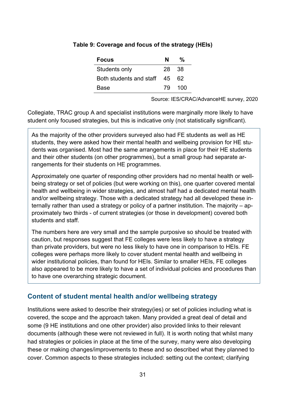| <b>Focus</b>               | N   | ℀   |
|----------------------------|-----|-----|
| Students only              | 28. | -38 |
| Both students and staff 45 |     | 62  |
| <b>Base</b>                | 79  | 100 |

#### <span id="page-30-0"></span>**Table 9: Coverage and focus of the strategy (HEIs)**

Source: IES/CRAC/AdvanceHE survey, 2020

Collegiate, TRAC group A and specialist institutions were marginally more likely to have student only focused strategies, but this is indicative only (not statistically significant).

As the majority of the other providers surveyed also had FE students as well as HE students, they were asked how their mental health and wellbeing provision for HE students was organised. Most had the same arrangements in place for their HE students and their other students (on other programmes), but a small group had separate arrangements for their students on HE programmes.

Approximately one quarter of responding other providers had no mental health or wellbeing strategy or set of policies (but were working on this), one quarter covered mental health and wellbeing in wider strategies, and almost half had a dedicated mental health and/or wellbeing strategy. Those with a dedicated strategy had all developed these internally rather than used a strategy or policy of a partner institution. The majority – approximately two thirds - of current strategies (or those in development) covered both students and staff.

The numbers here are very small and the sample purposive so should be treated with caution, but responses suggest that FE colleges were less likely to have a strategy than private providers, but were no less likely to have one in comparison to HEIs. FE colleges were perhaps more likely to cover student mental health and wellbeing in wider institutional policies, than found for HEIs. Similar to smaller HEIs, FE colleges also appeared to be more likely to have a set of individual policies and procedures than to have one overarching strategic document.

#### **Content of student mental health and/or wellbeing strategy**

Institutions were asked to describe their strategy(ies) or set of policies including what is covered, the scope and the approach taken. Many provided a great deal of detail and some (9 HE institutions and one other provider) also provided links to their relevant documents (although these were not reviewed in full). It is worth noting that whilst many had strategies or policies in place at the time of the survey, many were also developing these or making changes/improvements to these and so described what they planned to cover. Common aspects to these strategies included: setting out the context; clarifying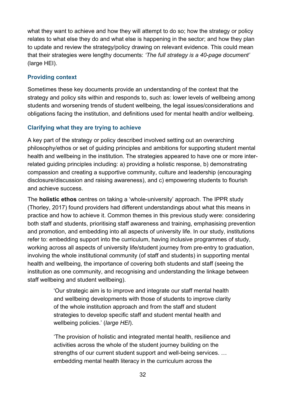what they want to achieve and how they will attempt to do so; how the strategy or policy relates to what else they do and what else is happening in the sector; and how they plan to update and review the strategy/policy drawing on relevant evidence. This could mean that their strategies were lengthy documents: *'The full strategy is a 40-page document'*  (large HEI).

#### **Providing context**

Sometimes these key documents provide an understanding of the context that the strategy and policy sits within and responds to, such as: lower levels of wellbeing among students and worsening trends of student wellbeing, the legal issues/considerations and obligations facing the institution, and definitions used for mental health and/or wellbeing.

#### **Clarifying what they are trying to achieve**

A key part of the strategy or policy described involved setting out an overarching philosophy/ethos or set of guiding principles and ambitions for supporting student mental health and wellbeing in the institution. The strategies appeared to have one or more interrelated guiding principles including: a) providing a holistic response, b) demonstrating compassion and creating a supportive community, culture and leadership (encouraging disclosure/discussion and raising awareness), and c) empowering students to flourish and achieve success.

The **holistic ethos** centres on taking a 'whole-university' approach. The IPPR study (Thorley, 2017) found providers had different understandings about what this means in practice and how to achieve it. Common themes in this previous study were: considering both staff and students, prioritising staff awareness and training, emphasising prevention and promotion, and embedding into all aspects of university life. In our study, institutions refer to: embedding support into the curriculum, having inclusive programmes of study, working across all aspects of university life/student journey from pre-entry to graduation, involving the whole institutional community (of staff and students) in supporting mental health and wellbeing, the importance of covering both students and staff (seeing the institution as one community, and recognising and understanding the linkage between staff wellbeing and student wellbeing).

> 'Our strategic aim is to improve and integrate our staff mental health and wellbeing developments with those of students to improve clarity of the whole institution approach and from the staff and student strategies to develop specific staff and student mental health and wellbeing policies.' (*large HEI*).

> 'The provision of holistic and integrated mental health, resilience and activities across the whole of the student journey building on the strengths of our current student support and well-being services. … embedding mental health literacy in the curriculum across the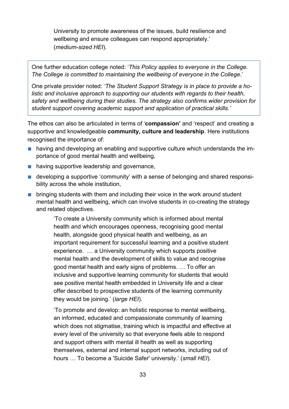University to promote awareness of the issues, build resilience and wellbeing and ensure colleagues can respond appropriately.' (*medium-sized HEI*).

One further education college noted: '*This Policy applies to everyone in the College. The College is committed to maintaining the wellbeing of everyone in the College*.'

One private provider noted: *'The Student Support Strategy is in place to provide a holistic and inclusive approach to supporting our students with regards to their health, safety and wellbeing during their studies. The strategy also confirms wider provision for student support covering academic support and application of practical skills.'*

The ethos can also be articulated in terms of '**compassion'** and 'respect' and creating a supportive and knowledgeable **community, culture and leadership**. Here institutions recognised the importance of:

- having and developing an enabling and supportive culture which understands the importance of good mental health and wellbeing,
- having supportive leadership and governance,
- developing a supportive 'community' with a sense of belonging and shared responsibility across the whole institution,
- bringing students with them and including their voice in the work around student mental health and wellbeing, which can involve students in co-creating the strategy and related objectives.

'To create a University community which is informed about mental health and which encourages openness, recognising good mental health, alongside good physical health and wellbeing, as an important requirement for successful learning and a positive student experience. … a University community which supports positive mental health and the development of skills to value and recognise good mental health and early signs of problems. … To offer an inclusive and supportive learning community for students that would see positive mental health embedded in University life and a clear offer described to prospective students of the learning community they would be joining.' (*large HEI*).

'To promote and develop: an holistic response to mental wellbeing, an informed, educated and compassionate community of learning which does not stigmatise, training which is impactful and effective at every level of the university so that everyone feels able to respond and support others with mental ill health as well as supporting themselves, external and internal support networks, including out of hours … To become a 'Suicide Safer' university.' (*small HEI*).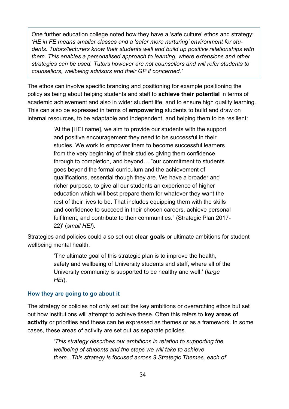One further education college noted how they have a 'safe culture' ethos and strategy: *'HE in FE means smaller classes and a 'safer more nurturing' environment for students. Tutors/lecturers know their students well and build up positive relationships with them. This enables a personalised approach to learning, where extensions and other strategies can be used. Tutors however are not counsellors and will refer students to counsellors, wellbeing advisors and their GP if concerned.'*

The ethos can involve specific branding and positioning for example positioning the policy as being about helping students and staff to **achieve their potential** in terms of academic achievement and also in wider student life, and to ensure high quality learning. This can also be expressed in terms of **empowering** students to build and draw on internal resources, to be adaptable and independent, and helping them to be resilient:

> 'At the [HEI name], we aim to provide our students with the support and positive encouragement they need to be successful in their studies. We work to empower them to become successful learners from the very beginning of their studies giving them confidence through to completion, and beyond…."our commitment to students goes beyond the formal curriculum and the achievement of qualifications, essential though they are. We have a broader and richer purpose, to give all our students an experience of higher education which will best prepare them for whatever they want the rest of their lives to be. That includes equipping them with the skills and confidence to succeed in their chosen careers, achieve personal fulfilment, and contribute to their communities." (Strategic Plan 2017- 22)' (*small HEI*).

Strategies and policies could also set out **clear goals** or ultimate ambitions for student wellbeing mental health.

> 'The ultimate goal of this strategic plan is to improve the health, safety and wellbeing of University students and staff, where all of the University community is supported to be healthy and well.' (*large HEI*).

#### **How they are going to go about it**

The strategy or policies not only set out the key ambitions or overarching ethos but set out how institutions will attempt to achieve these. Often this refers to **key areas of activity** or priorities and these can be expressed as themes or as a framework. In some cases, these areas of activity are set out as separate policies.

> '*This strategy describes our ambitions in relation to supporting the wellbeing of students and the steps we will take to achieve them...This strategy is focused across 9 Strategic Themes, each of*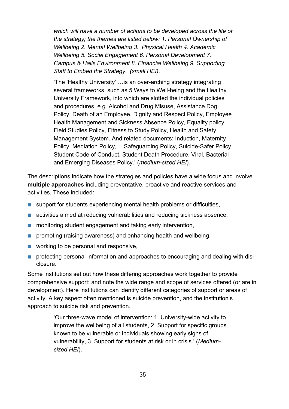*which will have a number of actions to be developed across the life of the strategy; the themes are listed below: 1. Personal Ownership of Wellbeing 2. Mental Wellbeing 3. Physical Health 4. Academic Wellbeing 5. Social Engagement 6. Personal Development 7. Campus & Halls Environment 8. Financial Wellbeing 9. Supporting Staff to Embed the Strategy.' (small HEI).*

'The 'Healthy University' …is an over-arching strategy integrating several frameworks, such as 5 Ways to Well-being and the Healthy University Framework, into which are slotted the individual policies and procedures, e.g. Alcohol and Drug Misuse, Assistance Dog Policy, Death of an Employee, Dignity and Respect Policy, Employee Health Management and Sickness Absence Policy, Equality policy, Field Studies Policy, Fitness to Study Policy, Health and Safety Management System. And related documents: Induction, Maternity Policy, Mediation Policy, …Safeguarding Policy, Suicide-Safer Policy, Student Code of Conduct, Student Death Procedure, Viral, Bacterial and Emerging Diseases Policy.' (*medium-sized HEI*).

The descriptions indicate how the strategies and policies have a wide focus and involve **multiple approaches** including preventative, proactive and reactive services and activities. These included:

- support for students experiencing mental health problems or difficulties,
- activities aimed at reducing vulnerabilities and reducing sickness absence,
- monitoring student engagement and taking early intervention,
- promoting (raising awareness) and enhancing health and wellbeing,
- working to be personal and responsive,
- protecting personal information and approaches to encouraging and dealing with disclosure.

Some institutions set out how these differing approaches work together to provide comprehensive support; and note the wide range and scope of services offered (or are in development). Here institutions can identify different categories of support or areas of activity. A key aspect often mentioned is suicide prevention, and the institution's approach to suicide risk and prevention.

> 'Our three-wave model of intervention: 1. University-wide activity to improve the wellbeing of all students, 2. Support for specific groups known to be vulnerable or individuals showing early signs of vulnerability, 3. Support for students at risk or in crisis.' (*Mediumsized HEI*).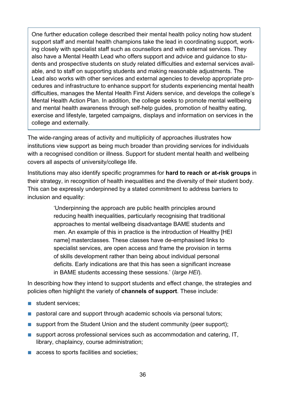One further education college described their mental health policy noting how student support staff and mental health champions take the lead in coordinating support, working closely with specialist staff such as counsellors and with external services. They also have a Mental Health Lead who offers support and advice and guidance to students and prospective students on study related difficulties and external services available, and to staff on supporting students and making reasonable adjustments. The Lead also works with other services and external agencies to develop appropriate procedures and infrastructure to enhance support for students experiencing mental health difficulties, manages the Mental Health First Aiders service, and develops the college's Mental Health Action Plan. In addition, the college seeks to promote mental wellbeing and mental health awareness through self-help guides, promotion of healthy eating, exercise and lifestyle, targeted campaigns, displays and information on services in the college and externally.

The wide-ranging areas of activity and multiplicity of approaches illustrates how institutions view support as being much broader than providing services for individuals with a recognised condition or illness. Support for student mental health and wellbeing covers all aspects of university/college life.

Institutions may also identify specific programmes for **hard to reach or at-risk groups** in their strategy, in recognition of health inequalities and the diversity of their student body. This can be expressly underpinned by a stated commitment to address barriers to inclusion and equality:

> 'Underpinning the approach are public health principles around reducing health inequalities, particularly recognising that traditional approaches to mental wellbeing disadvantage BAME students and men. An example of this in practice is the introduction of Healthy [HEI name] masterclasses. These classes have de-emphasised links to specialist services, are open access and frame the provision in terms of skills development rather than being about individual personal deficits. Early indications are that this has seen a significant increase in BAME students accessing these sessions.' (*large HEI*).

In describing how they intend to support students and effect change, the strategies and policies often highlight the variety of **channels of support**. These include:

- student services:
- pastoral care and support through academic schools via personal tutors;
- support from the Student Union and the student community (peer support);
- support across professional services such as accommodation and catering, IT, library, chaplaincy, course administration;
- access to sports facilities and societies;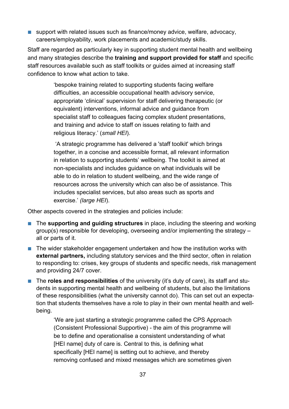■ support with related issues such as finance/money advice, welfare, advocacy, careers/employability, work placements and academic/study skills.

Staff are regarded as particularly key in supporting student mental health and wellbeing and many strategies describe the **training and support provided for staff** and specific staff resources available such as staff toolkits or guides aimed at increasing staff confidence to know what action to take.

> 'bespoke training related to supporting students facing welfare difficulties, an accessible occupational health advisory service, appropriate 'clinical' supervision for staff delivering therapeutic (or equivalent) interventions, informal advice and guidance from specialist staff to colleagues facing complex student presentations, and training and advice to staff on issues relating to faith and religious literacy.' (*small HEI*).

'A strategic programme has delivered a 'staff toolkit' which brings together, in a concise and accessible format, all relevant information in relation to supporting students' wellbeing. The toolkit is aimed at non-specialists and includes guidance on what individuals will be able to do in relation to student wellbeing, and the wide range of resources across the university which can also be of assistance. This includes specialist services, but also areas such as sports and exercise.' *(large HEI*).

Other aspects covered in the strategies and policies include:

- The **supporting and guiding structures** in place, including the steering and working group(s) responsible for developing, overseeing and/or implementing the strategy – all or parts of it.
- The wider stakeholder engagement undertaken and how the institution works with **external partners,** including statutory services and the third sector, often in relation to responding to: crises, key groups of students and specific needs, risk management and providing 24/7 cover.
- The **roles and responsibilities** of the university (it's duty of care), its staff and students in supporting mental health and wellbeing of students, but also the limitations of these responsibilities (what the university cannot do). This can set out an expectation that students themselves have a role to play in their own mental health and wellbeing.

'We are just starting a strategic programme called the CPS Approach (Consistent Professional Supportive) - the aim of this programme will be to define and operationalise a consistent understanding of what [HEI name] duty of care is. Central to this, is defining what specifically [HEI name] is setting out to achieve, and thereby removing confused and mixed messages which are sometimes given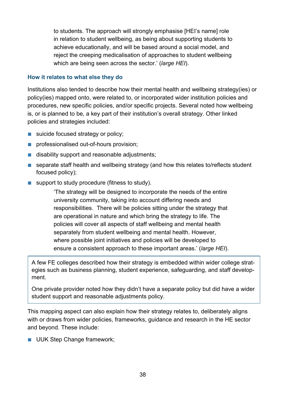to students. The approach will strongly emphasise [HEI's name] role in relation to student wellbeing, as being about supporting students to achieve educationally, and will be based around a social model, and reject the creeping medicalisation of approaches to student wellbeing which are being seen across the sector.' (*large HEI*).

#### **How it relates to what else they do**

Institutions also tended to describe how their mental health and wellbeing strategy(ies) or policy(ies) mapped onto, were related to, or incorporated wider institution policies and procedures, new specific policies, and/or specific projects. Several noted how wellbeing is, or is planned to be, a key part of their institution's overall strategy. Other linked policies and strategies included:

- suicide focused strategy or policy;
- professionalised out-of-hours provision;
- disability support and reasonable adjustments;
- separate staff health and wellbeing strategy (and how this relates to/reflects student focused policy);
- support to study procedure (fitness to study).

'The strategy will be designed to incorporate the needs of the entire university community, taking into account differing needs and responsibilities. There will be policies sitting under the strategy that are operational in nature and which bring the strategy to life. The policies will cover all aspects of staff wellbeing and mental health separately from student wellbeing and mental health. However, where possible joint initiatives and policies will be developed to ensure a consistent approach to these important areas.' (*large HEI*).

A few FE colleges described how their strategy is embedded within wider college strategies such as business planning, student experience, safeguarding, and staff development.

One private provider noted how they didn't have a separate policy but did have a wider student support and reasonable adjustments policy.

This mapping aspect can also explain how their strategy relates to, deliberately aligns with or draws from wider policies, frameworks, guidance and research in the HE sector and beyond. These include:

■ UUK Step Change framework;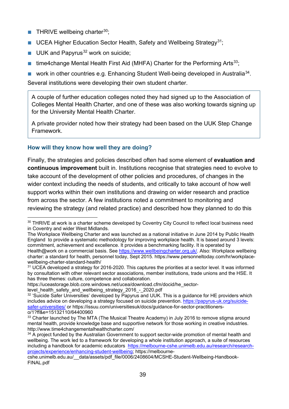- **THRIVE wellbeing charter**<sup>[30](#page-38-0)</sup>;
- UCEA Higher Education Sector Health, Safety and Wellbeing Strategy<sup>[31](#page-38-1)</sup>;
- UUK and Papyrus<sup>[32](#page-38-2)</sup> work on suicide;
- time4change Mental Health First Aid (MHFA) Charter for the Performing Arts<sup>[33](#page-38-3)</sup>;
- **■** work in other countries e.g. Enhancing Student Well-being developed in Australia<sup>[34](#page-38-4)</sup>.

Several institutions were developing their own student charter.

A couple of further education colleges noted they had signed up to the Association of Colleges Mental Health Charter, and one of these was also working towards signing up for the University Mental Health Charter.

A private provider noted how their strategy had been based on the UUK Step Change Framework.

#### **How will they know how well they are doing?**

Finally, the strategies and policies described often had some element of **evaluation and continuous improvement** built in. Institutions recognise that strategies need to evolve to take account of the development of other policies and procedures, of changes in the wider context including the needs of students, and critically to take account of how well support works within their own institutions and drawing on wider research and practice from across the sector. A few institutions noted a commitment to monitoring and reviewing the strategy (and related practice) and described how they planned to do this

<span id="page-38-0"></span><sup>&</sup>lt;sup>30</sup> THRIVE at work is a charter scheme developed by Coventry City Council to reflect local business need in Coventry and wider West Midlands.

The Workplace Wellbeing Charter and was launched as a national initiative in June 2014 by Public Health England to provide a systematic methodology for improving workplace health. It is based around 3 levels: commitment, achievement and excellence. It provides a benchmarking facility. It is operated by Health@work on a commercial basis. See [https://www.wellbeingcharter.org.uk/.](https://www.wellbeingcharter.org.uk/) Also: Workplace wellbeing charter: a standard for health, personnel today, Sept 2015. https://www.personneltoday.com/hr/workplacewellbeing-charter-standard-health/

<span id="page-38-1"></span><sup>&</sup>lt;sup>31</sup> UCEA developed a strategy for 2016-2020. This captures the priorities at a sector level. It was informed by consultation with other relevant sector associations, member institutions, trade unions and the HSE. It has three themes: culture, competence and collaboration.

https://uceastorage.blob.core.windows.net/ucea/download.cfm/docid/he\_sector-

level health\_safety\_and\_wellbeing\_strategy\_2016\_-\_2020.pdf

<span id="page-38-2"></span><sup>32</sup> 'Suicide Safer Universities' developed by Papyrus and UUK. This is a guidance for HE providers which includes advice on developing a strategy focused on suicide prevention. [https://papyrus-uk.org/suicide](https://papyrus-uk.org/suicide-safer-universities/)[safer-universities/](https://papyrus-uk.org/suicide-safer-universities/) or https://issuu.com/universitiesuk/docs/guidance-for-sector-practitionerso/1?ff&e=15132110/64400960

<span id="page-38-3"></span><sup>&</sup>lt;sup>33</sup> Charter launched by The MTA (The Musical Theatre Academy) in July 2016 to remove stigma around mental health, provide knowledge base and supportive network for those working in creative industries. http://www.time4changementalhealthcharter.com/

<span id="page-38-4"></span><sup>&</sup>lt;sup>34</sup> A project funded by the Australian Government to support sector-wide promotion of mental health and wellbeing. The work led to a framework for developing a whole institution approach, a suite of resources including a handbook for academic educators [https://melbourne-cshe.unimelb.edu.au/research/research](https://melbourne-cshe.unimelb.edu.au/research/research-projects/experience/enhancing-student-wellbeing)[projects/experience/enhancing-student-wellbeing;](https://melbourne-cshe.unimelb.edu.au/research/research-projects/experience/enhancing-student-wellbeing) https://melbourne-

cshe.unimelb.edu.au/\_\_data/assets/pdf\_file/0006/2408604/MCSHE-Student-Wellbeing-Handbook-FINAL.pdf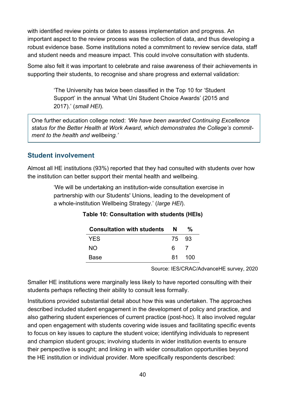with identified review points or dates to assess implementation and progress. An important aspect to the review process was the collection of data, and thus developing a robust evidence base. Some institutions noted a commitment to review service data, staff and student needs and measure impact. This could involve consultation with students.

Some also felt it was important to celebrate and raise awareness of their achievements in supporting their students, to recognise and share progress and external validation:

> 'The University has twice been classified in the Top 10 for 'Student Support' in the annual 'What Uni Student Choice Awards' (2015 and 2017).' (*small HEI*).

One further education college noted: *'We have been awarded Continuing Excellence status for the Better Health at Work Award, which demonstrates the College's commitment to the health and wellbeing.'*

#### **Student involvement**

Almost all HE institutions (93%) reported that they had consulted with students over how the institution can better support their mental health and wellbeing.

> 'We will be undertaking an institution-wide consultation exercise in partnership with our Students' Unions, leading to the development of a whole-institution Wellbeing Strategy.' (*large HEI*).

| <b>Consultation with students</b> | N     | ℀    |
|-----------------------------------|-------|------|
| <b>YES</b>                        | 75 93 |      |
| NO.                               | 6.    |      |
| Base                              | 81.   | -100 |

#### **Table 10: Consultation with students (HEIs)**

Source: IES/CRAC/AdvanceHE survey, 2020

Smaller HE institutions were marginally less likely to have reported consulting with their students perhaps reflecting their ability to consult less formally.

Institutions provided substantial detail about how this was undertaken. The approaches described included student engagement in the development of policy and practice, and also gathering student experiences of current practice (post-hoc). It also involved regular and open engagement with students covering wide issues and facilitating specific events to focus on key issues to capture the student voice; identifying individuals to represent and champion student groups; involving students in wider institution events to ensure their perspective is sought; and linking in with wider consultation opportunities beyond the HE institution or individual provider. More specifically respondents described: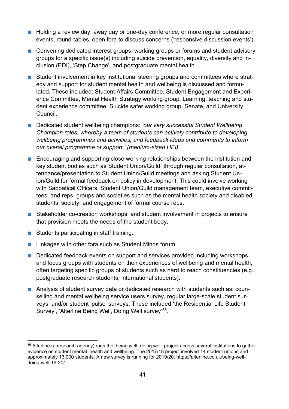- Holding a review day, away day or one-day conference; or more regular consultation events, round-tables, open fora to discuss concerns ('responsive discussion events').
- Convening dedicated interest groups, working groups or forums and student advisory groups for a specific issue(s) including suicide prevention, equality, diversity and inclusion (EDI), 'Step Change', and postgraduate mental health.
- Student involvement in key institutional steering groups and committees where strategy and support for student mental health and wellbeing is discussed and formulated. These included: Student Affairs Committee, Student Engagement and Experience Committee, Mental Health Strategy working group, Learning, teaching and student experience committee, Suicide safer working group, Senate, and University Council.
- Dedicated student wellbeing champions: 'our very successful Student Wellbeing *Champion roles, whereby a team of students can actively contribute to developing wellbeing programmes and activities, and feedback ideas and comments to inform our overall programme of support.' (medium-sized HEI).*
- Encouraging and supporting close working relationships between the institution and key student bodies such as Student Union/Guild, through regular consultation, attendance/presentation to Student Union/Guild meetings and asking Student Union/Guild for formal feedback on policy in development. This could involve *w*orking with Sabbatical Officers, Student Union/Guild management team, executive committees, and reps, groups and societies such as the mental health society and disabled students' society; and engagement of formal course reps.
- Stakeholder co-creation workshops, and student involvement in projects to ensure that provision meets the needs of the student body.
- Students participating in staff training.
- Linkages with other fora such as Student Minds forum.
- Dedicated feedback events on support and services provided including workshops and focus groups with students on their experiences of wellbeing and mental health, often targeting specific groups of students such as hard to reach constituencies (e.g. postgraduate research students, international students).
- Analysis of student survey data or dedicated research with students such as: counselling and mental wellbeing service users survey, regular large-scale student surveys, and/or student 'pulse' surveys. These included 'the Residential Life Student Survey', 'Alterline Being Well, Doing Well survey'[35](#page-40-0).

<span id="page-40-0"></span><sup>&</sup>lt;sup>35</sup> Alterline (a research agency) runs the 'being well, doing well' project across several institutions to gather evidence on student mental health and wellbeing. The 2017/18 project involved 14 student unions and approximately 13,000 students. A new survey is running for 2019/20. https://alterline.co.uk/being-welldoing-well-19-20/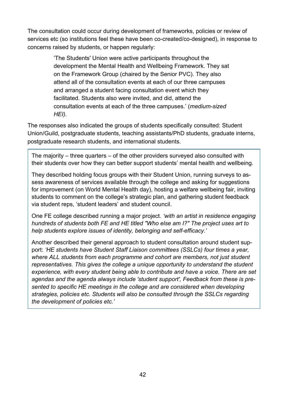The consultation could occur during development of frameworks, policies or review of services etc (so institutions feel these have been co-created/co-designed), in response to concerns raised by students, or happen regularly:

> 'The Students' Union were active participants throughout the development the Mental Health and Wellbeing Framework. They sat on the Framework Group (chaired by the Senior PVC). They also attend all of the consultation events at each of our three campuses and arranged a student facing consultation event which they facilitated. Students also were invited, and did, attend the consultation events at each of the three campuses.' (*medium-sized HEI).*

The responses also indicated the groups of students specifically consulted: Student Union/Guild, postgraduate students, teaching assistants/PhD students, graduate interns, postgraduate research students, and international students.

The majority – three quarters – of the other providers surveyed also consulted with their students over how they can better support students' mental health and wellbeing.

They described holding focus groups with their Student Union, running surveys to assess awareness of services available through the college and asking for suggestions for improvement (on World Mental Health day), hosting a welfare wellbeing fair, inviting students to comment on the college's strategic plan, and gathering student feedback via student reps, 'student leaders' and student council.

One FE college described running a major project. *'with an artist in residence engaging hundreds of students both FE and HE titled "Who else am I?" The project uses art to help students explore issues of identity, belonging and self-efficacy.'*

Another described their general approach to student consultation around student support: *'HE students have Student Staff Liaison committees (SSLCs) four times a year, where ALL students from each programme and cohort are members, not just student representatives. This gives the college a unique opportunity to understand the student experience, with every student being able to contribute and have a voice. There are set agendas and the agenda always include 'student support', Feedback from these is presented to specific HE meetings in the college and are considered when developing strategies, policies etc. Students will also be consulted through the SSLCs regarding the development of policies etc.'*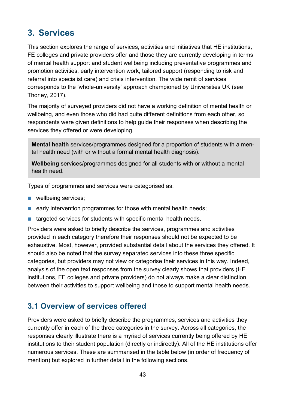# **3. Services**

This section explores the range of services, activities and initiatives that HE institutions, FE colleges and private providers offer and those they are currently developing in terms of mental health support and student wellbeing including preventative programmes and promotion activities, early intervention work, tailored support (responding to risk and referral into specialist care) and crisis intervention. The wide remit of services corresponds to the 'whole-university' approach championed by Universities UK (see Thorley, 2017).

The majority of surveyed providers did not have a working definition of mental health or wellbeing, and even those who did had quite different definitions from each other, so respondents were given definitions to help guide their responses when describing the services they offered or were developing.

**Mental health** services/programmes designed for a proportion of students with a mental health need (with or without a formal mental health diagnosis).

**Wellbeing** services/programmes designed for all students with or without a mental health need.

Types of programmes and services were categorised as:

- wellbeing services;
- early intervention programmes for those with mental health needs;
- targeted services for students with specific mental health needs.

Providers were asked to briefly describe the services, programmes and activities provided in each category therefore their responses should not be expected to be exhaustive. Most, however, provided substantial detail about the services they offered. It should also be noted that the survey separated services into these three specific categories, but providers may not view or categorise their services in this way. Indeed, analysis of the open text responses from the survey clearly shows that providers (HE institutions, FE colleges and private providers) do not always make a clear distinction between their activities to support wellbeing and those to support mental health needs.

## **3.1 Overview of services offered**

Providers were asked to briefly describe the programmes, services and activities they currently offer in each of the three categories in the survey. Across all categories, the responses clearly illustrate there is a myriad of services currently being offered by HE institutions to their student population (directly or indirectly). All of the HE institutions offer numerous services. These are summarised in the table below (in order of frequency of mention) but explored in further detail in the following sections.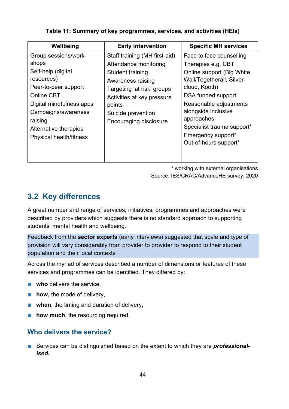| Wellbeing                                                                                                                                                                                                                               | <b>Early intervention</b>                                                                                                                                                                                             | <b>Specific MH services</b>                                                                                                                                                                                                                                                                 |
|-----------------------------------------------------------------------------------------------------------------------------------------------------------------------------------------------------------------------------------------|-----------------------------------------------------------------------------------------------------------------------------------------------------------------------------------------------------------------------|---------------------------------------------------------------------------------------------------------------------------------------------------------------------------------------------------------------------------------------------------------------------------------------------|
| Group sessions/work-<br>shops<br>Self-help (digital<br>resources)<br>Peer-to-peer support<br><b>Online CBT</b><br>Digital mindfulness apps<br>Campaigns/awareness<br>raising<br>Alternative therapies<br><b>Physical health/fitness</b> | Staff training (MH first-aid)<br>Attendance monitoring<br>Student training<br>Awareness raising<br>Targeting 'at risk' groups<br>Activities at key pressure<br>points<br>Suicide prevention<br>Encouraging disclosure | Face to face counselling<br>Therapies e.g. CBT<br>Online support (Big White<br>Wall/Togetherall, Silver-<br>cloud, Kooth)<br>DSA funded support<br>Reasonable adjustments<br>alongside inclusive<br>approaches<br>Specialist trauma support*<br>Emergency support*<br>Out-of-hours support* |
|                                                                                                                                                                                                                                         |                                                                                                                                                                                                                       |                                                                                                                                                                                                                                                                                             |

#### **Table 11: Summary of key programmes, services, and activities (HEIs)**

\* working with external organisations

Source: IES/CRAC/AdvanceHE survey, 2020

## **3.2 Key differences**

A great number and range of services, initiatives, programmes and approaches were described by providers which suggests there is no standard approach to supporting students' mental health and wellbeing.

Feedback from the **sector experts** (early interviews) suggested that scale and type of provision will vary considerably from provider to provider to respond to their student population and their local contexts

Across the myriad of services described a number of dimensions or features of these services and programmes can be identified. They differed by:

- **who** delivers the service,
- **how,** the mode of delivery,
- **when**, the timing and duration of delivery,
- **how much**, the resourcing required.

### **Who delivers the service?**

■ Services can be distinguished based on the extent to which they are **professional** *ised***.**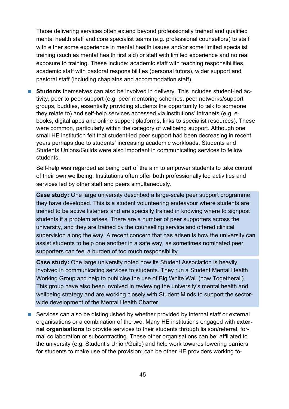Those delivering services often extend beyond professionally trained and qualified mental health staff and core specialist teams (e.g. professional counsellors) to staff with either some experience in mental health issues and/or some limited specialist training (such as mental health first aid) or staff with limited experience and no real exposure to training. These include: academic staff with teaching responsibilities, academic staff with pastoral responsibilities (personal tutors), wider support and pastoral staff (including chaplains and accommodation staff).

■ **Students** themselves can also be involved in delivery. This includes student-led activity, peer to peer support (e.g. peer mentoring schemes, peer networks/support groups, buddies, essentially providing students the opportunity to talk to someone they relate to) and self-help services accessed via institutions' intranets (e.g. ebooks, digital apps and online support platforms, links to specialist resources). These were common, particularly within the category of wellbeing support. Although one small HE institution felt that student-led peer support had been decreasing in recent years perhaps due to students' increasing academic workloads. Students and Students Unions/Guilds were also important in communicating services to fellow students.

Self-help was regarded as being part of the aim to empower students to take control of their own wellbeing. Institutions often offer both professionally led activities and services led by other staff and peers simultaneously.

**Case study:** One large university described a large-scale peer support programme they have developed. This is a student volunteering endeavour where students are trained to be active listeners and are specially trained in knowing where to signpost students if a problem arises. There are a number of peer supporters across the university, and they are trained by the counselling service and offered clinical supervision along the way. A recent concern that has arisen is how the university can assist students to help one another in a safe way, as sometimes nominated peer supporters can feel a burden of too much responsibility.

**Case study:** One large university noted how its Student Association is heavily involved in communicating services to students. They run a Student Mental Health Working Group and help to publicise the use of Big White Wall (now Togetherall). This group have also been involved in reviewing the university's mental health and wellbeing strategy and are working closely with Student Minds to support the sectorwide development of the Mental Health Charter.

■ Services can also be distinguished by whether provided by internal staff or external organisations or a combination of the two. Many HE institutions engaged with **external organisations** to provide services to their students through liaison/referral, formal collaboration or subcontracting. These other organisations can be: affiliated to the university (e.g. Student's Union/Guild) and help work towards lowering barriers for students to make use of the provision; can be other HE providers working to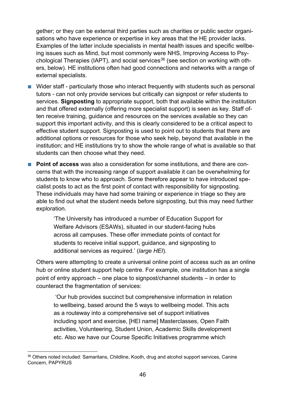gether; or they can be external third parties such as charities or public sector organisations who have experience or expertise in key areas that the HE provider lacks. Examples of the latter include specialists in mental health issues and specific wellbeing issues such as Mind, but most commonly were NHS, Improving Access to Psy-chological Therapies (IAPT), and social services<sup>[36](#page-45-0)</sup> (see section on working with others, below). HE institutions often had good connections and networks with a range of external specialists.

- Wider staff particularly those who interact frequently with students such as personal tutors - can not only provide services but critically can signpost or refer students to services. **Signposting** to appropriate support, both that available within the institution and that offered externally (offering more specialist support) is seen as key. Staff often receive training, guidance and resources on the services available so they can support this important activity, and this is clearly considered to be a critical aspect to effective student support. Signposting is used to point out to students that there are additional options or resources for those who seek help, beyond that available in the institution; and HE institutions try to show the whole range of what is available so that students can then choose what they need.
- **Point of access** was also a consideration for some institutions, and there are concerns that with the increasing range of support available it can be overwhelming for students to know who to approach. Some therefore appear to have introduced specialist posts to act as the first point of contact with responsibility for signposting. These individuals may have had some training or experience in triage so they are able to find out what the student needs before signposting, but this may need further exploration.

'The University has introduced a number of Education Support for Welfare Advisors (ESAWs), situated in our student-facing hubs across all campuses. These offer immediate points of contact for students to receive initial support, guidance, and signposting to additional services as required.' (*large HEI*).

Others were attempting to create a universal online point of access such as an online hub or online student support help centre. For example, one institution has a single point of entry approach – one place to signpost/channel students – in order to counteract the fragmentation of services:

'Our hub provides succinct but comprehensive information in relation to wellbeing, based around the 5 ways to wellbeing model. This acts as a routeway into a comprehensive set of support initiatives including sport and exercise, [HEI name] Masterclasses, Open Faith activities, Volunteering, Student Union, Academic Skills development etc. Also we have our Course Specific Initiatives programme which

<span id="page-45-0"></span><sup>36</sup> Others noted included: Samaritans, Childline, Kooth, drug and alcohol support services, Canine Concern, PAPYRUS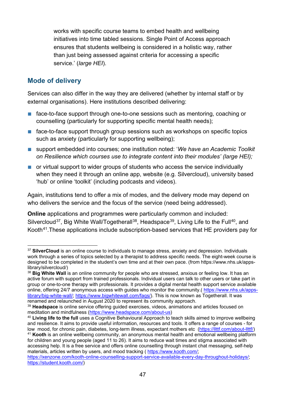works with specific course teams to embed health and wellbeing initiatives into time tabled sessions. Single Point of Access approach ensures that students wellbeing is considered in a holistic way, rather than just being assessed against criteria for accessing a specific service.' (*large HEI*).

#### **Mode of delivery**

Services can also differ in the way they are delivered (whether by internal staff or by external organisations). Here institutions described delivering:

- face-to-face support through one-to-one sessions such as mentoring, coaching or counselling (particularly for supporting specific mental health needs);
- face-to-face support through group sessions such as workshops on specific topics such as anxiety (particularly for supporting wellbeing);
- support embedded into courses; one institution noted: 'We have an Academic Toolkit *on Resilience which courses use to integrate content into their modules' (large HEI);*
- or virtual support to wider groups of students who access the service individually when they need it through an online app, website (e.g. Silvercloud), university based 'hub' or online 'toolkit' (including podcasts and videos).

Again, institutions tend to offer a mix of modes, and the delivery mode may depend on who delivers the service and the focus of the service (need being addressed).

**Online** applications and programmes were particularly common and included: Silvercloud<sup>37</sup>, Big White Wall/Togetherall<sup>[38](#page-46-1)</sup>, Headspace<sup>[39](#page-46-2)</sup>, Living Life to the Full<sup>[40](#page-46-3)</sup>, and Kooth<sup>[41](#page-46-4)</sup>. These applications include subscription-based services that HE providers pay for

<span id="page-46-0"></span><sup>&</sup>lt;sup>37</sup> SilverCloud is an online course to individuals to manage stress, anxiety and depression. Individuals work through a series of topics selected by a therapist to address specific needs. The eight-week course is designed to be completed in the student's own time and at their own pace. (from [https://www.nhs.uk/apps](https://www.nhs.uk/apps-library/silvercloud/)[library/silvercloud/\)](https://www.nhs.uk/apps-library/silvercloud/)

<span id="page-46-1"></span><sup>&</sup>lt;sup>38</sup> Big White Wall is an online community for people who are stressed, anxious or feeling low. It has an active forum with support from trained professionals. Individual users can talk to other users or take part in group or one-to-one therapy with professionals. It provides a digital mental health support service available online, offering 24/7 anonymous access with guides who monitor the community.( [https://www.nhs.uk/apps](https://www.nhs.uk/apps-library/big-white-wall/)[library/big-white-wall/;](https://www.nhs.uk/apps-library/big-white-wall/) [https://www.bigwhitewall.com/faqs/\)](https://www.bigwhitewall.com/faqs/). This is now known as Togetherall. It was renamed and relaunched in August 2020 to represent its community approach.

<span id="page-46-2"></span><sup>39</sup> **Headspace** is online service offering guided exercises, videos, animations and articles focused on meditation and mindfulness [\(https://www.headspace.com/about-us\)](https://www.headspace.com/about-us)

<span id="page-46-3"></span><sup>40</sup> **Living life to the full** uses a Cognitive Behavioural Approach to teach skills aimed to improve wellbeing and resilience. It aims to provide useful information, resources and tools. It offers a range of courses - for low mood, for chronic pain, diabetes, long-term illness, expectant mothers etc [\(https://llttf.com/about-llttf/\)](https://llttf.com/about-llttf/)

<span id="page-46-4"></span><sup>41</sup> **Kooth** is an online wellbeing community, an anonymous mental health and emotional wellbeing platform for children and young people (aged 11 to 26). It aims to reduce wait times and stigma associated with accessing help. It is a free service and offers online counselling through instant chat messaging, self-help materials, articles written by users, and mood tracking ( [https://www.kooth.com/;](https://www.kooth.com/)

[https://xenzone.com/kooth-online-counselling-support-service-available-every-day-throughout-holidays/;](https://xenzone.com/kooth-online-counselling-support-service-available-every-day-throughout-holidays/) [https://student.kooth.com/\)](https://student.kooth.com/)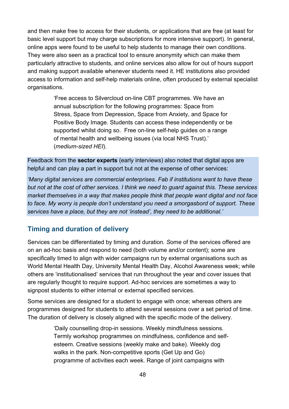and then make free to access for their students, or applications that are free (at least for basic level support but may charge subscriptions for more intensive support). In general, online apps were found to be useful to help students to manage their own conditions. They were also seen as a practical tool to ensure anonymity which can make them particularly attractive to students, and online services also allow for out of hours support and making support available whenever students need it. HE institutions also provided access to information and self-help materials online, often produced by external specialist organisations.

> 'Free access to Silvercloud on-line CBT programmes. We have an annual subscription for the following programmes: Space from Stress, Space from Depression, Space from Anxiety, and Space for Positive Body Image. Students can access these independently or be supported whilst doing so. Free on-line self-help guides on a range of mental health and wellbeing issues (via local NHS Trust).' (*medium-sized HEI*).

Feedback from the **sector experts** (early interviews) also noted that digital apps are helpful and can play a part in support but not at the expense of other services:

*'Many digital services are commercial enterprises. Fab if institutions want to have these but not at the cost of other services. I think we need to guard against this. These services market themselves in a way that makes people think that people want digital and not face to face. My worry is people don't understand you need a smorgasbord of support. These services have a place, but they are not 'instead', they need to be additional.'*

#### **Timing and duration of delivery**

Services can be differentiated by timing and duration*. S*ome of the services offered are on an ad-hoc basis and respond to need (both volume and/or content); some are specifically timed to align with wider campaigns run by external organisations such as World Mental Health Day, University Mental Health Day, Alcohol Awareness week; while others are 'institutionalised' services that run throughout the year and cover issues that are regularly thought to require support. Ad-hoc services are sometimes a way to signpost students to either internal or external specified services.

Some services are designed for a student to engage with once; whereas others are programmes designed for students to attend several sessions over a set period of time. The duration of delivery is closely aligned with the specific mode of the delivery.

> 'Daily counselling drop-in sessions. Weekly mindfulness sessions. Termly workshop programmes on mindfulness, confidence and selfesteem. Creative sessions (weekly make and bake). Weekly dog walks in the park. Non-competitive sports (Get Up and Go) programme of activities each week. Range of joint campaigns with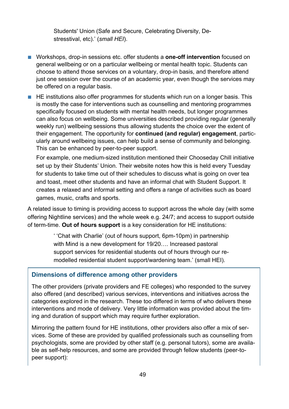Students' Union (Safe and Secure, Celebrating Diversity, Destresstival, etc).' (*small HEI*).

■ Workshops, drop-in sessions etc. offer students a **one-off intervention** focused on general wellbeing or on a particular wellbeing or mental health topic. Students can choose to attend those services on a voluntary, drop-in basis, and therefore attend just one session over the course of an academic year, even though the services may be offered on a regular basis.

■ HE institutions also offer programmes for students which run on a longer basis. This is mostly the case for interventions such as counselling and mentoring programmes specifically focused on students with mental health needs, but longer programmes can also focus on wellbeing. Some universities described providing regular (generally weekly run) wellbeing sessions thus allowing students the choice over the extent of their engagement. The opportunity for **continued (and regular) engagement**, particularly around wellbeing issues, can help build a sense of community and belonging. This can be enhanced by peer-to-peer support.

For example, one medium-sized institution mentioned their Chooseday Chill initiative set up by their Students' Union. Their website notes how this is held every Tuesday for students to take time out of their schedules to discuss what is going on over tea and toast, meet other students and have an informal chat with Student Support. It creates a relaxed and informal setting and offers a range of activities such as board games, music, crafts and sports.

A related issue to timing is providing access to support across the whole day (with some offering Nightline services) and the whole week e.g. 24/7; and access to support outside of term-time. **Out of hours support** is a key consideration for HE institutions:

> ' 'Chat with Charlie' (out of hours support, 6pm-10pm) in partnership with Mind is a new development for 19/20…. Increased pastoral support services for residential students out of hours through our remodelled residential student support/wardening team.' (small HEI).

#### **Dimensions of difference among other providers**

The other providers (private providers and FE colleges) who responded to the survey also offered (and described) various services, interventions and initiatives across the categories explored in the research. These too differed in terms of who delivers these interventions and mode of delivery. Very little information was provided about the timing and duration of support which may require further exploration.

Mirroring the pattern found for HE institutions, other providers also offer a mix of services. Some of these are provided by qualified professionals such as counselling from psychologists, some are provided by other staff (e.g. personal tutors), some are available as self-help resources, and some are provided through fellow students (peer-topeer support):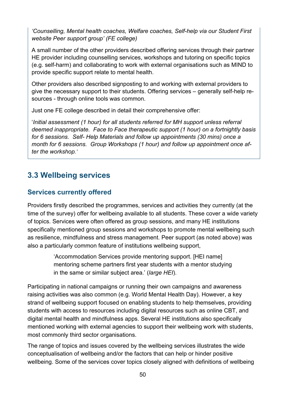*'Counselling, Mental health coaches, Welfare coaches, Self-help via our Student First website Peer support group' (FE college)*

A small number of the other providers described offering services through their partner HE provider including counselling services, workshops and tutoring on specific topics (e.g. self-harm) and collaborating to work with external organisations such as MIND to provide specific support relate to mental health.

Other providers also described signposting to and working with external providers to give the necessary support to their students. Offering services – generally self-help resources - through online tools was common.

Just one FE college described in detail their comprehensive offer:

'*Initial assessment (1 hour) for all students referred for MH support unless referral deemed inappropriate. Face to Face therapeutic support (1 hour) on a fortnightly basis for 6 sessions. Self- Help Materials and follow up appointments (30 mins) once a month for 6 sessions. Group Workshops (1 hour) and follow up appointment once after the workshop.'* 

## **3.3 Wellbeing services**

#### **Services currently offered**

Providers firstly described the programmes, services and activities they currently (at the time of the survey) offer for wellbeing available to all students. These cover a wide variety of topics. Services were often offered as group sessions, and many HE institutions specifically mentioned group sessions and workshops to promote mental wellbeing such as resilience, mindfulness and stress management. Peer support (as noted above) was also a particularly common feature of institutions wellbeing support,

> 'Accommodation Services provide mentoring support. [HEI name] mentoring scheme partners first year students with a mentor studying in the same or similar subject area.' (*large HEI*).

Participating in national campaigns or running their own campaigns and awareness raising activities was also common (e.g. World Mental Health Day). However, a key strand of wellbeing support focused on enabling students to help themselves, providing students with access to resources including digital resources such as online CBT, and digital mental health and mindfulness apps. Several HE institutions also specifically mentioned working with external agencies to support their wellbeing work with students, most commonly third sector organisations.

The range of topics and issues covered by the wellbeing services illustrates the wide conceptualisation of wellbeing and/or the factors that can help or hinder positive wellbeing. Some of the services cover topics closely aligned with definitions of wellbeing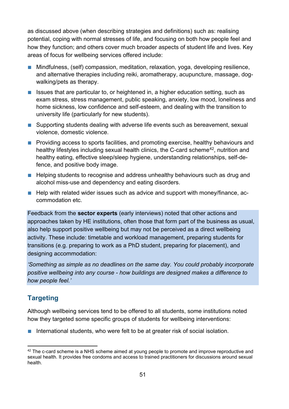as discussed above (when describing strategies and definitions) such as: realising potential, coping with normal stresses of life, and focusing on both how people feel and how they function; and others cover much broader aspects of student life and lives. Key areas of focus for wellbeing services offered include:

- Mindfulness, (self) compassion, meditation, relaxation, yoga, developing resilience, and alternative therapies including reiki, aromatherapy, acupuncture, massage, dogwalking/pets as therapy.
- Issues that are particular to, or heightened in, a higher education setting, such as exam stress, stress management, public speaking, anxiety, low mood, loneliness and home sickness, low confidence and self-esteem, and dealing with the transition to university life (particularly for new students).
- Supporting students dealing with adverse life events such as bereavement, sexual violence, domestic violence.
- Providing access to sports facilities, and promoting exercise, healthy behaviours and healthy lifestyles including sexual health clinics, the C-card scheme<sup>42</sup>, nutrition and healthy eating, effective sleep/sleep hygiene, understanding relationships, self-defence, and positive body image.
- Helping students to recognise and address unhealthy behaviours such as drug and alcohol miss-use and dependency and eating disorders.
- Help with related wider issues such as advice and support with money/finance, accommodation etc.

Feedback from the **sector experts** (early interviews) noted that other actions and approaches taken by HE institutions, often those that form part of the business as usual, also help support positive wellbeing but may not be perceived as a direct wellbeing activity. These include: timetable and workload management, preparing students for transitions (e.g. preparing to work as a PhD student, preparing for placement), and designing accommodation:

*'Something as simple as no deadlines on the same day. You could probably incorporate positive wellbeing into any course - how buildings are designed makes a difference to how people feel.'*

## **Targeting**

Although wellbeing services tend to be offered to all students, some institutions noted how they targeted some specific groups of students for wellbeing interventions:

■ International students, who were felt to be at greater risk of social isolation.

<span id="page-50-0"></span> $42$  The c-card scheme is a NHS scheme aimed at young people to promote and improve reproductive and sexual health. It provides free condoms and access to trained practitioners for discussions around sexual health.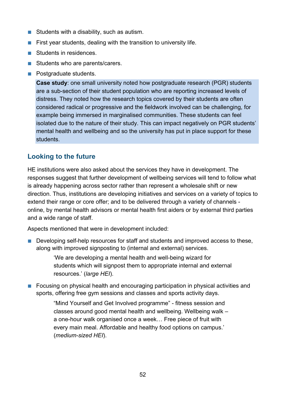- Students with a disability, such as autism.
- $\blacksquare$  First year students, dealing with the transition to university life.
- Students in residences.
- Students who are parents/carers.
- Postgraduate students.

**Case study**: one small university noted how postgraduate research (PGR) students are a sub-section of their student population who are reporting increased levels of distress. They noted how the research topics covered by their students are often considered radical or progressive and the fieldwork involved can be challenging, for example being immersed in marginalised communities. These students can feel isolated due to the nature of their study. This can impact negatively on PGR students' mental health and wellbeing and so the university has put in place support for these students.

#### **Looking to the future**

HE institutions were also asked about the services they have in development. The responses suggest that further development of wellbeing services will tend to follow what is already happening across sector rather than represent a wholesale shift or new direction. Thus, institutions are developing initiatives and services on a variety of topics to extend their range or core offer; and to be delivered through a variety of channels online, by mental health advisors or mental health first aiders or by external third parties and a wide range of staff.

Aspects mentioned that were in development included:

■ Developing self-help resources for staff and students and improved access to these, along with improved signposting to (internal and external) services.

> 'We are developing a mental health and well-being wizard for students which will signpost them to appropriate internal and external resources.' (*large HEI*).

■ Focusing on physical health and encouraging participation in physical activities and sports, offering free gym sessions and classes and sports activity days.

> "Mind Yourself and Get Involved programme" - fitness session and classes around good mental health and wellbeing. Wellbeing walk – a one-hour walk organised once a week… Free piece of fruit with every main meal. Affordable and healthy food options on campus.' (*medium-sized HEI*).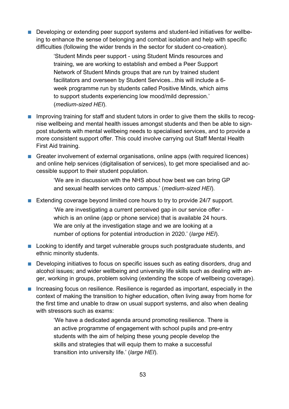■ Developing or extending peer support systems and student-led initiatives for wellbeing to enhance the sense of belonging and combat isolation and help with specific difficulties (following the wider trends in the sector for student co-creation).

> 'Student Minds peer support - using Student Minds resources and training, we are working to establish and embed a Peer Support Network of Student Minds groups that are run by trained student facilitators and overseen by Student Services...this will include a 6 week programme run by students called Positive Minds, which aims to support students experiencing low mood/mild depression.' (*medium-sized HEI*).

- Improving training for staff and student tutors in order to give them the skills to recognise wellbeing and mental health issues amongst students and then be able to signpost students with mental wellbeing needs to specialised services, and to provide a more consistent support offer. This could involve carrying out Staff Mental Health First Aid training.
- Greater involvement of external organisations, online apps (with required licences) and online help services (digitalisation of services), to get more specialised and accessible support to their student population.

'We are in discussion with the NHS about how best we can bring GP and sexual health services onto campus.' (*medium-sized HEI*).

■ Extending coverage beyond limited core hours to try to provide 24/7 support.

'We are investigating a current perceived gap in our service offer which is an online (app or phone service) that is available 24 hours. We are only at the investigation stage and we are looking at a number of options for potential introduction in 2020.' (*large HEI*).

- Looking to identify and target vulnerable groups such postgraduate students, and ethnic minority students.
- Developing initiatives to focus on specific issues such as eating disorders, drug and alcohol issues; and wider wellbeing and university life skills such as dealing with anger, working in groups, problem solving (extending the scope of wellbeing coverage).
- Increasing focus on resilience. Resilience is regarded as important, especially in the context of making the transition to higher education, often living away from home for the first time and unable to draw on usual support systems, and also when dealing with stressors such as exams:

'We have a dedicated agenda around promoting resilience. There is an active programme of engagement with school pupils and pre-entry students with the aim of helping these young people develop the skills and strategies that will equip them to make a successful transition into university life.' (*large HEI*).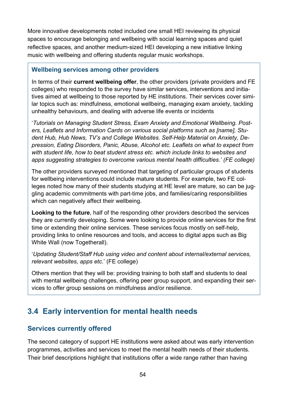More innovative developments noted included one small HEI reviewing its physical spaces to encourage belonging and wellbeing with social learning spaces and quiet reflective spaces, and another medium-sized HEI developing a new initiative linking music with wellbeing and offering students regular music workshops.

#### **Wellbeing services among other providers**

In terms of their **current wellbeing offer**, the other providers (private providers and FE colleges) who responded to the survey have similar services, interventions and initiatives aimed at wellbeing to those reported by HE institutions. Their services cover similar topics such as: mindfulness, emotional wellbeing, managing exam anxiety, tackling unhealthy behaviours, and dealing with adverse life events or incidents

'*Tutorials on Managing Student Stress, Exam Anxiety and Emotional Wellbeing. Posters, Leaflets and Information Cards on various social platforms such as [name], Student Hub, Hub News, TV's and College Websites. Self-Help Material on Anxiety, Depression, Eating Disorders, Panic, Abuse, Alcohol etc. Leaflets on what to expect from with student life, how to beat student stress etc. which include links to websites and apps suggesting strategies to overcome various mental health difficulties.' (FE college)*

The other providers surveyed mentioned that targeting of particular groups of students for wellbeing interventions could include mature students. For example, two FE colleges noted how many of their students studying at HE level are mature, so can be juggling academic commitments with part-time jobs, and families/caring responsibilities which can negatively affect their wellbeing.

**Looking to the future**, half of the responding other providers described the services they are currently developing. Some were looking to provide online services for the first time or extending their online services. These services focus mostly on self-help, providing links to online resources and tools, and access to digital apps such as Big White Wall (now Togetherall).

'*Updating Student/Staff Hub using video and content about internal/external services, relevant websites, apps etc*.' (FE college)

Others mention that they will be: providing training to both staff and students to deal with mental wellbeing challenges, offering peer group support, and expanding their services to offer group sessions on mindfulness and/or resilience.

## **3.4 Early intervention for mental health needs**

#### **Services currently offered**

The second category of support HE institutions were asked about was early intervention programmes, activities and services to meet the mental health needs of their students. Their brief descriptions highlight that institutions offer a wide range rather than having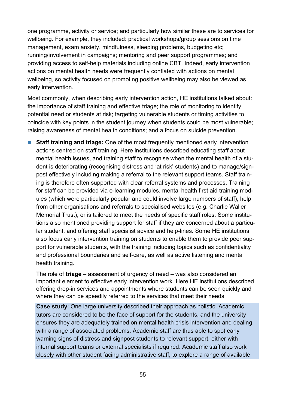one programme, activity or service; and particularly how similar these are to services for wellbeing. For example, they included: practical workshops/group sessions on time management, exam anxiety, mindfulness, sleeping problems, budgeting etc; running/involvement in campaigns; mentoring and peer support programmes; and providing access to self-help materials including online CBT. Indeed, early intervention actions on mental health needs were frequently conflated with actions on mental wellbeing, so activity focused on promoting positive wellbeing may also be viewed as early intervention.

Most commonly, when describing early intervention action, HE institutions talked about: the importance of staff training and effective triage; the role of monitoring to identify potential need or students at risk; targeting vulnerable students or timing activities to coincide with key points in the student journey when students could be most vulnerable; raising awareness of mental health conditions; and a focus on suicide prevention.

■ **Staff training and triage:** One of the most frequently mentioned early intervention actions centred on staff training. Here institutions described educating staff about mental health issues, and training staff to recognise when the mental health of a student is deteriorating (recognising distress and 'at risk' students) and to manage/signpost effectively including making a referral to the relevant support teams. Staff training is therefore often supported with clear referral systems and processes. Training for staff can be provided via e-learning modules, mental health first aid training modules (which were particularly popular and could involve large numbers of staff), help from other organisations and referrals to specialised websites (e.g. Charlie Waller Memorial Trust); or is tailored to meet the needs of specific staff roles. Some institutions also mentioned providing support for staff if they are concerned about a particular student, and offering staff specialist advice and help-lines. Some HE institutions also focus early intervention training on students to enable them to provide peer support for vulnerable students, with the training including topics such as confidentiality and professional boundaries and self-care, as well as active listening and mental health training.

The role of **triage** – assessment of urgency of need – was also considered an important element to effective early intervention work. Here HE institutions described offering drop-in services and appointments where students can be seen quickly and where they can be speedily referred to the services that meet their needs.

**Case study**: One large university described their approach as holistic. Academic tutors are considered to be the face of support for the students, and the university ensures they are adequately trained on mental health crisis intervention and dealing with a range of associated problems. Academic staff are thus able to spot early warning signs of distress and signpost students to relevant support, either with internal support teams or external specialists if required. Academic staff also work closely with other student facing administrative staff, to explore a range of available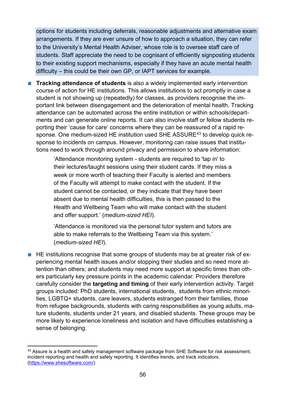options for students including deferrals, reasonable adjustments and alternative exam arrangements. If they are ever unsure of how to approach a situation, they can refer to the University's Mental Health Adviser, whose role is to oversee staff care of students. Staff appreciate the need to be cognisant of efficiently signposting students to their existing support mechanisms, especially if they have an acute mental health difficulty – this could be their own GP, or IAPT services for example.

■ **Tracking attendance of students** is also a widely implemented early intervention course of action for HE institutions. This allows institutions to act promptly in case a student is not showing up (repeatedly) for classes, as providers recognise the important link between disengagement and the deterioration of mental health. Tracking attendance can be automated across the entire institution or within schools/departments and can generate online reports. It can also involve staff or fellow students reporting their 'cause for care' concerns where they can be reassured of a rapid re-sponse. One medium-sized HE institution used SHE ASSURE<sup>[43](#page-55-0)</sup> to develop quick response to incidents on campus. However, monitoring can raise issues that institutions need to work through around privacy and permission to share information:

> 'Attendance monitoring system - students are required to 'tap in' to their lectures/taught sessions using their student cards. If they miss a week or more worth of teaching their Faculty is alerted and members of the Faculty will attempt to make contact with the student. If the student cannot be contacted, or they indicate that they have been absent due to mental health difficulties, this is then passed to the Health and Wellbeing Team who will make contact with the student and offer support.' (*medium-sized HEI*).

> 'Attendance is monitored via the personal tutor system and tutors are able to make referrals to the Wellbeing Team via this system.' (*medium-sized HEI*).

■ HE institutions recognise that some groups of students may be at greater risk of experiencing mental health issues and/or stopping their studies and so need more attention than others; and students may need more support at specific times than others particularly key pressure points in the academic calendar. Providers therefore carefully consider the **targeting and timing** of their early intervention activity. Target groups included: PhD students, international students, students from ethnic minorities, LGBTQ+ students, care leavers, students estranged from their families, those from refugee backgrounds, students with caring responsibilities as young adults, mature students, students under 21 years, and disabled students. These groups may be more likely to experience loneliness and isolation and have difficulties establishing a sense of belonging.

<span id="page-55-0"></span><sup>&</sup>lt;sup>43</sup> Assure is a health and safety management software package from SHE Software for risk assessment, incident reporting and health and safety reporting. It identifies trends, and track indicators. [\(https://www.shesoftware.com/\)](https://www.shesoftware.com/)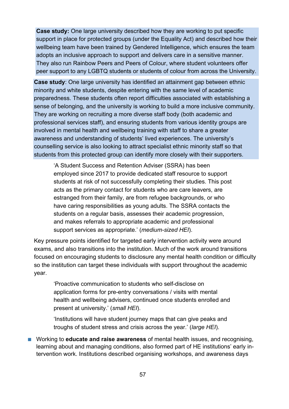**Case study:** One large university described how they are working to put specific support in place for protected groups (under the Equality Act) and described how their wellbeing team have been trained by Gendered Intelligence, which ensures the team adopts an inclusive approach to support and delivers care in a sensitive manner. They also run Rainbow Peers and Peers of Colour, where student volunteers offer peer support to any LGBTQ students or students of colour from across the University.

**Case study**: One large university has identified an attainment gap between ethnic minority and white students, despite entering with the same level of academic preparedness. These students often report difficulties associated with establishing a sense of belonging, and the university is working to build a more inclusive community. They are working on recruiting a more diverse staff body (both academic and professional services staff), and ensuring students from various identity groups are involved in mental health and wellbeing training with staff to share a greater awareness and understanding of students' lived experiences. The university's counselling service is also looking to attract specialist ethnic minority staff so that students from this protected group can identify more closely with their supporters.

'A Student Success and Retention Adviser (SSRA) has been employed since 2017 to provide dedicated staff resource to support students at risk of not successfully completing their studies. This post acts as the primary contact for students who are care leavers, are estranged from their family, are from refugee backgrounds, or who have caring responsibilities as young adults. The SSRA contacts the students on a regular basis, assesses their academic progression, and makes referrals to appropriate academic and professional support services as appropriate.' (*medium-sized HEI*).

Key pressure points identified for targeted early intervention activity were around exams, and also transitions into the institution. Much of the work around transitions focused on encouraging students to disclosure any mental health condition or difficulty so the institution can target these individuals with support throughout the academic year.

'Proactive communication to students who self-disclose on application forms for pre-entry conversations / visits with mental health and wellbeing advisers, continued once students enrolled and present at university.' (*small HEI*).

'Institutions will have student journey maps that can give peaks and troughs of student stress and crisis across the year.' (*large HEI*).

■ Working to **educate and raise awareness** of mental health issues, and recognising, learning about and managing conditions, also formed part of HE institutions' early intervention work. Institutions described organising workshops, and awareness days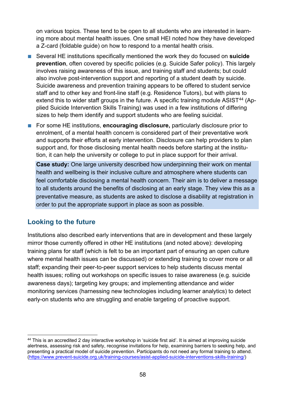on various topics. These tend to be open to all students who are interested in learning more about mental health issues. One small HEI noted how they have developed a Z-card (foldable guide) on how to respond to a mental health crisis.

- Several HE institutions specifically mentioned the work they do focused on **suicide prevention**, often covered by specific policies (e.g. Suicide Safer policy). This largely involves raising awareness of this issue, and training staff and students; but could also involve post-intervention support and reporting of a student death by suicide. Suicide awareness and prevention training appears to be offered to student service staff and to other key and front-line staff (e.g. Residence Tutors), but with plans to extend this to wider staff groups in the future. A specific training module ASIST<sup>[44](#page-57-0)</sup> (Applied Suicide Intervention Skills Training) was used in a few institutions of differing sizes to help them identify and support students who are feeling suicidal.
- For some HE institutions, **encouraging disclosure**, particularly disclosure prior to enrolment, of a mental health concern is considered part of their preventative work and supports their efforts at early intervention. Disclosure can help providers to plan support and, for those disclosing mental health needs before starting at the institution, it can help the university or college to put in place support for their arrival.

**Case study:** One large university described how underpinning their work on mental health and wellbeing is their inclusive culture and atmosphere where students can feel comfortable disclosing a mental health concern. Their aim is to deliver a message to all students around the benefits of disclosing at an early stage. They view this as a preventative measure, as students are asked to disclose a disability at registration in order to put the appropriate support in place as soon as possible.

#### **Looking to the future**

Institutions also described early interventions that are in development and these largely mirror those currently offered in other HE institutions (and noted above): developing training plans for staff (which is felt to be an important part of ensuring an open culture where mental health issues can be discussed) or extending training to cover more or all staff; expanding their peer-to-peer support services to help students discuss mental health issues; rolling out workshops on specific issues to raise awareness (e.g. suicide awareness days); targeting key groups; and implementing attendance and wider monitoring services (harnessing new technologies including learner analytics) to detect early-on students who are struggling and enable targeting of proactive support.

<span id="page-57-0"></span><sup>44</sup> This is an accredited 2 day interactive workshop in 'suicide first aid'. It is aimed at improving suicide alertness, assessing risk and safety, recognise invitations for help, examining barriers to seeking help, and presenting a practical model of suicide prevention. Participants do not need any formal training to attend. [\(https://www.prevent-suicide.org.uk/training-courses/asist-applied-suicide-interventions-skills-training/\)](https://www.prevent-suicide.org.uk/training-courses/asist-applied-suicide-interventions-skills-training/)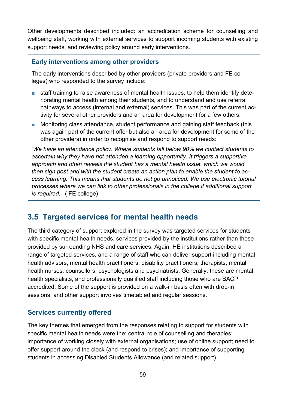Other developments described included: an accreditation scheme for counselling and wellbeing staff, working with external services to support incoming students with existing support needs, and reviewing policy around early interventions.

#### **Early interventions among other providers**

The early interventions described by other providers (private providers and FE colleges) who responded to the survey include:

- staff training to raise awareness of mental health issues, to help them identify deteriorating mental health among their students, and to understand and use referral pathways to access (internal and external) services. This was part of the current activity for several other providers and an area for development for a few others:
- Monitoring class attendance, student performance and gaining staff feedback (this was again part of the current offer but also an area for development for some of the other providers) in order to recognise and respond to support needs:

'*We have an attendance policy. Where students fall below 90% we contact students to ascertain why they have not attended a learning opportunity. It triggers a supportive approach and often reveals the student has a mental health issue, which we would then sign post and with the student create an action plan to enable the student to access learning. This means that students do not go unnoticed. We use electronic tutorial processes where we can link to other professionals in the college if additional support is required.*' ( FE college)

## **3.5 Targeted services for mental health needs**

The third category of support explored in the survey was targeted services for students with specific mental health needs, services provided by the institutions rather than those provided by surrounding NHS and care services. Again, HE institutions described a range of targeted services, and a range of staff who can deliver support including mental health advisors, mental health practitioners, disability practitioners, therapists, mental health nurses, counsellors, psychologists and psychiatrists. Generally, these are mental health specialists, and professionally qualified staff including those who are BACP accredited. Some of the support is provided on a walk-in basis often with drop-in sessions, and other support involves timetabled and regular sessions.

#### **Services currently offered**

The key themes that emerged from the responses relating to support for students with specific mental health needs were the: central role of counselling and therapies; importance of working closely with external organisations; use of online support; need to offer support around the clock (and respond to crises); and importance of supporting students in accessing Disabled Students Allowance (and related support).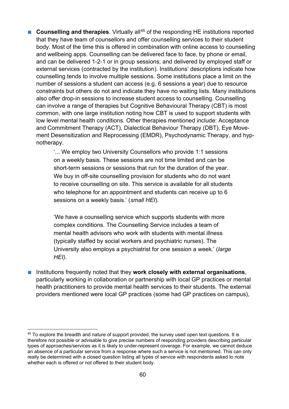■ **Counselling and therapies**. Virtually all<sup>[45](#page-59-0)</sup> of the responding HE institutions reported that they have team of counsellors and offer counselling services to their student body. Most of the time this is offered in combination with online access to counselling and wellbeing apps. Counselling can be delivered face to face, by phone or email, and can be delivered 1-2-1 or in group sessions; and delivered by employed staff or external services (contracted by the institution). Institutions' descriptions indicate how counselling tends to involve multiple sessions. Some institutions place a limit on the number of sessions a student can access (e.g. 6 sessions a year) due to resource constraints but others do not and indicate they have no waiting lists. Many institutions also offer drop-in sessions to increase student access to counselling. Counselling can involve a range of therapies but Cognitive Behavioural Therapy (CBT) is most common, with one large institution noting how CBT is used to support students with low level mental health conditions. Other therapies mentioned include: Acceptance and Commitment Therapy (ACT), Dialectical Behaviour Therapy (DBT), Eye Movement Desensitization and Reprocessing (EMDR), Psychodynamic Therapy, and hypnotherapy.

> '... We employ two University Counsellors who provide 1:1 sessions on a weekly basis. These sessions are not time limited and can be short-term sessions or sessions that run for the duration of the year. We buy in off-site counselling provision for students who do not want to receive counselling on site. This service is available for all students who telephone for an appointment and students can receive up to 6 sessions on a weekly basis.' (*small HEI*).

'We have a counselling service which supports students with more complex conditions. The Counselling Service includes a team of mental health advisors who work with students with mental illness (typically staffed by social workers and psychiatric nurses). The University also employs a psychiatrist for one session a week.' (*large HEI).*

■ Institutions frequently noted that they **work closely with external organisations**, particularly working in collaboration or partnership with local GP practices or mental health practitioners to provide mental health services to their students. The external providers mentioned were local GP practices (some had GP practices on campus),

<span id="page-59-0"></span><sup>&</sup>lt;sup>45</sup> To explore the breadth and nature of support provided, the survey used open text questions. It is therefore not possible or advisable to give precise numbers of responding providers describing particular types of approaches/services as it is likely to under-represent coverage. For example, we cannot deduce an absence of a particular service from a response where such a service is not mentioned. This can only really be determined with a closed question listing all types of service with respondents asked to note whether each is offered or not offered to their student body.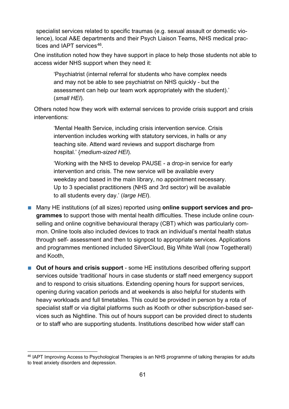specialist services related to specific traumas (e.g. sexual assault or domestic violence), local A&E departments and their Psych Liaison Teams, NHS medical prac-tices and IAPT services<sup>[46](#page-60-0)</sup>.

One institution noted how they have support in place to help those students not able to access wider NHS support when they need it:

'Psychiatrist (internal referral for students who have complex needs and may not be able to see psychiatrist on NHS quickly - but the assessment can help our team work appropriately with the student).' (*small HEI*).

Others noted how they work with external services to provide crisis support and crisis interventions:

'Mental Health Service, including crisis intervention service. Crisis intervention includes working with statutory services, in halls or any teaching site. Attend ward reviews and support discharge from hospital.' {*medium-sized HEI*).

'Working with the NHS to develop PAUSE - a drop-in service for early intervention and crisis. The new service will be available every weekday and based in the main library, no appointment necessary. Up to 3 specialist practitioners (NHS and 3rd sector) will be available to all students every day.' (*large HEI*).

- Many HE institutions (of all sizes) reported using **online support services and programmes** to support those with mental health difficulties. These include online counselling and online cognitive behavioural therapy (CBT) which was particularly common. Online tools also included devices to track an individual's mental health status through self- assessment and then to signpost to appropriate services. Applications and programmes mentioned included SilverCloud, Big White Wall (now Togetherall) and Kooth,
- Out of hours and crisis support some HE institutions described offering support services outside 'traditional' hours in case students or staff need emergency support and to respond to crisis situations. Extending opening hours for support services, opening during vacation periods and at weekends is also helpful for students with heavy workloads and full timetables. This could be provided in person by a rota of specialist staff or via digital platforms such as Kooth or other subscription-based services such as Nightline. This out of hours support can be provided direct to students or to staff who are supporting students. Institutions described how wider staff can

<span id="page-60-0"></span><sup>46</sup> IAPT Improving Access to Psychological Therapies is an NHS programme of talking therapies for adults to treat anxiety disorders and depression.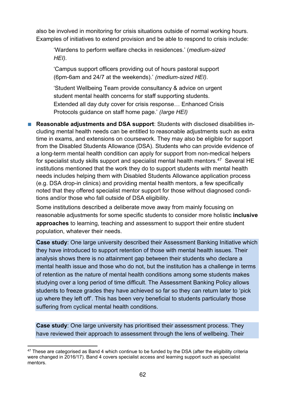also be involved in monitoring for crisis situations outside of normal working hours. Examples of initiatives to extend provision and be able to respond to crisis include:

'Wardens to perform welfare checks in residences.' (*medium-sized HEI).*

'Campus support officers providing out of hours pastoral support (6pm-6am and 24/7 at the weekends).' *(medium-sized HEI).*

'Student Wellbeing Team provide consultancy & advice on urgent student mental health concerns for staff supporting students. Extended all day duty cover for crisis response… Enhanced Crisis Protocols guidance on staff home page.' *(Iarge HEI)*

■ **Reasonable adjustments and DSA support**: Students with disclosed disabilities including mental health needs can be entitled to reasonable adjustments such as extra time in exams, and extensions on coursework. They may also be eligible for support from the Disabled Students Allowance (DSA). Students who can provide evidence of a long-term mental health condition can apply for support from non-medical helpers for specialist study skills support and specialist mental health mentors.<sup>47</sup> Several HE institutions mentioned that the work they do to support students with mental health needs includes helping them with Disabled Students Allowance application process (e.g. DSA drop-in clinics) and providing mental health mentors, a few specifically noted that they offered specialist mentor support for those without diagnosed conditions and/or those who fall outside of DSA eligibility.

Some institutions described a deliberate move away from mainly focusing on reasonable adjustments for some specific students to consider more holistic **inclusive approaches** to learning, teaching and assessment to support their entire student population, whatever their needs.

**Case study:** One large university described their Assessment Banking Initiative which they have introduced to support retention of those with mental health issues. Their analysis shows there is no attainment gap between their students who declare a mental health issue and those who do not, but the institution has a challenge in terms of retention as the nature of mental health conditions among some students makes studying over a long period of time difficult. The Assessment Banking Policy allows students to freeze grades they have achieved so far so they can return later to 'pick up where they left off'. This has been very beneficial to students particularly those suffering from cyclical mental health conditions.

**Case study**: One large university has prioritised their assessment process. They have reviewed their approach to assessment through the lens of wellbeing. Their

<span id="page-61-0"></span> $47$  These are categorised as Band 4 which continue to be funded by the DSA (after the eligibility criteria were changed in 2016/17). Band 4 covers specialist access and learning support such as specialist mentors.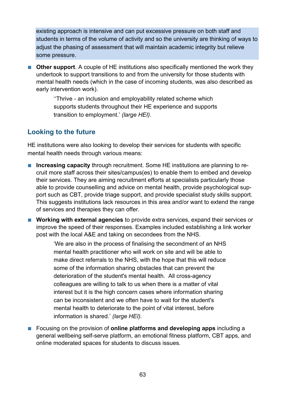existing approach is intensive and can put excessive pressure on both staff and students in terms of the volume of activity and so the university are thinking of ways to adjust the phasing of assessment that will maintain academic integrity but relieve some pressure.

■ **Other support**. A couple of HE institutions also specifically mentioned the work they undertook to support transitions to and from the university for those students with mental health needs (which in the case of incoming students, was also described as early intervention work).

> ''Thrive - an inclusion and employability related scheme which supports students throughout their HE experience and supports transition to employment.' *(large HEI).*

#### **Looking to the future**

HE institutions were also looking to develop their services for students with specific mental health needs through various means:

- **Increasing capacity** through recruitment. Some HE institutions are planning to recruit more staff across their sites/campus(es) to enable them to embed and develop their services. They are aiming recruitment efforts at specialists particularly those able to provide counselling and advice on mental health, provide psychological support such as CBT, provide triage support, and provide specialist study skills support. This suggests institutions lack resources in this area and/or want to extend the range of services and therapies they can offer.
- **Working with external agencies** to provide extra services, expand their services or improve the speed of their responses. Examples included establishing a link worker post with the local A&E and taking on secondees from the NHS.

'We are also in the process of finalising the secondment of an NHS mental health practitioner who will work on site and will be able to make direct referrals to the NHS, with the hope that this will reduce some of the information sharing obstacles that can prevent the deterioration of the student's mental health. All cross-agency colleagues are willing to talk to us when there is a matter of vital interest but it is the high concern cases where information sharing can be inconsistent and we often have to wait for the student's mental health to deteriorate to the point of vital interest, before information is shared.' *(large HEI).*

■ Focusing on the provision of **online platforms and developing apps** including a general wellbeing self-serve platform, an emotional fitness platform, CBT apps, and online moderated spaces for students to discuss issues.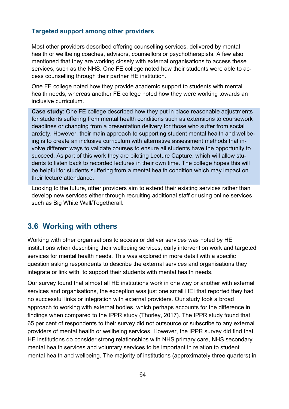#### **Targeted support among other providers**

Most other providers described offering counselling services, delivered by mental health or wellbeing coaches, advisors, counsellors or psychotherapists. A few also mentioned that they are working closely with external organisations to access these services, such as the NHS. One FE college noted how their students were able to access counselling through their partner HE institution.

One FE college noted how they provide academic support to students with mental health needs, whereas another FE college noted how they were working towards an inclusive curriculum.

**Case study**: One FE college described how they put in place reasonable adjustments for students suffering from mental health conditions such as extensions to coursework deadlines or changing from a presentation delivery for those who suffer from social anxiety. However, their main approach to supporting student mental health and wellbeing is to create an inclusive curriculum with alternative assessment methods that involve different ways to validate courses to ensure all students have the opportunity to succeed. As part of this work they are piloting Lecture Capture, which will allow students to listen back to recorded lectures in their own time. The college hopes this will be helpful for students suffering from a mental health condition which may impact on their lecture attendance.

Looking to the future, other providers aim to extend their existing services rather than develop new services either through recruiting additional staff or using online services such as Big White Wall/Togetherall.

## **3.6 Working with others**

Working with other organisations to access or deliver services was noted by HE institutions when describing their wellbeing services, early intervention work and targeted services for mental health needs. This was explored in more detail with a specific question asking respondents to describe the external services and organisations they integrate or link with, to support their students with mental health needs.

Our survey found that almost all HE institutions work in one way or another with external services and organisations, the exception was just one small HEI that reported they had no successful links or integration with external providers. Our study took a broad approach to working with external bodies, which perhaps accounts for the difference in findings when compared to the IPPR study (Thorley, 2017). The IPPR study found that 65 per cent of respondents to their survey did not outsource or subscribe to any external providers of mental health or wellbeing services. However, the IPPR survey did find that HE institutions do consider strong relationships with NHS primary care, NHS secondary mental health services and voluntary services to be important in relation to student mental health and wellbeing. The majority of institutions (approximately three quarters) in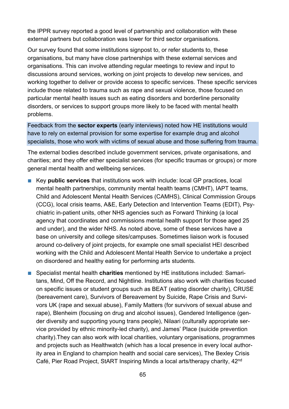the IPPR survey reported a good level of partnership and collaboration with these external partners but collaboration was lower for third sector organisations.

Our survey found that some institutions signpost to, or refer students to, these organisations, but many have close partnerships with these external services and organisations. This can involve attending regular meetings to review and input to discussions around services, working on joint projects to develop new services, and working together to deliver or provide access to specific services. These specific services include those related to trauma such as rape and sexual violence, those focused on particular mental health issues such as eating disorders and borderline personality disorders, or services to support groups more likely to be faced with mental health problems.

Feedback from the **sector experts** (early interviews) noted how HE institutions would have to rely on external provision for some expertise for example drug and alcohol specialists, those who work with victims of sexual abuse and those suffering from trauma.

The external bodies described include government services, private organisations, and charities; and they offer either specialist services (for specific traumas or groups) or more general mental health and wellbeing services.

- Key **public services** that institutions work with include: local GP practices, local mental health partnerships, community mental health teams (CMHT), IAPT teams, Child and Adolescent Mental Health Services (CAMHS), Clinical Commission Groups (CCG), local crisis teams, A&E, Early Detection and Intervention Teams (EDIT), Psychiatric in-patient units, other NHS agencies such as Forward Thinking (a local agency that coordinates and commissions mental health support for those aged 25 and under), and the wider NHS. As noted above, some of these services have a base on university and college sites/campuses. Sometimes liaison work is focused around co-delivery of joint projects, for example one small specialist HEI described working with the Child and Adolescent Mental Health Service to undertake a project on disordered and healthy eating for performing arts students.
- Specialist mental health **charities** mentioned by HE institutions included: Samaritans, Mind, Off the Record, and Nightline. Institutions also work with charities focused on specific issues or student groups such as BEAT (eating disorder charity), CRUSE (bereavement care), Survivors of Bereavement by Suicide, Rape Crisis and Survivors UK (rape and sexual abuse), Family Matters (for survivors of sexual abuse and rape), Blenheim (focusing on drug and alcohol issues), Gendered Intelligence (gender diversity and supporting young trans people), Nilaari (culturally appropriate service provided by ethnic minority-led charity), and James' Place (suicide prevention charity).They can also work with local charities, voluntary organisations, programmes and projects such as Healthwatch (which has a local presence in every local authority area in England to champion health and social care services), The Bexley Crisis Café, Pier Road Project, StART Inspiring Minds a local arts/therapy charity, 42nd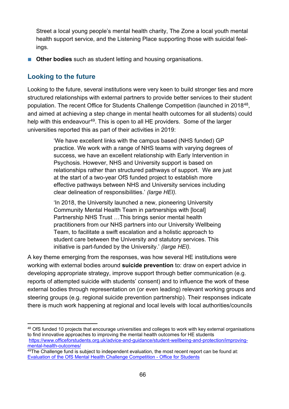Street a local young people's mental health charity, The Zone a local youth mental health support service, and the Listening Place supporting those with suicidal feelings.

■ **Other bodies** such as student letting and housing organisations.

#### **Looking to the future**

Looking to the future, several institutions were very keen to build stronger ties and more structured relationships with external partners to provide better services to their student population. The recent Office for Students Challenge Competition (launched in 2018[48,](#page-65-0) and aimed at achieving a step change in mental health outcomes for all students) could help with this endeavour<sup>[49](#page-65-1)</sup>. This is open to all HE providers. Some of the larger universities reported this as part of their activities in 2019:

> 'We have excellent links with the campus based (NHS funded) GP practice. We work with a range of NHS teams with varying degrees of success, we have an excellent relationship with Early Intervention in Psychosis. However, NHS and University support is based on relationships rather than structured pathways of support. We are just at the start of a two-year OfS funded project to establish more effective pathways between NHS and University services including clear delineation of responsibilities.' *(large HEI).*

'In 2018, the University launched a new, pioneering University Community Mental Health Team in partnerships with [local] Partnership NHS Trust …This brings senior mental health practitioners from our NHS partners into our University Wellbeing Team, to facilitate a swift escalation and a holistic approach to student care between the University and statutory services. This initiative is part-funded by the University.' *(large HEI).*

A key theme emerging from the responses, was how several HE institutions were working with external bodies around **suicide prevention** to: draw on expert advice in developing appropriate strategy, improve support through better communication (e.g. reports of attempted suicide with students' consent) and to influence the work of these external bodies through representation on (or even leading) relevant working groups and steering groups (e.g. regional suicide prevention partnership). Their responses indicate there is much work happening at regional and local levels with local authorities/councils

<span id="page-65-0"></span><sup>&</sup>lt;sup>48</sup> OfS funded 10 projects that encourage universities and colleges to work with key external organisations to find innovative approaches to improving the mental health outcomes for HE students [https://www.officeforstudents.org.uk/advice-and-guidance/student-wellbeing-and-protection/improving](https://www.officeforstudents.org.uk/advice-and-guidance/student-wellbeing-and-protection/improving-mental-health-outcomes/)[mental-health-outcomes/](https://www.officeforstudents.org.uk/advice-and-guidance/student-wellbeing-and-protection/improving-mental-health-outcomes/)

<span id="page-65-1"></span> $49$ The Challenge fund is subject to independent evaluation, the most recent report can be found at: [Evaluation of the OfS Mental Health Challenge Competition - Office for Students](https://www.officeforstudents.org.uk/publications/evaluation-of-the-ofs-mental-health-challenge-competition-early-findings-report/)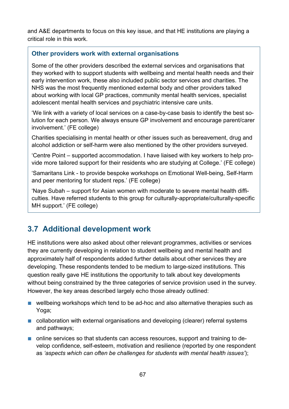and A&E departments to focus on this key issue, and that HE institutions are playing a critical role in this work.

#### **Other providers work with external organisations**

Some of the other providers described the external services and organisations that they worked with to support students with wellbeing and mental health needs and their early intervention work, these also included public sector services and charities. The NHS was the most frequently mentioned external body and other providers talked about working with local GP practices, community mental health services, specialist adolescent mental health services and psychiatric intensive care units.

'We link with a variety of local services on a case-by-case basis to identify the best solution for each person. We always ensure GP involvement and encourage parent/carer involvement.' (FE college)

Charities specialising in mental health or other issues such as bereavement, drug and alcohol addiction or self-harm were also mentioned by the other providers surveyed.

'Centre Point – supported accommodation. I have liaised with key workers to help provide more tailored support for their residents who are studying at College.' (FE college)

'Samaritans Link - to provide bespoke workshops on Emotional Well-being, Self-Harm and peer mentoring for student reps.' (FE college)

'Naye Subah – support for Asian women with moderate to severe mental health difficulties. Have referred students to this group for culturally-appropriate/culturally-specific MH support.' (FE college)

## **3.7 Additional development work**

HE institutions were also asked about other relevant programmes, activities or services they are currently developing in relation to student wellbeing and mental health and approximately half of respondents added further details about other services they are developing. These respondents tended to be medium to large-sized institutions. This question really gave HE institutions the opportunity to talk about key developments without being constrained by the three categories of service provision used in the survey. However, the key areas described largely echo those already outlined:

- wellbeing workshops which tend to be ad-hoc and also alternative therapies such as Yoga;
- collaboration with external organisations and developing (clearer) referral systems and pathways;
- online services so that students can access resources, support and training to develop confidence, self-esteem, motivation and resilience (reported by one respondent as *'aspects which can often be challenges for students with mental health issues'*);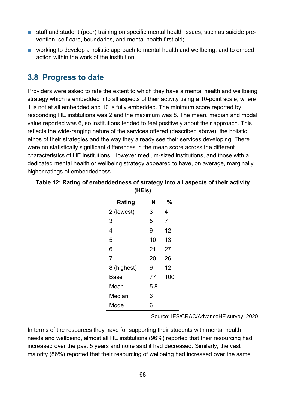- staff and student (peer) training on specific mental health issues, such as suicide prevention, self-care, boundaries, and mental health first aid;
- working to develop a holistic approach to mental health and wellbeing, and to embed action within the work of the institution.

## **3.8 Progress to date**

Providers were asked to rate the extent to which they have a mental health and wellbeing strategy which is embedded into all aspects of their activity using a 10-point scale, where 1 is not at all embedded and 10 is fully embedded. The minimum score reported by responding HE institutions was 2 and the maximum was 8. The mean, median and modal value reported was 6, so institutions tended to feel positively about their approach. This reflects the wide-ranging nature of the services offered (described above), the holistic ethos of their strategies and the way they already see their services developing. There were no statistically significant differences in the mean score across the different characteristics of HE institutions. However medium-sized institutions, and those with a dedicated mental health or wellbeing strategy appeared to have, on average, marginally higher ratings of embeddedness.

| Rating         | N   | %   |
|----------------|-----|-----|
| 2 (lowest)     | 3   | 4   |
| 3              | 5   | 7   |
| 4              | 9   | 12  |
| 5              | 10  | 13  |
| 6              | 21  | 27  |
| $\overline{7}$ | 20  | 26  |
| 8 (highest)    | 9   | 12  |
| Base           | 77  | 100 |
| Mean           | 5.8 |     |
| Median         | 6   |     |
| Mode           | 6   |     |

**Table 12: Rating of embeddedness of strategy into all aspects of their activity (HEIs)**

Source: IES/CRAC/AdvanceHE survey, 2020

In terms of the resources they have for supporting their students with mental health needs and wellbeing, almost all HE institutions (96%) reported that their resourcing had increased over the past 5 years and none said it had decreased. Similarly, the vast majority (86%) reported that their resourcing of wellbeing had increased over the same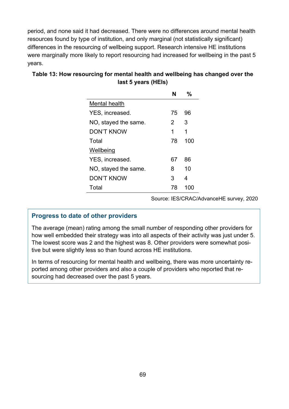period, and none said it had decreased. There were no differences around mental health resources found by type of institution, and only marginal (not statistically significant) differences in the resourcing of wellbeing support. Research intensive HE institutions were marginally more likely to report resourcing had increased for wellbeing in the past 5 years.

|                      | N  | $\%$ |
|----------------------|----|------|
| Mental health        |    |      |
| YES, increased.      | 75 | 96   |
| NO, stayed the same. | 2  | З    |
| DON'T KNOW           | 1  | 1    |
| Total                | 78 | 100  |
| Wellbeing            |    |      |
| YES, increased.      | 67 | 86   |
| NO, stayed the same. | 8  | 10   |
| <b>DON'T KNOW</b>    | 3  | 4    |
| Total                | 78 | 100  |

## **Table 13: How resourcing for mental health and wellbeing has changed over the last 5 years (HEIs)**

Source: IES/CRAC/AdvanceHE survey, 2020

#### **Progress to date of other providers**

The average (mean) rating among the small number of responding other providers for how well embedded their strategy was into all aspects of their activity was just under 5. The lowest score was 2 and the highest was 8. Other providers were somewhat positive but were slightly less so than found across HE institutions.

In terms of resourcing for mental health and wellbeing, there was more uncertainty reported among other providers and also a couple of providers who reported that resourcing had decreased over the past 5 years.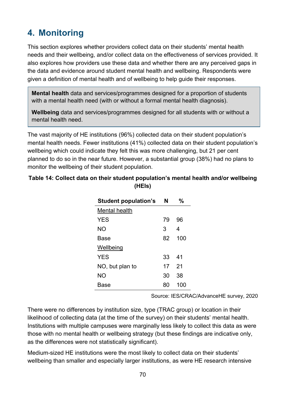# **4. Monitoring**

This section explores whether providers collect data on their students' mental health needs and their wellbeing, and/or collect data on the effectiveness of services provided. It also explores how providers use these data and whether there are any perceived gaps in the data and evidence around student mental health and wellbeing. Respondents were given a definition of mental health and of wellbeing to help guide their responses.

**Mental health** data and services/programmes designed for a proportion of students with a mental health need (with or without a formal mental health diagnosis).

**Wellbeing** data and services/programmes designed for all students with or without a mental health need.

The vast majority of HE institutions (96%) collected data on their student population's mental health needs. Fewer institutions (41%) collected data on their student population's wellbeing which could indicate they felt this was more challenging, but 21 per cent planned to do so in the near future. However, a substantial group (38%) had no plans to monitor the wellbeing of their student population.

| <b>Student population's</b> | N  | %   |
|-----------------------------|----|-----|
| Mental health               |    |     |
| <b>YES</b>                  | 79 | 96  |
| NΟ                          | 3  | 4   |
| Base                        | 82 | 100 |
| Wellbeing                   |    |     |
| YES                         | 33 | 41  |
| NO, but plan to             | 17 | -21 |
| NΟ                          | 30 | 38  |
| Base                        |    | 100 |

### **Table 14: Collect data on their student population's mental health and/or wellbeing (HEIs)**

Source: IES/CRAC/AdvanceHE survey, 2020

There were no differences by institution size, type (TRAC group) or location in their likelihood of collecting data (at the time of the survey) on their students' mental health. Institutions with multiple campuses were marginally less likely to collect this data as were those with no mental health or wellbeing strategy (but these findings are indicative only, as the differences were not statistically significant).

Medium-sized HE institutions were the most likely to collect data on their students' wellbeing than smaller and especially larger institutions, as were HE research intensive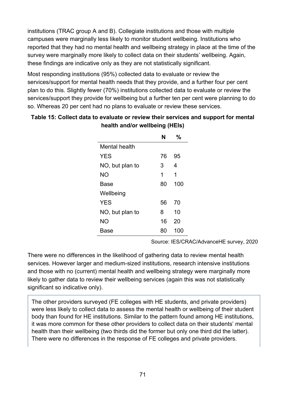institutions (TRAC group A and B). Collegiate institutions and those with multiple campuses were marginally less likely to monitor student wellbeing. Institutions who reported that they had no mental health and wellbeing strategy in place at the time of the survey were marginally more likely to collect data on their students' wellbeing. Again, these findings are indicative only as they are not statistically significant.

Most responding institutions (95%) collected data to evaluate or review the services/support for mental health needs that they provide, and a further four per cent plan to do this. Slightly fewer (70%) institutions collected data to evaluate or review the services/support they provide for wellbeing but a further ten per cent were planning to do so. Whereas 20 per cent had no plans to evaluate or review these services.

| Table 15: Collect data to evaluate or review their services and support for mental |  |
|------------------------------------------------------------------------------------|--|
| health and/or wellbeing (HEIs)                                                     |  |

|                 |    | ℆   |
|-----------------|----|-----|
| Mental health   |    |     |
| <b>YES</b>      | 76 | 95  |
| NO, but plan to | 3  | 4   |
| <b>NO</b>       | 1  | 1   |
| Base            | 80 | 100 |
| Wellbeing       |    |     |
| <b>YES</b>      | 56 | 70  |
| NO, but plan to | 8  | 10  |
| <b>NO</b>       | 16 | 20  |
| Base            | 80 | 100 |

Source: IES/CRAC/AdvanceHE survey, 2020

There were no differences in the likelihood of gathering data to review mental health services. However larger and medium-sized institutions, research intensive institutions and those with no (current) mental health and wellbeing strategy were marginally more likely to gather data to review their wellbeing services (again this was not statistically significant so indicative only).

The other providers surveyed (FE colleges with HE students, and private providers) were less likely to collect data to assess the mental health or wellbeing of their student body than found for HE institutions. Similar to the pattern found among HE institutions, it was more common for these other providers to collect data on their students' mental health than their wellbeing (two thirds did the former but only one third did the latter). There were no differences in the response of FE colleges and private providers.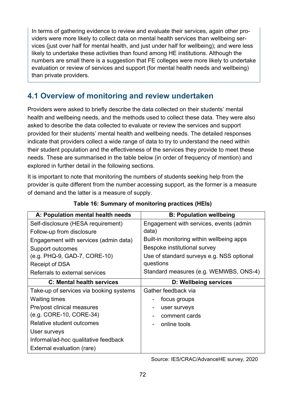In terms of gathering evidence to review and evaluate their services, again other providers were more likely to collect data on mental health services than wellbeing services (just over half for mental health, and just under half for wellbeing); and were less likely to undertake these activities than found among HE institutions. Although the numbers are small there is a suggestion that FE colleges were more likely to undertake evaluation or review of services and support (for mental health needs and wellbeing) than private providers.

## **4.1 Overview of monitoring and review undertaken**

Providers were asked to briefly describe the data collected on their students' mental health and wellbeing needs, and the methods used to collect these data. They were also asked to describe the data collected to evaluate or review the services and support provided for their students' mental health and wellbeing needs. The detailed responses indicate that providers collect a wide range of data to try to understand the need within their student population and the effectiveness of the services they provide to meet these needs. These are summarised in the table below (in order of frequency of mention) and explored in further detail in the following sections.

It is important to note that monitoring the numbers of students seeking help from the provider is quite different from the number accessing support, as the former is a measure of demand and the latter is a measure of supply.

| A: Population mental health needs       | <b>B: Population wellbeing</b>               |
|-----------------------------------------|----------------------------------------------|
| Self-disclosure (HESA requirement)      | Engagement with services, events (admin      |
| Follow-up from disclosure               | data)                                        |
| Engagement with services (admin data)   | Built-in monitoring within wellbeing apps    |
| Support outcomes                        | Bespoke institutional survey                 |
| (e.g. PHQ-9, GAD-7, CORE-10)            | Use of standard surveys e.g. NSS optional    |
| Receipt of DSA                          | questions                                    |
| Referrals to external services          | Standard measures (e.g. WEMWBS, ONS-4)       |
| <b>C: Mental health services</b>        | <b>D: Wellbeing services</b>                 |
| Take-up of services via booking systems | Gather feedback via                          |
| <b>Waiting times</b>                    | focus groups<br>-                            |
| Pre/post clinical measures              | user surveys<br>$\qquad \qquad \blacksquare$ |
| (e.g. CORE-10, CORE-34)                 | comment cards                                |
| Relative student outcomes               | online tools                                 |
| User surveys                            |                                              |
| Informal/ad-hoc qualitative feedback    |                                              |
| External evaluation (rare)              |                                              |

#### **Table 16: Summary of monitoring practices (HEIs)**

Source: IES/CRAC/AdvanceHE survey, 2020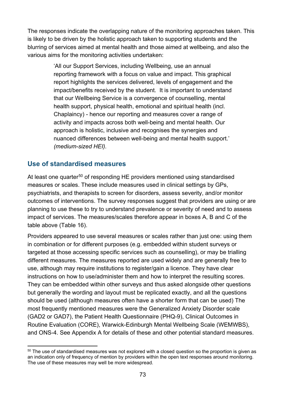The responses indicate the overlapping nature of the monitoring approaches taken. This is likely to be driven by the holistic approach taken to supporting students and the blurring of services aimed at mental health and those aimed at wellbeing, and also the various aims for the monitoring activities undertaken:

> 'All our Support Services, including Wellbeing, use an annual reporting framework with a focus on value and impact. This graphical report highlights the services delivered, levels of engagement and the impact/benefits received by the student. It is important to understand that our Wellbeing Service is a convergence of counselling, mental health support, physical health, emotional and spiritual health (incl. Chaplaincy) - hence our reporting and measures cover a range of activity and impacts across both well-being and mental health. Our approach is holistic, inclusive and recognises the synergies and nuanced differences between well-being and mental health support.' *(medium-sized HEI).*

#### **Use of standardised measures**

At least one quarter<sup>[50](#page-72-0)</sup> of responding HE providers mentioned using standardised measures or scales. These include measures used in clinical settings by GPs, psychiatrists, and therapists to screen for disorders, assess severity, and/or monitor outcomes of interventions. The survey responses suggest that providers are using or are planning to use these to try to understand prevalence or severity of need and to assess impact of services. The measures/scales therefore appear in boxes A, B and C of the table above (Table 16).

Providers appeared to use several measures or scales rather than just one: using them in combination or for different purposes (e.g. embedded within student surveys or targeted at those accessing specific services such as counselling), or may be trialling different measures. The measures reported are used widely and are generally free to use, although may require institutions to register/gain a licence. They have clear instructions on how to use/administer them and how to interpret the resulting scores. They can be embedded within other surveys and thus asked alongside other questions but generally the wording and layout must be replicated exactly, and all the questions should be used (although measures often have a shorter form that can be used) The most frequently mentioned measures were the Generalized Anxiety Disorder scale (GAD2 or GAD7), the Patient Health Questionnaire (PHQ-9), Clinical Outcomes in Routine Evaluation (CORE), Warwick-Edinburgh Mental Wellbeing Scale (WEMWBS), and ONS-4. See Appendix A for details of these and other potential standard measures.

<span id="page-72-0"></span><sup>&</sup>lt;sup>50</sup> The use of standardised measures was not explored with a closed question so the proportion is given as an indication only of frequency of mention by providers within the open text responses around monitoring. The use of these measures may well be more widespread.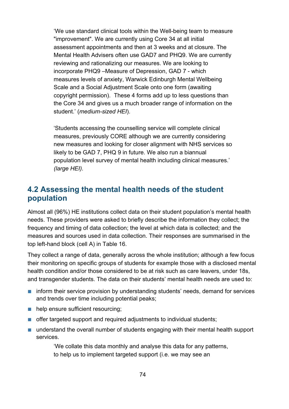'We use standard clinical tools within the Well-being team to measure "improvement". We are currently using Core 34 at all initial assessment appointments and then at 3 weeks and at closure. The Mental Health Advisers often use GAD7 and PHQ9. We are currently reviewing and rationalizing our measures. We are looking to incorporate PHQ9 –Measure of Depression, GAD 7 - which measures levels of anxiety, Warwick Edinburgh Mental Wellbeing Scale and a Social Adjustment Scale onto one form (awaiting copyright permission). These 4 forms add up to less questions than the Core 34 and gives us a much broader range of information on the student.' (*medium-sized HEI*).

'Students accessing the counselling service will complete clinical measures, previously CORE although we are currently considering new measures and looking for closer alignment with NHS services so likely to be GAD 7, PHQ 9 in future. We also run a biannual population level survey of mental health including clinical measures.' *(large HEI).*

## **4.2 Assessing the mental health needs of the student population**

Almost all (96%) HE institutions collect data on their student population's mental health needs. These providers were asked to briefly describe the information they collect; the frequency and timing of data collection; the level at which data is collected; and the measures and sources used in data collection. Their responses are summarised in the top left-hand block (cell A) in Table 16.

They collect a range of data, generally across the whole institution; although a few focus their monitoring on specific groups of students for example those with a disclosed mental health condition and/or those considered to be at risk such as care leavers, under 18s, and transgender students. The data on their students' mental health needs are used to:

- inform their service provision by understanding students' needs, demand for services and trends over time including potential peaks;
- help ensure sufficient resourcing;
- offer targeted support and required adjustments to individual students;
- understand the overall number of students engaging with their mental health support services.

'We collate this data monthly and analyse this data for any patterns, to help us to implement targeted support (i.e. we may see an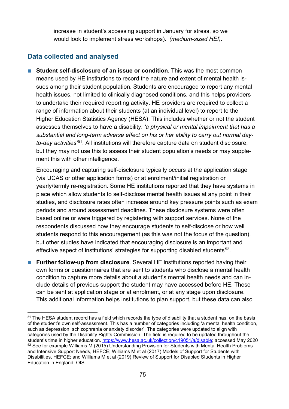increase in student's accessing support in January for stress, so we would look to implement stress workshops).' *(medium-sized HEI).*

### **Data collected and analysed**

■ **Student self-disclosure of an issue or condition**. This was the most common means used by HE institutions to record the nature and extent of mental health issues among their student population. Students are encouraged to report any mental health issues, not limited to clinically diagnosed conditions, and this helps providers to undertake their required reporting activity. HE providers are required to collect a range of information about their students (at an individual level) to report to the Higher Education Statistics Agency (HESA). This includes whether or not the student assesses themselves to have a disability: *'a physical or mental impairment that has a substantial and long-term adverse effect on his or her ability to carry out normal dayto-day activities'*[51](#page-74-0). All institutions will therefore capture data on student disclosure, but they may not use this to assess their student population's needs or may supplement this with other intelligence.

Encouraging and capturing self-disclosure typically occurs at the application stage (via UCAS or other application forms) or at enrolment/initial registration or yearly/termly re-registration. Some HE institutions reported that they have systems in place which allow students to self-disclose mental health issues at any point in their studies, and disclosure rates often increase around key pressure points such as exam periods and around assessment deadlines. These disclosure systems were often based online or were triggered by registering with support services. None of the respondents discussed how they encourage students to self-disclose or how well students respond to this encouragement (as this was not the focus of the question), but other studies have indicated that encouraging disclosure is an important and effective aspect of institutions' strategies for supporting disabled students<sup>[52](#page-74-1)</sup>.

■ **Further follow-up from disclosure**. Several HE institutions reported having their own forms or questionnaires that are sent to students who disclose a mental health condition to capture more details about a student's mental health needs and can include details of previous support the student may have accessed before HE. These can be sent at application stage or at enrolment, or at any stage upon disclosure. This additional information helps institutions to plan support, but these data can also

<span id="page-74-1"></span><span id="page-74-0"></span><sup>51</sup> The HESA student record has a field which records the type of disability that a student has, on the basis of the student's own self-assessment. This has a number of categories including 'a mental health condition, such as depression, schizophrenia or anxiety disorder'. The categories were updated to align with categories used by the Disability Rights Commission. The field is required to be updated throughout the student's time in higher education. [https://www.hesa.ac.uk/collection/c19051/a/disable;](https://www.hesa.ac.uk/collection/c19051/a/disable) accessed May 2020 <sup>52</sup> See for example Williams M (2015) Understanding Provision for Students with Mental Health Problems and Intensive Support Needs, HEFCE; Williams M et al (2017) Models of Support for Students with Disabilities, HEFCE; and Williams M et al (2019) Review of Support for Disabled Students in Higher Education in England, OfS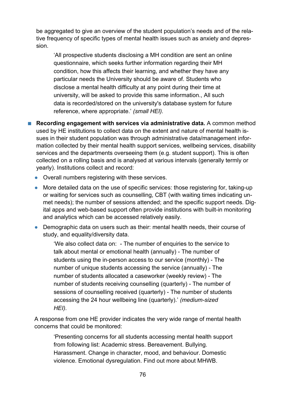be aggregated to give an overview of the student population's needs and of the relative frequency of specific types of mental health issues such as anxiety and depression.

'All prospective students disclosing a MH condition are sent an online questionnaire, which seeks further information regarding their MH condition, how this affects their learning, and whether they have any particular needs the University should be aware of. Students who disclose a mental health difficulty at any point during their time at university, will be asked to provide this same information., All such data is recorded/stored on the university's database system for future reference, where appropriate.' *(small HEI).*

■ **Recording engagement with services via administrative data.** A common method used by HE institutions to collect data on the extent and nature of mental health issues in their student population was through administrative data/management information collected by their mental health support services, wellbeing services, disability services and the departments overseeing them (e.g. student support). This is often collected on a rolling basis and is analysed at various intervals (generally termly or yearly). Institutions collect and record:

- **●** Overall numbers registering with these services.
- **●** More detailed data on the use of specific services: those registering for, taking-up or waiting for services such as counselling, CBT (with waiting times indicating unmet needs); the number of sessions attended; and the specific support needs. Digital apps and web-based support often provide institutions with built-in monitoring and analytics which can be accessed relatively easily.
- **●** Demographic data on users such as their: mental health needs, their course of study, and equality/diversity data.

'We also collect data on: - The number of enquiries to the service to talk about mental or emotional health (annually) - The number of students using the in-person access to our service (monthly) - The number of unique students accessing the service (annually) - The number of students allocated a caseworker (weekly review) - The number of students receiving counselling (quarterly) - The number of sessions of counselling received (quarterly) - The number of students accessing the 24 hour wellbeing line (quarterly).' *(medium-sized HEI).*

A response from one HE provider indicates the very wide range of mental health concerns that could be monitored:

'Presenting concerns for all students accessing mental health support from following list: Academic stress. Bereavement. Bullying. Harassment. Change in character, mood, and behaviour. Domestic violence. Emotional dysregulation. Find out more about MHWB.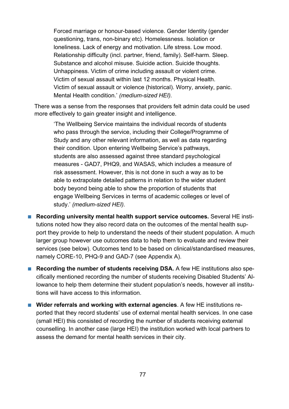Forced marriage or honour-based violence. Gender Identity (gender questioning, trans, non-binary etc). Homelessness. Isolation or loneliness. Lack of energy and motivation. Life stress. Low mood. Relationship difficulty (incl. partner, friend, family). Self-harm. Sleep. Substance and alcohol misuse. Suicide action. Suicide thoughts. Unhappiness. Victim of crime including assault or violent crime. Victim of sexual assault within last 12 months. Physical Health. Victim of sexual assault or violence (historical). Worry, anxiety, panic. Mental Health condition.' *(medium-sized HEI).*

There was a sense from the responses that providers felt admin data could be used more effectively to gain greater insight and intelligence.

'The Wellbeing Service maintains the individual records of students who pass through the service, including their College/Programme of Study and any other relevant information, as well as data regarding their condition. Upon entering Wellbeing Service's pathways, students are also assessed against three standard psychological measures - GAD7, PHQ9, and WASAS, which includes a measure of risk assessment. However, this is not done in such a way as to be able to extrapolate detailed patterns in relation to the wider student body beyond being able to show the proportion of students that engage Wellbeing Services in terms of academic colleges or level of study.' *(medium-sized HEI).*

- **Recording university mental health support service outcomes.** Several HE institutions noted how they also record data on the outcomes of the mental health support they provide to help to understand the needs of their student population. A much larger group however use outcomes data to help them to evaluate and review their services (see below). Outcomes tend to be based on clinical/standardised measures, namely CORE-10, PHQ-9 and GAD-7 (see Appendix A).
- **Recording the number of students receiving DSA.** A few HE institutions also specifically mentioned recording the number of students receiving Disabled Students' Allowance to help them determine their student population's needs, however all institutions will have access to this information.
- **Wider referrals and working with external agencies**. A few HE institutions reported that they record students' use of external mental health services. In one case (small HEI) this consisted of recording the number of students receiving external counselling. In another case (large HEI) the institution worked with local partners to assess the demand for mental health services in their city.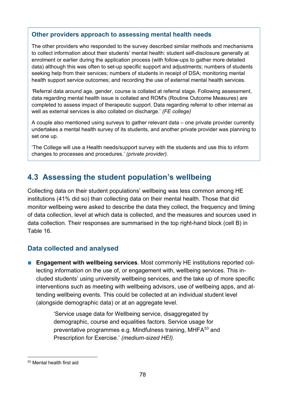### **Other providers approach to assessing mental health needs**

The other providers who responded to the survey described similar methods and mechanisms to collect information about their students' mental health: student self-disclosure generally at enrolment or earlier during the application process (with follow-ups to gather more detailed data) although this was often to set-up specific support and adjustments; numbers of students seeking help from their services; numbers of students in receipt of DSA; monitoring mental health support service outcomes; and recording the use of external mental health services.

*'*Referral data around age, gender, course is collated at referral stage. Following assessment, data regarding mental health issue is collated and ROM's (Routine Outcome Measures) are completed to assess impact of therapeutic support. Data regarding referral to other internal as well as external services is also collated on discharge.' *(FE college)*

A couple also mentioned using surveys to gather relevant data – one private provider currently undertakes a mental health survey of its students, and another private provider was planning to set one up.

'The College will use a Health needs/support survey with the students and use this to inform changes to processes and procedures.*' (private provider).*

## **4.3 Assessing the student population's wellbeing**

Collecting data on their student populations' wellbeing was less common among HE institutions (41% did so) than collecting data on their mental health. Those that did monitor wellbeing were asked to describe the data they collect, the frequency and timing of data collection, level at which data is collected, and the measures and sources used in data collection. Their responses are summarised in the top right-hand block (cell B) in Table 16.

## **Data collected and analysed**

■ **Engagement with wellbeing services**. Most commonly HE institutions reported collecting information on the use of, or engagement with, wellbeing services. This included students' using university wellbeing services, and the take up of more specific interventions such as meeting with wellbeing advisors, use of wellbeing apps, and attending wellbeing events. This could be collected at an individual student level (alongside demographic data) or at an aggregate level.

> 'Service usage data for Wellbeing service, disaggregated by demographic, course and equalities factors. Service usage for preventative programmes e.g. Mindfulness training, MHFA<sup>[53](#page-77-0)</sup> and Prescription for Exercise.' *(medium-sized HEI).*

<span id="page-77-0"></span><sup>53</sup> Mental health first aid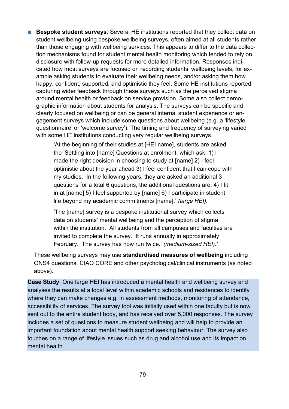■ **Bespoke student surveys**: Several HE institutions reported that they collect data on student wellbeing using bespoke wellbeing surveys, often aimed at all students rather than those engaging with wellbeing services. This appears to differ to the data collection mechanisms found for student mental health monitoring which tended to rely on disclosure with follow-up requests for more detailed information. Responses indicated how most surveys are focused on recording students' wellbeing levels, for example asking students to evaluate their wellbeing needs, and/or asking them how happy, confident, supported, and optimistic they feel. Some HE institutions reported capturing wider feedback through these surveys such as the perceived stigma around mental health or feedback on service provision. Some also collect demographic information about students for analysis. The surveys can be specific and clearly focused on wellbeing or can be general internal student experience or engagement surveys which include some questions about wellbeing (e.g. a 'lifestyle questionnaire' or 'welcome survey'). The timing and frequency of surveying varied with some HE institutions conducting very regular wellbeing surveys.

> 'At the beginning of their studies at [HEI name], students are asked the 'Settling into [name] Questions at enrolment, which ask: 1) I made the right decision in choosing to study at [name] 2) I feel optimistic about the year ahead 3) I feel confident that I can cope with my studies. In the following years, they are asked an additional 3 questions for a total 6 questions, the additional questions are: 4) I fit in at [name] 5) I feel supported by [name] 6) I participate in student life beyond my academic commitments [name].' *(large HEI).*

> 'The [name] survey is a bespoke institutional survey which collects data on students' mental wellbeing and the perception of stigma within the institution. All students from all campuses and faculties are invited to complete the survey. It runs annually in approximately February. The survey has now run twice.' *(medium-sized HEI).'*

These wellbeing surveys may use **standardised measures of wellbeing** including ONS4 questions, CIAO CORE and other psychological/clinical instruments (as noted above).

**Case Study**: One large HEI has introduced a mental health and wellbeing survey and analyses the results at a local level within academic schools and residences to identify where they can make changes e.g. in assessment methods, monitoring of attendance, accessibility of services. The survey tool was initially used within one faculty but is now sent out to the entire student body, and has received over 5,000 responses. The survey includes a set of questions to measure student wellbeing and will help to provide an important foundation about mental health support seeking behaviour. The survey also touches on a range of lifestyle issues such as drug and alcohol use and its impact on mental health.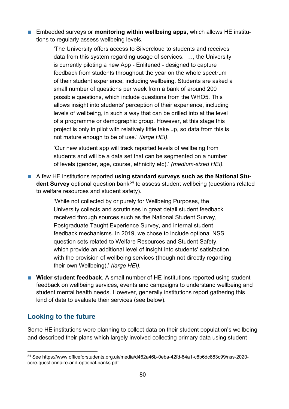■ Embedded surveys or **monitoring within wellbeing apps**, which allows HE institutions to regularly assess wellbeing levels.

> 'The University offers access to Silvercloud to students and receives data from this system regarding usage of services. …, the University is currently piloting a new App - Enlitened - designed to capture feedback from students throughout the year on the whole spectrum of their student experience, including wellbeing. Students are asked a small number of questions per week from a bank of around 200 possible questions, which include questions from the WHO5. This allows insight into students' perception of their experience, including levels of wellbeing, in such a way that can be drilled into at the level of a programme or demographic group. However, at this stage this project is only in pilot with relatively little take up, so data from this is not mature enough to be of use.' *(large HEI).*

'Our new student app will track reported levels of wellbeing from students and will be a data set that can be segmented on a number of levels (gender, age, course, ethnicity etc).' *(medium-sized HEI).*

■ A few HE institutions reported using standard surveys such as the National Stu**dent Survey** optional question bank<sup>[54](#page-79-0)</sup> to assess student wellbeing (questions related to welfare resources and student safety).

> 'While not collected by or purely for Wellbeing Purposes, the University collects and scrutinises in great detail student feedback received through sources such as the National Student Survey, Postgraduate Taught Experience Survey, and internal student feedback mechanisms. In 2019, we chose to include optional NSS question sets related to Welfare Resources and Student Safety, which provide an additional level of insight into students' satisfaction with the provision of wellbeing services (though not directly regarding their own Wellbeing).' *(large HEI).*

■ **Wider student feedback**. A small number of HE institutions reported using student feedback on wellbeing services, events and campaigns to understand wellbeing and student mental health needs. However, generally institutions report gathering this kind of data to evaluate their services (see below).

### **Looking to the future**

Some HE institutions were planning to collect data on their student population's wellbeing and described their plans which largely involved collecting primary data using student

<span id="page-79-0"></span><sup>54</sup> See https://www.officeforstudents.org.uk/media/d462a46b-0eba-42fd-84a1-c8b6dc883c99/nss-2020 core-questionnaire-and-optional-banks.pdf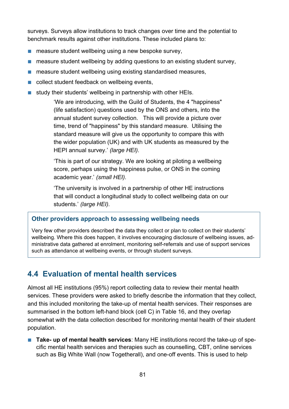surveys. Surveys allow institutions to track changes over time and the potential to benchmark results against other institutions. These included plans to:

- measure student wellbeing using a new bespoke survey,
- measure student wellbeing by adding questions to an existing student survey,
- measure student wellbeing using existing standardised measures,
- collect student feedback on wellbeing events,
- study their students' wellbeing in partnership with other HEIs.

'We are introducing, with the Guild of Students, the 4 "happiness" (life satisfaction) questions used by the ONS and others, into the annual student survey collection. This will provide a picture over time, trend of "happiness" by this standard measure. Utilising the standard measure will give us the opportunity to compare this with the wider population (UK) and with UK students as measured by the HEPI annual survey.' *(large HEI).*

'This is part of our strategy. We are looking at piloting a wellbeing score, perhaps using the happiness pulse, or ONS in the coming academic year.' *(small HEI).*

'The university is involved in a partnership of other HE instructions that will conduct a longitudinal study to collect wellbeing data on our students.' *(large HEI).*

### **Other providers approach to assessing wellbeing needs**

Very few other providers described the data they collect or plan to collect on their students' wellbeing. Where this does happen, it involves encouraging disclosure of wellbeing issues, administrative data gathered at enrolment, monitoring self-referrals and use of support services such as attendance at wellbeing events, or through student surveys.

## **4.4 Evaluation of mental health services**

Almost all HE institutions (95%) report collecting data to review their mental health services. These providers were asked to briefly describe the information that they collect, and this included monitoring the take-up of mental health services. Their responses are summarised in the bottom left-hand block (cell C) in Table 16, and they overlap somewhat with the data collection described for monitoring mental health of their student population.

■ **Take- up of mental health services**: Many HE institutions record the take-up of specific mental health services and therapies such as counselling, CBT, online services such as Big White Wall (now Togetherall), and one-off events. This is used to help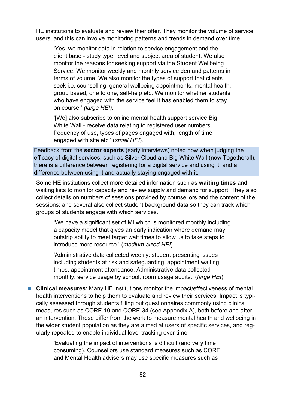HE institutions to evaluate and review their offer. They monitor the volume of service users, and this can involve monitoring patterns and trends in demand over time.

'Yes, we monitor data in relation to service engagement and the client base - study type, level and subject area of student. We also monitor the reasons for seeking support via the Student Wellbeing Service. We monitor weekly and monthly service demand patterns in terms of volume. We also monitor the types of support that clients seek i.e. counselling, general wellbeing appointments, mental health, group based, one to one, self-help etc. We monitor whether students who have engaged with the service feel it has enabled them to stay on course.' *(large HEI).*

'[We] also subscribe to online mental health support service Big White Wall - receive data relating to registered user numbers, frequency of use, types of pages engaged with, length of time engaged with site etc.' (*small HEI*).

Feedback from the **sector experts** (early interviews) noted how when judging the efficacy of digital services, such as Silver Cloud and Big White Wall (now Togetherall), there is a difference between registering for a digital service and using it, and a difference between using it and actually staying engaged with it.

Some HE institutions collect more detailed information such as **waiting times** and waiting lists to monitor capacity and review supply and demand for support. They also collect details on numbers of sessions provided by counsellors and the content of the sessions; and several also collect student background data so they can track which groups of students engage with which services.

'We have a significant set of MI which is monitored monthly including a capacity model that gives an early indication where demand may outstrip ability to meet target wait times to allow us to take steps to introduce more resource.' (*medium-sized HEI*).

'Administrative data collected weekly: student presenting issues including students at risk and safeguarding, appointment waiting times, appointment attendance. Administrative data collected monthly: service usage by school, room usage audits.' (*large HEI*).

■ **Clinical measures**: Many HE institutions monitor the impact/effectiveness of mental health interventions to help them to evaluate and review their services. Impact is typically assessed through students filling out questionnaires commonly using clinical measures such as CORE-10 and CORE-34 (see Appendix A), both before and after an intervention. These differ from the work to measure mental health and wellbeing in the wider student population as they are aimed at users of specific services, and regularly repeated to enable individual level tracking over time.

> 'Evaluating the impact of interventions is difficult (and very time consuming). Counsellors use standard measures such as CORE, and Mental Health advisers may use specific measures such as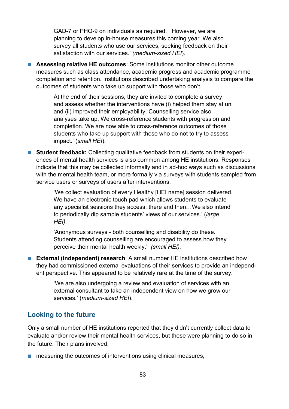GAD-7 or PHQ-9 on individuals as required. However, we are planning to develop in-house measures this coming year. We also survey all students who use our services, seeking feedback on their satisfaction with our services.' *(medium-sized HEI*).

■ **Assessing relative HE outcomes:** Some institutions monitor other outcome measures such as class attendance, academic progress and academic programme completion and retention. Institutions described undertaking analysis to compare the outcomes of students who take up support with those who don't.

> At the end of their sessions, they are invited to complete a survey and assess whether the interventions have (i) helped them stay at uni and (ii) improved their employability. Counselling service also analyses take up. We cross-reference students with progression and completion. We are now able to cross-reference outcomes of those students who take up support with those who do not to try to assess impact.' (*small HEI*).

■ **Student feedback:** Collecting qualitative feedback from students on their experiences of mental health services is also common among HE institutions. Responses indicate that this may be collected informally and in ad-hoc ways such as discussions with the mental health team, or more formally via surveys with students sampled from service users or surveys of users after interventions.

> 'We collect evaluation of every Healthy [HEI name] session delivered. We have an electronic touch pad which allows students to evaluate any specialist sessions they access, there and then…We also intend to periodically dip sample students' views of our services.' (*large HEI).*

'Anonymous surveys - both counselling and disability do these. Students attending counselling are encouraged to assess how they perceive their mental health weekly.' *(small HEI).*

■ **External (independent) research**: A small number HE institutions described how they had commissioned external evaluations of their services to provide an independent perspective. This appeared to be relatively rare at the time of the survey.

> 'We are also undergoing a review and evaluation of services with an external consultant to take an independent view on how we grow our services.' (*medium-sized HEI*).

### **Looking to the future**

Only a small number of HE institutions reported that they didn't currently collect data to evaluate and/or review their mental health services, but these were planning to do so in the future. Their plans involved:

■ measuring the outcomes of interventions using clinical measures,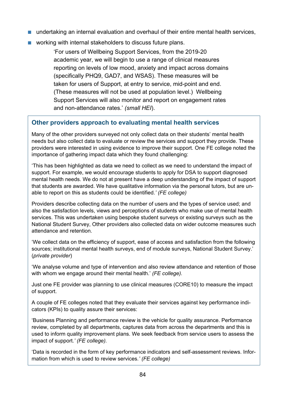- undertaking an internal evaluation and overhaul of their entire mental health services,
- working with internal stakeholders to discuss future plans.

'For users of Wellbeing Support Services, from the 2019-20 academic year, we will begin to use a range of clinical measures reporting on levels of low mood, anxiety and impact across domains (specifically PHQ9, GAD7, and WSAS). These measures will be taken for users of Support, at entry to service, mid-point and end. (These measures will not be used at population level.) Wellbeing Support Services will also monitor and report on engagement rates and non-attendance rates.' *(small HEI*).

### **Other providers approach to evaluating mental health services**

Many of the other providers surveyed not only collect data on their students' mental health needs but also collect data to evaluate or review the services and support they provide. These providers were interested in using evidence to improve their support. One FE college noted the importance of gathering impact data which they found challenging:

'This has been highlighted as data we need to collect as we need to understand the impact of support. For example, we would encourage students to apply for DSA to support diagnosed mental health needs. We do not at present have a deep understanding of the impact of support that students are awarded. We have qualitative information via the personal tutors, but are unable to report on this as students could be identified.*' (FE college)*

Providers describe collecting data on the number of users and the types of service used; and also the satisfaction levels, views and perceptions of students who make use of mental health services. This was undertaken using bespoke student surveys or existing surveys such as the National Student Survey, Other providers also collected data on wider outcome measures such attendance and retention.

'We collect data on the efficiency of support, ease of access and satisfaction from the following sources; institutional mental health surveys, end of module surveys, National Student Survey.' (*private provider*)

'We analyse volume and type of intervention and also review attendance and retention of those with whom we engage around their mental health.' *(FE college).*

Just one FE provider was planning to use clinical measures (CORE10) to measure the impact of support.

A couple of FE colleges noted that they evaluate their services against key performance indicators (KPIs) to quality assure their services:

'Business Planning and performance review is the vehicle for quality assurance. Performance review, completed by all departments, captures data from across the departments and this is used to inform quality improvement plans. We seek feedback from service users to assess the impact of support.*' (FE college).*

'Data is recorded in the form of key performance indicators and self-assessment reviews. Information from which is used to review services*.' (FE college)*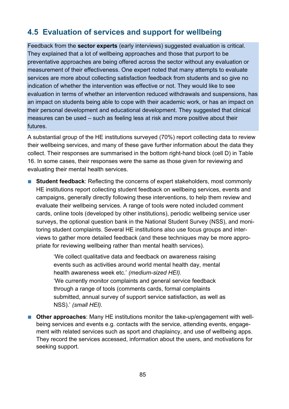## **4.5 Evaluation of services and support for wellbeing**

Feedback from the **sector experts** (early interviews) suggested evaluation is critical. They explained that a lot of wellbeing approaches and those that purport to be preventative approaches are being offered across the sector without any evaluation or measurement of their effectiveness. One expert noted that many attempts to evaluate services are more about collecting satisfaction feedback from students and so give no indication of whether the intervention was effective or not. They would like to see evaluation in terms of whether an intervention reduced withdrawals and suspensions, has an impact on students being able to cope with their academic work, or has an impact on their personal development and educational development. They suggested that clinical measures can be used – such as feeling less at risk and more positive about their futures.

A substantial group of the HE institutions surveyed (70%) report collecting data to review their wellbeing services, and many of these gave further information about the data they collect. Their responses are summarised in the bottom right-hand block (cell D) in Table 16. In some cases, their responses were the same as those given for reviewing and evaluating their mental health services.

■ **Student feedback**: Reflecting the concerns of expert stakeholders, most commonly HE institutions report collecting student feedback on wellbeing services, events and campaigns, generally directly following these interventions, to help them review and evaluate their wellbeing services. A range of tools were noted included comment cards, online tools (developed by other institutions), periodic wellbeing service user surveys, the optional question bank in the National Student Survey (NSS), and monitoring student complaints. Several HE institutions also use focus groups and interviews to gather more detailed feedback (and these techniques may be more appropriate for reviewing wellbeing rather than mental health services).

> 'We collect qualitative data and feedback on awareness raising events such as activities around world mental health day, mental health awareness week etc.' *(medium-sized HEI).* 'We currently monitor complaints and general service feedback through a range of tools (comments cards, formal complaints submitted, annual survey of support service satisfaction, as well as NSS).' *(small HEI).*

■ **Other approaches:** Many HE institutions monitor the take-up/engagement with wellbeing services and events e.g. contacts with the service, attending events, engagement with related services such as sport and chaplaincy, and use of wellbeing apps. They record the services accessed, information about the users, and motivations for seeking support.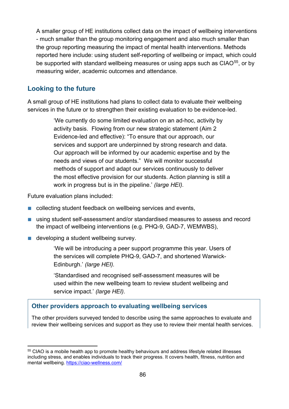A smaller group of HE institutions collect data on the impact of wellbeing interventions - much smaller than the group monitoring engagement and also much smaller than the group reporting measuring the impact of mental health interventions. Methods reported here include: using student self-reporting of wellbeing or impact, which could be supported with standard wellbeing measures or using apps such as CIAO<sup>[55](#page-85-0)</sup>, or by measuring wider, academic outcomes and attendance.

### **Looking to the future**

A small group of HE institutions had plans to collect data to evaluate their wellbeing services in the future or to strengthen their existing evaluation to be evidence-led.

> 'We currently do some limited evaluation on an ad-hoc, activity by activity basis. Flowing from our new strategic statement (Aim 2 Evidence-led and effective): "To ensure that our approach, our services and support are underpinned by strong research and data. Our approach will be informed by our academic expertise and by the needs and views of our students." We will monitor successful methods of support and adapt our services continuously to deliver the most effective provision for our students. Action planning is still a work in progress but is in the pipeline.' *(large HEI).*

Future evaluation plans included:

- collecting student feedback on wellbeing services and events,
- using student self-assessment and/or standardised measures to assess and record the impact of wellbeing interventions (e.g. PHQ-9, GAD-7, WEMWBS),
- developing a student wellbeing survey.

'We will be introducing a peer support programme this year. Users of the services will complete PHQ-9, GAD-7, and shortened Warwick-Edinburgh.' *(large HEI).*

'Standardised and recognised self-assessment measures will be used within the new wellbeing team to review student wellbeing and service impact.' *(large HEI).*

#### **Other providers approach to evaluating wellbeing services**

The other providers surveyed tended to describe using the same approaches to evaluate and review their wellbeing services and support as they use to review their mental health services.

<span id="page-85-0"></span><sup>55</sup> CIAO is a mobile health app to promote healthy behaviours and address lifestyle related illnesses including stress, and enables individuals to track their progress. It covers health, fitness, nutrition and mental wellbeing[. https://ciao-wellness.com/](https://ciao-wellness.com/)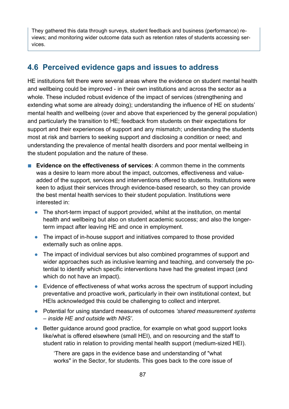They gathered this data through surveys, student feedback and business (performance) reviews; and monitoring wider outcome data such as retention rates of students accessing services.

## **4.6 Perceived evidence gaps and issues to address**

HE institutions felt there were several areas where the evidence on student mental health and wellbeing could be improved - in their own institutions and across the sector as a whole. These included robust evidence of the impact of services (strengthening and extending what some are already doing); understanding the influence of HE on students' mental health and wellbeing (over and above that experienced by the general population) and particularly the transition to HE; feedback from students on their expectations for support and their experiences of support and any mismatch; understanding the students most at risk and barriers to seeking support and disclosing a condition or need; and understanding the prevalence of mental health disorders and poor mental wellbeing in the student population and the nature of these.

- **Evidence on the effectiveness of services**: A common theme in the comments was a desire to learn more about the impact, outcomes, effectiveness and valueadded of the support, services and interventions offered to students. Institutions were keen to adjust their services through evidence-based research, so they can provide the best mental health services to their student population. Institutions were interested in:
	- **●** The short-term impact of support provided, whilst at the institution, on mental health and wellbeing but also on student academic success; and also the longerterm impact after leaving HE and once in employment.
	- **●** The impact of in-house support and initiatives compared to those provided externally such as online apps.
	- **●** The impact of individual services but also combined programmes of support and wider approaches such as inclusive learning and teaching, and conversely the potential to identify which specific interventions have had the greatest impact (and which do not have an impact).
	- **●** Evidence of effectiveness of what works across the spectrum of support including preventative and proactive work, particularly in their own institutional context, but HEIs acknowledged this could be challenging to collect and interpret.
	- **●** Potential for using standard measures of outcomes *'shared measurement systems – inside HE and outside with NHS'*.
	- Better guidance around good practice, for example on what good support looks like/what is offered elsewhere (small HEI), and on resourcing and the staff to student ratio in relation to providing mental health support (medium-sized HEI).

'There are gaps in the evidence base and understanding of "what works" in the Sector, for students. This goes back to the core issue of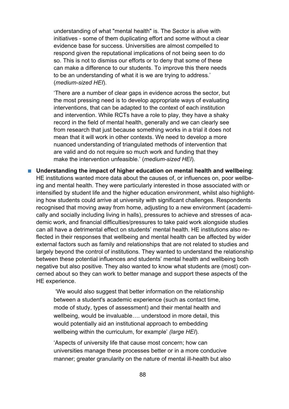understanding of what "mental health" is. The Sector is alive with initiatives - some of them duplicating effort and some without a clear evidence base for success. Universities are almost compelled to respond given the reputational implications of not being seen to do so. This is not to dismiss our efforts or to deny that some of these can make a difference to our students. To improve this there needs to be an understanding of what it is we are trying to address.' (*medium-sized HEI*).

'There are a number of clear gaps in evidence across the sector, but the most pressing need is to develop appropriate ways of evaluating interventions, that can be adapted to the context of each institution and intervention. While RCTs have a role to play, they have a shaky record in the field of mental health, generally and we can clearly see from research that just because something works in a trial it does not mean that it will work in other contexts. We need to develop a more nuanced understanding of triangulated methods of intervention that are valid and do not require so much work and funding that they make the intervention unfeasible.' (*medium-sized HEI*).

■ Understanding the impact of higher education on mental health and wellbeing: HE institutions wanted more data about the causes of, or influences on, poor wellbeing and mental health. They were particularly interested in those associated with or intensified by student life and the higher education environment, whilst also highlighting how students could arrive at university with significant challenges. Respondents recognised that moving away from home, adjusting to a new environment (academically and socially including living in halls), pressures to achieve and stresses of academic work, and financial difficulties/pressures to take paid work alongside studies can all have a detrimental effect on students' mental health. HE institutions also reflected in their responses that wellbeing and mental health can be affected by wider external factors such as family and relationships that are not related to studies and largely beyond the control of institutions. They wanted to understand the relationship between these potential influences and students' mental health and wellbeing both negative but also positive. They also wanted to know what students are (most) concerned about so they can work to better manage and support these aspects of the HE experience.

> 'We would also suggest that better information on the relationship between a student's academic experience (such as contact time, mode of study, types of assessment) and their mental health and wellbeing, would be invaluable…. understood in more detail, this would potentially aid an institutional approach to embedding wellbeing within the curriculum, for example' *(large HEI*).

'Aspects of university life that cause most concern; how can universities manage these processes better or in a more conducive manner; greater granularity on the nature of mental ill-health but also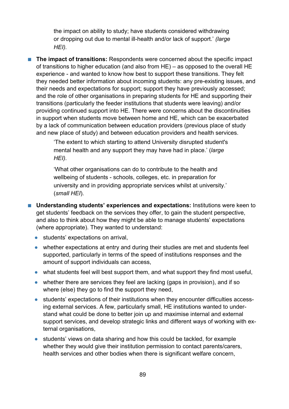the impact on ability to study; have students considered withdrawing or dropping out due to mental ill-health and/or lack of support.' *(large HEI).*

■ **The impact of transitions:** Respondents were concerned about the specific impact of transitions to higher education (and also from HE) – as opposed to the overall HE experience - and wanted to know how best to support these transitions. They felt they needed better information about incoming students: any pre-existing issues, and their needs and expectations for support; support they have previously accessed; and the role of other organisations in preparing students for HE and supporting their transitions (particularly the feeder institutions that students were leaving) and/or providing continued support into HE. There were concerns about the discontinuities in support when students move between home and HE, which can be exacerbated by a lack of communication between education providers (previous place of study and new place of study) and between education providers and health services.

> 'The extent to which starting to attend University disrupted student's mental health and any support they may have had in place.' (*large HEI).*

'What other organisations can do to contribute to the health and wellbeing of students - schools, colleges, etc. in preparation for university and in providing appropriate services whilst at university.' (*small HEI*).

- Understanding students' experiences and expectations: Institutions were keen to get students' feedback on the services they offer, to gain the student perspective, and also to think about how they might be able to manage students' expectations (where appropriate). They wanted to understand:
	- **●** students' expectations on arrival,
	- **●** whether expectations at entry and during their studies are met and students feel supported, particularly in terms of the speed of institutions responses and the amount of support individuals can access,
	- **●** what students feel will best support them, and what support they find most useful,
	- **●** whether there are services they feel are lacking (gaps in provision), and if so where (else) they go to find the support they need,
	- **●** students' expectations of their institutions when they encounter difficulties accessing external services. A few, particularly small, HE institutions wanted to understand what could be done to better join up and maximise internal and external support services, and develop strategic links and different ways of working with external organisations,
	- **●** students' views on data sharing and how this could be tackled, for example whether they would give their institution permission to contact parents/carers, health services and other bodies when there is significant welfare concern,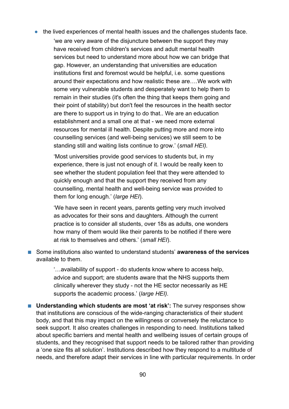**●** the lived experiences of mental health issues and the challenges students face.

'we are very aware of the disjuncture between the support they may have received from children's services and adult mental health services but need to understand more about how we can bridge that gap. However, an understanding that universities are education institutions first and foremost would be helpful, i.e. some questions around their expectations and how realistic these are….We work with some very vulnerable students and desperately want to help them to remain in their studies (it's often the thing that keeps them going and their point of stability) but don't feel the resources in the health sector are there to support us in trying to do that.. We are an education establishment and a small one at that - we need more external resources for mental ill health. Despite putting more and more into counselling services (and well-being services) we still seem to be standing still and waiting lists continue to grow.' (*small HEI).*

'Most universities provide good services to students but, in my experience, there is just not enough of it. I would be really keen to see whether the student population feel that they were attended to quickly enough and that the support they received from any counselling, mental health and well-being service was provided to them for long enough.' (*large HEI*).

'We have seen in recent years, parents getting very much involved as advocates for their sons and daughters. Although the current practice is to consider all students, over 18s as adults, one wonders how many of them would like their parents to be notified if there were at risk to themselves and others.' (*small HEI*).

■ Some institutions also wanted to understand students' **awareness of the services** available to them.

> '…availability of support - do students know where to access help, advice and support; are students aware that the NHS supports them clinically wherever they study - not the HE sector necessarily as HE supports the academic process.' (*large HEI).*

■ Understanding which students are most 'at risk': The survey responses show that institutions are conscious of the wide-ranging characteristics of their student body, and that this may impact on the willingness or conversely the reluctance to seek support. It also creates challenges in responding to need. Institutions talked about specific barriers and mental health and wellbeing issues of certain groups of students, and they recognised that support needs to be tailored rather than providing a 'one size fits all solution'. Institutions described how they respond to a multitude of needs, and therefore adapt their services in line with particular requirements. In order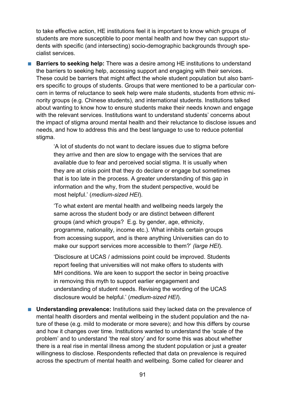to take effective action, HE institutions feel it is important to know which groups of students are more susceptible to poor mental health and how they can support students with specific (and intersecting) socio-demographic backgrounds through specialist services.

■ **Barriers to seeking help:** There was a desire among HE institutions to understand the barriers to seeking help, accessing support and engaging with their services. These could be barriers that might affect the whole student population but also barriers specific to groups of students. Groups that were mentioned to be a particular concern in terms of reluctance to seek help were male students, students from ethnic minority groups (e.g. Chinese students), and international students. Institutions talked about wanting to know how to ensure students make their needs known and engage with the relevant services. Institutions want to understand students' concerns about the impact of stigma around mental health and their reluctance to disclose issues and needs, and how to address this and the best language to use to reduce potential stigma.

> 'A lot of students do not want to declare issues due to stigma before they arrive and then are slow to engage with the services that are available due to fear and perceived social stigma. It is usually when they are at crisis point that they do declare or engage but sometimes that is too late in the process. A greater understanding of this gap in information and the why, from the student perspective, would be most helpful.' (*medium-sized HEI*).

'To what extent are mental health and wellbeing needs largely the same across the student body or are distinct between different groups (and which groups? E.g. by gender, age, ethnicity, programme, nationality, income etc.). What inhibits certain groups from accessing support, and is there anything Universities can do to make our support services more accessible to them?' *(large HEI*).

'Disclosure at UCAS / admissions point could be improved. Students report feeling that universities will not make offers to students with MH conditions. We are keen to support the sector in being proactive in removing this myth to support earlier engagement and understanding of student needs. Revising the wording of the UCAS disclosure would be helpful.' (*medium-sized HEI*).

■ Understanding prevalence: Institutions said they lacked data on the prevalence of mental health disorders and mental wellbeing in the student population and the nature of these (e.g. mild to moderate or more severe); and how this differs by course and how it changes over time. Institutions wanted to understand the 'scale of the problem' and to understand 'the real story' and for some this was about whether there is a real rise in mental illness among the student population or just a greater willingness to disclose. Respondents reflected that data on prevalence is required across the spectrum of mental health and wellbeing. Some called for clearer and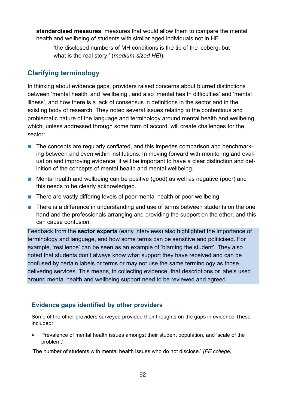**standardised measures**, measures that would allow them to compare the mental health and wellbeing of students with similar aged individuals not in HE.

'the disclosed numbers of MH conditions is the tip of the iceberg, but what is the real story.' (*medium-sized HEI*).

### **Clarifying terminology**

In thinking about evidence gaps, providers raised concerns about blurred distinctions between 'mental health' and 'wellbeing', and also 'mental health difficulties' and 'mental illness', and how there is a lack of consensus in definitions in the sector and in the existing body of research. They noted several issues relating to the contentious and problematic nature of the language and terminology around mental health and wellbeing which, unless addressed through some form of accord, will create challenges for the sector:

- The concepts are regularly conflated, and this impedes comparison and benchmarking between and even within institutions. In moving forward with monitoring and evaluation and improving evidence, it will be important to have a clear distinction and definition of the concepts of mental health and mental wellbeing.
- Mental health and wellbeing can be positive (good) as well as negative (poor) and this needs to be clearly acknowledged.
- There are vastly differing levels of poor mental health or poor wellbeing.
- There is a difference in understanding and use of terms between students on the one hand and the professionals arranging and providing the support on the other, and this can cause confusion.

Feedback from the **sector experts** (early interviews) also highlighted the importance of terminology and language, and how some terms can be sensitive and politicised. For example, 'resilience' can be seen as an example of 'blaming the student'. They also noted that students don't always know what support they have received and can be confused by certain labels or terms or may not use the same terminology as those delivering services. This means, in collecting evidence, that descriptions or labels used around mental health and wellbeing support need to be reviewed and agreed.

### **Evidence gaps identified by other providers**

Some of the other providers surveyed provided their thoughts on the gaps in evidence These included:

• Prevalence of mental health issues amongst their student population, and 'scale of the problem,'

'The number of students with mental health issues who do not disclose.' *(FE college)*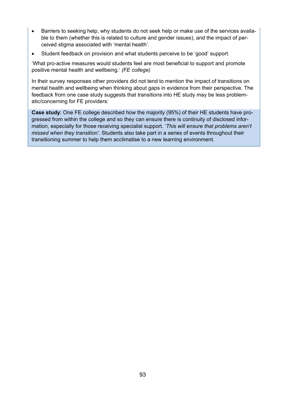- Barriers to seeking help, why students do not seek help or make use of the services available to them (whether this is related to culture and gender issues), and the impact of perceived stigma associated with 'mental health'.
- Student feedback on provision and what students perceive to be 'good' support.

'What pro-active measures would students feel are most beneficial to support and promote positive mental health and wellbeing.' *(FE college)* 

In their survey responses other providers did not tend to mention the impact of transitions on mental health and wellbeing when thinking about gaps in evidence from their perspective. The feedback from one case study suggests that transitions into HE study may be less problematic/concerning for FE providers:

**Case study**: One FE college described how the majority (95%) of their HE students have progressed from within the college and so they can ensure there is continuity of disclosed information, especially for those receiving specialist support*. 'This will ensure that problems aren't missed when they transition'.* Students also take part in a series of events throughout their transitioning summer to help them acclimatise to a new learning environment.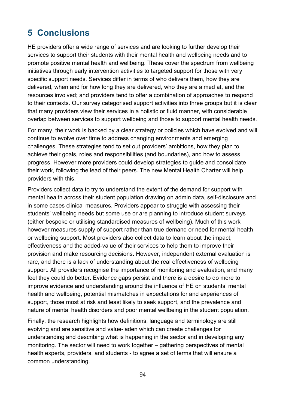# **5 Conclusions**

HE providers offer a wide range of services and are looking to further develop their services to support their students with their mental health and wellbeing needs and to promote positive mental health and wellbeing. These cover the spectrum from wellbeing initiatives through early intervention activities to targeted support for those with very specific support needs. Services differ in terms of who delivers them, how they are delivered, when and for how long they are delivered, who they are aimed at, and the resources involved; and providers tend to offer a combination of approaches to respond to their contexts. Our survey categorised support activities into three groups but it is clear that many providers view their services in a holistic or fluid manner, with considerable overlap between services to support wellbeing and those to support mental health needs.

For many, their work is backed by a clear strategy or policies which have evolved and will continue to evolve over time to address changing environments and emerging challenges. These strategies tend to set out providers' ambitions, how they plan to achieve their goals, roles and responsibilities (and boundaries), and how to assess progress. However more providers could develop strategies to guide and consolidate their work, following the lead of their peers. The new Mental Health Charter will help providers with this.

Providers collect data to try to understand the extent of the demand for support with mental health across their student population drawing on admin data, self-disclosure and in some cases clinical measures. Providers appear to struggle with assessing their students' wellbeing needs but some use or are planning to introduce student surveys (either bespoke or utilising standardised measures of wellbeing). Much of this work however measures supply of support rather than true demand or need for mental health or wellbeing support. Most providers also collect data to learn about the impact, effectiveness and the added-value of their services to help them to improve their provision and make resourcing decisions. However, independent external evaluation is rare, and there is a lack of understanding about the real effectiveness of wellbeing support. All providers recognise the importance of monitoring and evaluation, and many feel they could do better. Evidence gaps persist and there is a desire to do more to improve evidence and understanding around the influence of HE on students' mental health and wellbeing, potential mismatches in expectations for and experiences of support, those most at risk and least likely to seek support, and the prevalence and nature of mental health disorders and poor mental wellbeing in the student population.

Finally, the research highlights how definitions, language and terminology are still evolving and are sensitive and value-laden which can create challenges for understanding and describing what is happening in the sector and in developing any monitoring. The sector will need to work together – gathering perspectives of mental health experts, providers, and students - to agree a set of terms that will ensure a common understanding.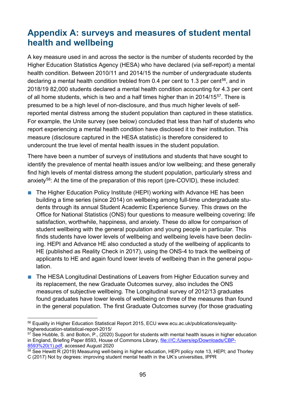# **Appendix A: surveys and measures of student mental health and wellbeing**

A key measure used in and across the sector is the number of students recorded by the Higher Education Statistics Agency (HESA) who have declared (via self-report) a mental health condition. Between 2010/11 and 2014/15 the number of undergraduate students declaring a mental health condition trebled from 0.4 per cent to 1.3 per cent<sup>56</sup>, and in 2018/19 82,000 students declared a mental health condition accounting for 4.3 per cent of all home students, which is two and a half times higher than in 2014/15<sup>57</sup>. There is presumed to be a high level of non-disclosure, and thus much higher levels of selfreported mental distress among the student population than captured in these statistics. For example, the Unite survey (see below) concluded that less than half of students who report experiencing a mental health condition have disclosed it to their institution. This measure (disclosure captured in the HESA statistic) is therefore considered to undercount the true level of mental health issues in the student population.

There have been a number of surveys of institutions and students that have sought to identify the prevalence of mental health issues and/or low wellbeing; and these generally find high levels of mental distress among the student population, particularly stress and anxiety<sup>[58](#page-94-2)</sup>: At the time of the preparation of this report (pre-COVID), these included:

- The Higher Education Policy Institute (HEPI) working with Advance HE has been building a time series (since 2014) on wellbeing among full-time undergraduate students through its annual Student Academic Experience Survey. This draws on the Office for National Statistics (ONS) four questions to measure wellbeing covering: life satisfaction, worthwhile, happiness, and anxiety. These do allow for comparison of student wellbeing with the general population and young people in particular. This finds students have lower levels of wellbeing and wellbeing levels have been declining. HEPI and Advance HE also conducted a study of the wellbeing of applicants to HE (published as Reality Check in 2017), using the ONS-4 to track the wellbeing of applicants to HE and again found lower levels of wellbeing than in the general population.
- The HESA Longitudinal Destinations of Leavers from Higher Education survey and its replacement, the new Graduate Outcomes survey, also includes the ONS measures of subjective wellbeing. The Longitudinal survey of 2012/13 graduates found graduates have lower levels of wellbeing on three of the measures than found in the general population. The first Graduate Outcomes survey (for those graduating

<span id="page-94-0"></span><sup>56</sup> Equality in Higher Education Statistical Report 2015, ECU www.ecu.ac.uk/publications/equalityhighereducation-statistical-report-2015/

<span id="page-94-1"></span><sup>&</sup>lt;sup>57</sup> See Hubble, S. and Bolton, P., (2020) Support for students with mental health issues in higher education in England, Briefing Paper 8593, House of Commons Library, [file:///C:/Users/ep/Downloads/CBP-](#page-0-0)[8593%20\(1\).pdf,](#page-0-0) accessed August 2020

<span id="page-94-2"></span> $\frac{58}{6}$  See Hewitt R (2019) Measuring well-being in higher education, HEPI policy note 13, HEPI; and Thorley C (2017) Not by degrees: improving student mental health in the UK's universities, IPPR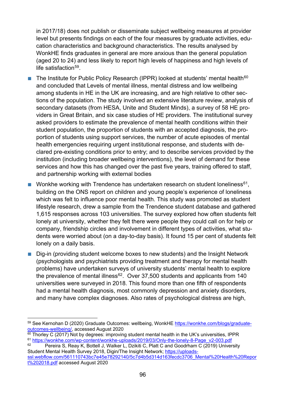in 2017/18) does not publish or disseminate subject wellbeing measures at provider level but presents findings on each of the four measures by graduate activities, education characteristics and background characteristics. The results analysed by WonkHE finds graduates in general are more anxious than the general population (aged 20 to 24) and less likely to report high levels of happiness and high levels of life satisfaction $59$ .

- **■** The Institute for Public Policy Research (IPPR) looked at students' mental health<sup>[60](#page-95-1)</sup> and concluded that Levels of mental illness, mental distress and low wellbeing among students in HE in the UK are increasing, and are high relative to other sections of the population. The study involved an extensive literature review, analysis of secondary datasets (from HESA, Unite and Student Minds), a survey of 58 HE providers in Great Britain, and six case studies of HE providers. The institutional survey asked providers to estimate the prevalence of mental health conditions within their student population, the proportion of students with an accepted diagnosis, the proportion of students using support services, the number of acute episodes of mental health emergencies requiring urgent institutional response, and students with declared pre-existing conditions prior to entry; and to describe services provided by the institution (including broader wellbeing interventions), the level of demand for these services and how this has changed over the past five years, training offered to staff, and partnership working with external bodies
- Wonkhe working with Trendence has undertaken research on student loneliness<sup>[61](#page-95-2)</sup>, building on the ONS report on children and young people's experience of loneliness which was felt to influence poor mental health. This study was promoted as student lifestyle research, drew a sample from the Trendence student database and gathered 1,615 responses across 103 universities. The survey explored how often students felt lonely at university, whether they felt there were people they could call on for help or company, friendship circles and involvement in different types of activities, what students were worried about (on a day-to-day basis). It found 15 per cent of students felt lonely on a daily basis.
- Dig-in (providing student welcome boxes to new students) and the Insight Network (psychologists and psychiatrists providing treatment and therapy for mental health problems) have undertaken surveys of university students' mental health to explore the prevalence of mental illness<sup>[62](#page-95-3)</sup>. Over 37,500 students and applicants from 140 universities were surveyed in 2018. This found more than one fifth of respondents had a mental health diagnosis, most commonly depression and anxiety disorders, and many have complex diagnoses. Also rates of psychological distress are high,

<span id="page-95-0"></span><sup>59</sup> See Kernohan D (2020) Graduate Outcomes: wellbeing, WonkHE [https://wonkhe.com/blogs/graduate](https://wonkhe.com/blogs/graduate-outcomes-wellbeing/)[outcomes-wellbeing/,](https://wonkhe.com/blogs/graduate-outcomes-wellbeing/) accessed August 2020

<span id="page-95-2"></span><span id="page-95-1"></span> $60$  Thorley C (2017) Not by degrees: improving student mental health in the UK's universities, IPPR  $^{61}$  [https://wonkhe.com/wp-content/wonkhe-uploads/2019/03/Only-the-lonely-8-Page\\_v2-003.pdf](https://wonkhe.com/wp-content/wonkhe-uploads/2019/03/Only-the-lonely-8-Page_v2-003.pdf)<br> $^{62}$  Pereira S. Reav K. Bottell, L. Walker L. Dzikiti C. Platt C. and Goodrham C. (2019) Univer

<span id="page-95-3"></span>Pereira S, Reay K, Bottell J, Walker L, Dzikiti C, Platt C and Goodrham C (2019) University Student Mental Health Survey 2018, Digin/The Insight Network; [https://uploads-](https://uploads-ssl.webflow.com/561110743bc7e45e78292140/5c7d4b5d314d163fecdc3706_Mental%20Health%20Report%202018.pdf)

[ssl.webflow.com/561110743bc7e45e78292140/5c7d4b5d314d163fecdc3706\\_Mental%20Health%20Repor](https://uploads-ssl.webflow.com/561110743bc7e45e78292140/5c7d4b5d314d163fecdc3706_Mental%20Health%20Report%202018.pdf) [t%202018.pdf](https://uploads-ssl.webflow.com/561110743bc7e45e78292140/5c7d4b5d314d163fecdc3706_Mental%20Health%20Report%202018.pdf) accessed August 2020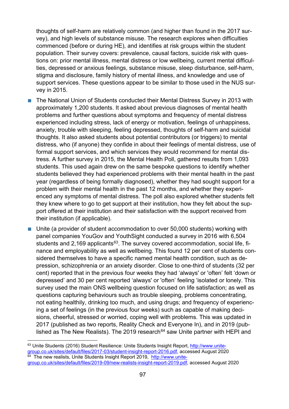thoughts of self-harm are relatively common (and higher than found in the 2017 survey), and high levels of substance misuse. The research explores when difficulties commenced (before or during HE), and identifies at risk groups within the student population. Their survey covers: prevalence, causal factors, suicide risk with questions on: prior mental illness, mental distress or low wellbeing, current mental difficulties, depressed or anxious feelings, substance misuse, sleep disturbance, self-harm, stigma and disclosure, family history of mental illness, and knowledge and use of support services. These questions appear to be similar to those used in the NUS survey in 2015.

- The National Union of Students conducted their Mental Distress Survey in 2013 with approximately 1,200 students. It asked about previous diagnoses of mental health problems and further questions about symptoms and frequency of mental distress experienced including stress, lack of energy or motivation, feelings of unhappiness, anxiety, trouble with sleeping, feeling depressed, thoughts of self-harm and suicidal thoughts. It also asked students about potential contributors (or triggers) to mental distress, who (if anyone) they confide in about their feelings of mental distress, use of formal support services, and which services they would recommend for mental distress. A further survey in 2015, the Mental Health Poll, gathered results from 1,093 students. This used again drew on the same bespoke questions to identify whether students believed they had experienced problems with their mental health in the past year (regardless of being formally diagnosed), whether they had sought support for a problem with their mental health in the past 12 months, and whether they experienced any symptoms of mental distress. The poll also explored whether students felt they knew where to go to get support at their institution, how they felt about the support offered at their institution and their satisfaction with the support received from their institution (if applicable).
- Unite (a provider of student accommodation to over 50,000 students) working with panel companies YouGov and YouthSight conducted a survey in 2016 with 6,504 students and 2,169 applicants $63$ . The survey covered accommodation, social life, finance and employability as well as wellbeing. This found 12 per cent of students considered themselves to have a specific named mental health condition, such as depression, schizophrenia or an anxiety disorder. Close to one-third of students (32 per cent) reported that in the previous four weeks they had 'always' or 'often' felt 'down or depressed' and 30 per cent reported 'always' or 'often' feeling 'isolated or lonely. This survey used the main ONS wellbeing question focused on life satisfaction; as well as questions capturing behaviours such as trouble sleeping, problems concentrating, not eating healthily, drinking too much, and using drugs; and frequency of experiencing a set of feelings (in the previous four weeks) such as capable of making decisions, cheerful, stressed or worried, coping well with problems. This was updated in 2017 (published as two reports, Reality Check and Everyone In), and in 2019 (pub-lished as The New Realists). The 2019 research<sup>[64](#page-96-1)</sup> saw Unite partner with HEPI and

<span id="page-96-1"></span><span id="page-96-0"></span><sup>&</sup>lt;sup>63</sup> Unite Students (2016) Student Resilience: Unite Students Insight Report, [http://www.unite](http://www.unite-group.co.uk/sites/default/files/2017-03/student-insight-report-2016.pdf)[group.co.uk/sites/default/files/2017-03/student-insight-report-2016.pdf,](http://www.unite-group.co.uk/sites/default/files/2017-03/student-insight-report-2016.pdf) accessed August 2020<br><sup>64</sup> The new realists Unite Students Insight During 2006.com The new realists, Unite Students Insight Report 2019, [http://www.unite](http://www.unite-group.co.uk/sites/default/files/2019-09/new-realists-insight-report-2019.pdf)[group.co.uk/sites/default/files/2019-09/new-realists-insight-report-2019.pdf,](http://www.unite-group.co.uk/sites/default/files/2019-09/new-realists-insight-report-2019.pdf) accessed August 2020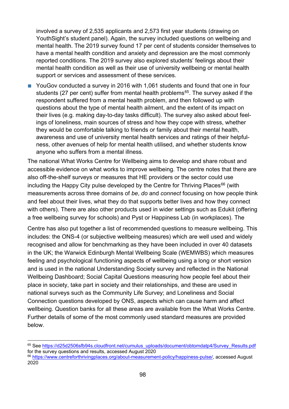involved a survey of 2,535 applicants and 2,573 first year students (drawing on YouthSight's student panel). Again, the survey included questions on wellbeing and mental health. The 2019 survey found 17 per cent of students consider themselves to have a mental health condition and anxiety and depression are the most commonly reported conditions. The 2019 survey also explored students' feelings about their mental health condition as well as their use of university wellbeing or mental health support or services and assessment of these services.

■ YouGov conducted a survey in 2016 with 1,061 students and found that one in four students (27 per cent) suffer from mental health problems<sup>[65](#page-97-0)</sup>. The survey asked if the respondent suffered from a mental health problem, and then followed up with questions about the type of mental health ailment, and the extent of its impact on their lives (e.g. making day-to-day tasks difficult). The survey also asked about feelings of loneliness, main sources of stress and how they cope with stress, whether they would be comfortable talking to friends or family about their mental health, awareness and use of university mental health services and ratings of their helpfulness, other avenues of help for mental health utilised, and whether students know anyone who suffers from a mental illness.

The national What Works Centre for Wellbeing aims to develop and share robust and accessible evidence on what works to improve wellbeing. The centre notes that there are also off-the-shelf surveys or measures that HE providers or the sector could use including the Happy City pulse developed by the Centre for Thriving Places $66$  (with measurements across three domains of *be*, *do* and *connect* focusing on how people think and feel about their lives, what they do that supports better lives and how they connect with others). There are also other products used in wider settings such as Edukit (offering a free wellbeing survey for schools) and Pyst or Happiness Lab (in workplaces). The

Centre has also put together a list of recommended questions to measure wellbeing. This includes: the ONS-4 (or subjective wellbeing measures) which are well used and widely recognised and allow for benchmarking as they have been included in over 40 datasets in the UK; the Warwick Edinburgh Mental Wellbeing Scale (WEMWBS) which measures feeling and psychological functioning aspects of wellbeing using a long or short version and is used in the national Understanding Society survey and reflected in the National Wellbeing Dashboard; Social Capital Questions measuring how people feel about their place in society, take part in society and their relationships, and these are used in national surveys such as the Community Life Survey; and Loneliness and Social Connection questions developed by ONS, aspects which can cause harm and affect wellbeing. Question banks for all these areas are available from the What Works Centre. Further details of some of the most commonly used standard measures are provided below.

<span id="page-97-0"></span><sup>&</sup>lt;sup>65</sup> See [https://d25d2506sfb94s.cloudfront.net/cumulus\\_uploads/document/obtomdatp4/Survey\\_Results.pdf](https://d25d2506sfb94s.cloudfront.net/cumulus_uploads/document/obtomdatp4/Survey_Results.pdf) for the survey questions and results, accessed August 2020 <sup>66</sup> [https://www.centreforthrivingplaces.org/about-measurement-policy/happiness-pulse/,](https://www.centreforthrivingplaces.org/about-measurement-policy/happiness-pulse/) accessed August

<span id="page-97-1"></span><sup>2020</sup>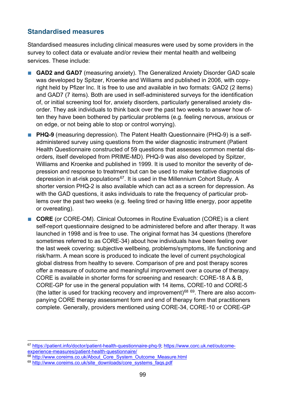### **Standardised measures**

Standardised measures including clinical measures were used by some providers in the survey to collect data or evaluate and/or review their mental health and wellbeing services. These include:

- **GAD2 and GAD7** (measuring anxiety). The Generalized Anxiety Disorder GAD scale was developed by Spitzer, Kroenke and Williams and published in 2006, with copyright held by Pfizer Inc. It is free to use and available in two formats: GAD2 (2 items) and GAD7 (7 items). Both are used in self-administered surveys for the identification of, or initial screening tool for, anxiety disorders, particularly generalised anxiety disorder. They ask individuals to think back over the past two weeks to answer how often they have been bothered by particular problems (e.g. feeling nervous, anxious or on edge, or not being able to stop or control worrying).
- **PHQ-9** (measuring depression). The Patent Health Questionnaire (PHQ-9) is a selfadministered survey using questions from the wider diagnostic instrument (Patient Health Questionnaire constructed of 59 questions that assesses common mental disorders, itself developed from PRIME-MD). PHQ-9 was also developed by Spitzer, Williams and Kroenke and published in 1999. It is used to monitor the severity of depression and response to treatment but can be used to make tentative diagnosis of depression in at-risk populations<sup>[67](#page-98-0)</sup>. It is used in the Millennium Cohort Study. A shorter version PHQ-2 is also available which can act as a screen for depression. As with the GAD questions, it asks individuals to rate the frequency of particular problems over the past two weeks (e.g. feeling tired or having little energy, poor appetite or overeating).

■ **CORE** (or CORE-OM). Clinical Outcomes in Routine Evaluation (CORE) is a client self-report questionnaire designed to be administered before and after therapy. It was launched in 1998 and is free to use. The original format has 34 questions (therefore sometimes referred to as CORE-34) about how individuals have been feeling over the last week covering: subjective wellbeing, problems/symptoms, life functioning and risk/harm. A mean score is produced to indicate the level of current psychological global distress from healthy to severe. Comparison of pre and post therapy scores offer a measure of outcome and meaningful improvement over a course of therapy. CORE is available in shorter forms for screening and research: CORE-18 A & B, CORE-GP for use in the general population with 14 items, CORE-10 and CORE-5 (the latter is used for tracking recovery and improvement)<sup>[68](#page-98-1) 69</sup>. There are also accompanying CORE therapy assessment form and end of therapy form that practitioners complete. Generally, providers mentioned using CORE-34, CORE-10 or CORE-GP

<span id="page-98-0"></span><sup>67</sup> [https://patient.info/doctor/patient-health-questionnaire-phq-9;](https://patient.info/doctor/patient-health-questionnaire-phq-9) [https://www.corc.uk.net/outcome](https://www.corc.uk.net/outcome-experience-measures/patient-health-questionnaire/)[experience-measures/patient-health-questionnaire/](https://www.corc.uk.net/outcome-experience-measures/patient-health-questionnaire/)

<span id="page-98-1"></span><sup>68</sup> [http://www.coreims.co.uk/About\\_Core\\_System\\_Outcome\\_Measure.html](http://www.coreims.co.uk/About_Core_System_Outcome_Measure.html)

<span id="page-98-2"></span><sup>69</sup> [http://www.coreims.co.uk/site\\_downloads/core\\_systems\\_faqs.pdf](http://www.coreims.co.uk/site_downloads/core_systems_faqs.pdf)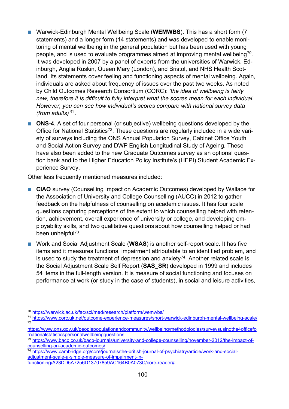- Warwick-Edinburgh Mental Wellbeing Scale (**WEMWBS**). This has a short form (7 statements) and a longer form (14 statements) and was developed to enable monitoring of mental wellbeing in the general population but has been used with young people, and is used to evaluate programmes aimed at improving mental wellbeing<sup>[70](#page-99-0)</sup>. It was developed in 2007 by a panel of experts from the universities of Warwick, Edinburgh, Anglia Ruskin, Queen Mary (London), and Bristol, and NHS Health Scotland. Its statements cover feeling and functioning aspects of mental wellbeing. Again, individuals are asked about frequency of issues over the past two weeks. As noted by Child Outcomes Research Consortium (CORC): *'the idea of wellbeing is fairly new, therefore it is difficult to fully interpret what the scores mean for each individual. However, you can see how individual's scores compare with national survey data (from adults)'*[71](#page-99-1)*.*
- **ONS-4**. A set of four personal (or subjective) wellbeing questions developed by the Office for National Statistics<sup>[72](#page-99-2)</sup>. These questions are regularly included in a wide variety of surveys including the ONS Annual Population Survey, Cabinet Office Youth and Social Action Survey and DWP English Longitudinal Study of Ageing. These have also been added to the new Graduate Outcomes survey as an optional question bank and to the Higher Education Policy Institute's (HEPI) Student Academic Experience Survey.

Other less frequently mentioned measures included:

- **CIAO** survey (Counselling Impact on Academic Outcomes) developed by Wallace for the Association of University and College Counselling (AUCC) in 2012 to gather feedback on the helpfulness of counselling on academic issues. It has four scale questions capturing perceptions of the extent to which counselling helped with retention, achievement, overall experience of university or college, and developing employability skills, and two qualitative questions about how counselling helped or had been unhelpful<sup>73</sup>.
- Work and Social Adjustment Scale (**WSAS**) is another self-report scale. It has five items and it measures functional impairment attributable to an identified problem, and is used to study the treatment of depression and anxiety<sup>74</sup>. Another related scale is the Social Adjustment Scale Self Report (**SAS\_SR**) developed in 1999 and includes 54 items in the full-length version. It is measure of social functioning and focuses on performance at work (or study in the case of students), in social and leisure activities,

<span id="page-99-1"></span><sup>71</sup> <https://www.corc.uk.net/outcome-experience-measures/short-warwick-edinburgh-mental-wellbeing-scale/> 72

<span id="page-99-0"></span><sup>70</sup> <https://warwick.ac.uk/fac/sci/med/research/platform/wemwbs/>

<span id="page-99-2"></span>[https://www.ons.gov.uk/peoplepopulationandcommunity/wellbeing/methodologies/surveysusingthe4officefo](https://www.ons.gov.uk/peoplepopulationandcommunity/wellbeing/methodologies/surveysusingthe4officefornationalstatisticspersonalwellbeingquestions) [rnationalstatisticspersonalwellbeingquestions](https://www.ons.gov.uk/peoplepopulationandcommunity/wellbeing/methodologies/surveysusingthe4officefornationalstatisticspersonalwellbeingquestions)

<span id="page-99-3"></span><sup>73</sup> [https://www.bacp.co.uk/bacp-journals/university-and-college-counselling/november-2012/the-impact-of](https://www.bacp.co.uk/bacp-journals/university-and-college-counselling/november-2012/the-impact-of-counselling-on-academic-outcomes/)[counselling-on-academic-outcomes/](https://www.bacp.co.uk/bacp-journals/university-and-college-counselling/november-2012/the-impact-of-counselling-on-academic-outcomes/)

<span id="page-99-4"></span><sup>74</sup> [https://www.cambridge.org/core/journals/the-british-journal-of-psychiatry/article/work-and-social](https://www.cambridge.org/core/journals/the-british-journal-of-psychiatry/article/work-and-social-adjustment-scale-a-simple-measure-of-impairment-in-functioning/A23DD5A7256D13707859AC164B0A073C/core-reader)[adjustment-scale-a-simple-measure-of-impairment-in](https://www.cambridge.org/core/journals/the-british-journal-of-psychiatry/article/work-and-social-adjustment-scale-a-simple-measure-of-impairment-in-functioning/A23DD5A7256D13707859AC164B0A073C/core-reader)[functioning/A23DD5A7256D13707859AC164B0A073C/core-reader#](https://www.cambridge.org/core/journals/the-british-journal-of-psychiatry/article/work-and-social-adjustment-scale-a-simple-measure-of-impairment-in-functioning/A23DD5A7256D13707859AC164B0A073C/core-reader)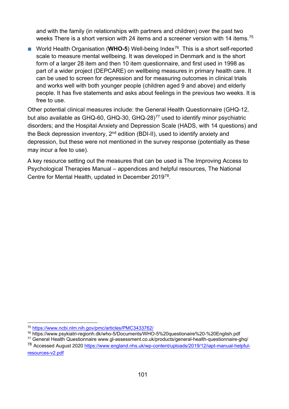and with the family (in relationships with partners and children) over the past two weeks There is a short version with 24 items and a screener version with 14 items.<sup>[75](#page-100-0)</sup>

■ World Health Organisation (WHO-5) Well-being Index<sup>76</sup>. This is a short self-reported scale to measure mental wellbeing. It was developed in Denmark and is the short form of a larger 28 item and then 10 item questionnaire, and first used in 1998 as part of a wider project (DEPCARE) on wellbeing measures in primary health care. It can be used to screen for depression and for measuring outcomes in clinical trials and works well with both younger people (children aged 9 and above) and elderly people. It has five statements and asks about feelings in the previous two weeks. It is free to use.

Other potential clinical measures include: the General Health Questionnaire (GHQ-12, but also available as GHQ-60, GHQ-30, GHQ-28)<sup>[77](#page-100-2)</sup> used to identify minor psychiatric disorders; and the Hospital Anxiety and Depression Scale (HADS, with 14 questions) and the Beck depression inventory,  $2^{nd}$  edition (BDI-II), used to identify anxiety and depression, but these were not mentioned in the survey response (potentially as these may incur a fee to use).

A key resource setting out the measures that can be used is The Improving Access to Psychological Therapies Manual – appendices and helpful resources, The National Centre for Mental Health, updated in December 2019[78](#page-100-3).

<span id="page-100-0"></span><sup>75</sup> <https://www.ncbi.nlm.nih.gov/pmc/articles/PMC3433762/>

<span id="page-100-1"></span><sup>76</sup> https://www.psykiatri-regionh.dk/who-5/Documents/WHO-5%20questionaire%20-%20English.pdf

<span id="page-100-2"></span><sup>77</sup> General Health Questionnaire www.gl-assessment.co.uk/products/general-health-questionnaire-ghq/

<span id="page-100-3"></span><sup>78</sup> Accessed August 2020 [https://www.england.nhs.uk/wp-content/uploads/2019/12/iapt-manual-helpful](https://www.england.nhs.uk/wp-content/uploads/2019/12/iapt-manual-helpful-resources-v2.pdf)[resources-v2.pdf](https://www.england.nhs.uk/wp-content/uploads/2019/12/iapt-manual-helpful-resources-v2.pdf)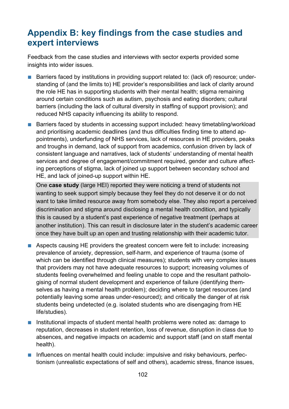# **Appendix B: key findings from the case studies and expert interviews**

Feedback from the case studies and interviews with sector experts provided some insights into wider issues.

- Barriers faced by institutions in providing support related to: (lack of) resource; understanding of (and the limits to) HE provider's responsibilities and lack of clarity around the role HE has in supporting students with their mental health; stigma remaining around certain conditions such as autism, psychosis and eating disorders; cultural barriers (including the lack of cultural diversity in staffing of support provision); and reduced NHS capacity influencing its ability to respond.
- Barriers faced by students in accessing support included: heavy timetabling/workload and prioritising academic deadlines (and thus difficulties finding time to attend appointments), underfunding of NHS services, lack of resources in HE providers, peaks and troughs in demand, lack of support from academics, confusion driven by lack of consistent language and narratives, lack of students' understanding of mental health services and degree of engagement/commitment required, gender and culture affecting perceptions of stigma, lack of joined up support between secondary school and HE, and lack of joined-up support within HE.

One **case study** (large HEI) reported they were noticing a trend of students not wanting to seek support simply because they feel they do not deserve it or do not want to take limited resource away from somebody else. They also report a perceived discrimination and stigma around disclosing a mental health condition, and typically this is caused by a student's past experience of negative treatment (perhaps at another institution). This can result in disclosure later in the student's academic career once they have built up an open and trusting relationship with their academic tutor.

- Aspects causing HE providers the greatest concern were felt to include: increasing prevalence of anxiety, depression, self-harm, and experience of trauma (some of which can be identified through clinical measures); students with very complex issues that providers may not have adequate resources to support; increasing volumes of students feeling overwhelmed and feeling unable to cope and the resultant pathologising of normal student development and experience of failure (identifying themselves as having a mental health problem); deciding where to target resources (and potentially leaving some areas under-resourced); and critically the danger of at risk students being undetected (e.g. isolated students who are disengaging from HE life/studies).
- Institutional impacts of student mental health problems were noted as: damage to reputation, decreases in student retention, loss of revenue, disruption in class due to absences, and negative impacts on academic and support staff (and on staff mental health).
- Influences on mental health could include: impulsive and risky behaviours, perfectionism (unrealistic expectations of self and others), academic stress, finance issues,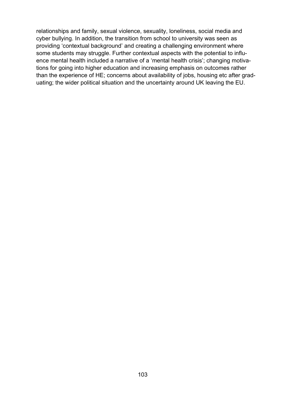relationships and family, sexual violence, sexuality, loneliness, social media and cyber bullying. In addition, the transition from school to university was seen as providing 'contextual background' and creating a challenging environment where some students may struggle. Further contextual aspects with the potential to influence mental health included a narrative of a 'mental health crisis'; changing motivations for going into higher education and increasing emphasis on outcomes rather than the experience of HE; concerns about availability of jobs, housing etc after graduating; the wider political situation and the uncertainty around UK leaving the EU.